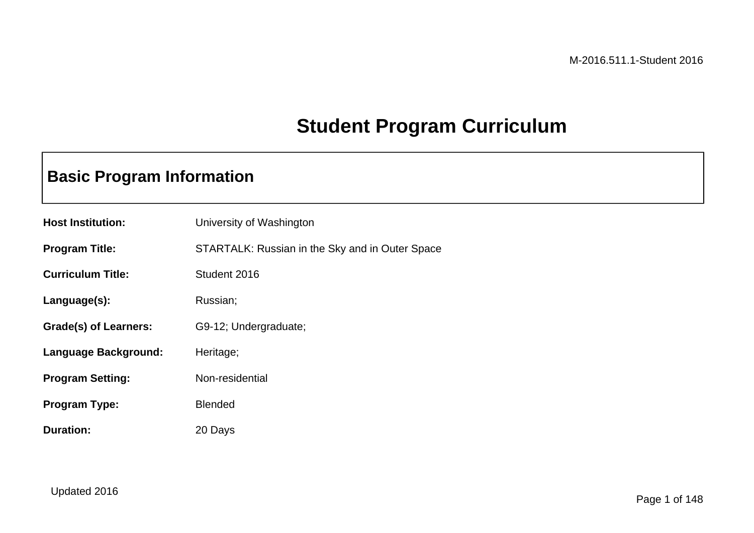## **Student Program Curriculum**

### **Basic Program Information**

| <b>Host Institution:</b> | University of Washington                        |
|--------------------------|-------------------------------------------------|
| <b>Program Title:</b>    | STARTALK: Russian in the Sky and in Outer Space |
| <b>Curriculum Title:</b> | Student 2016                                    |
| Language(s):             | Russian;                                        |
| Grade(s) of Learners:    | G9-12; Undergraduate;                           |
| Language Background:     | Heritage;                                       |
| <b>Program Setting:</b>  | Non-residential                                 |
| <b>Program Type:</b>     | <b>Blended</b>                                  |
| <b>Duration:</b>         | 20 Days                                         |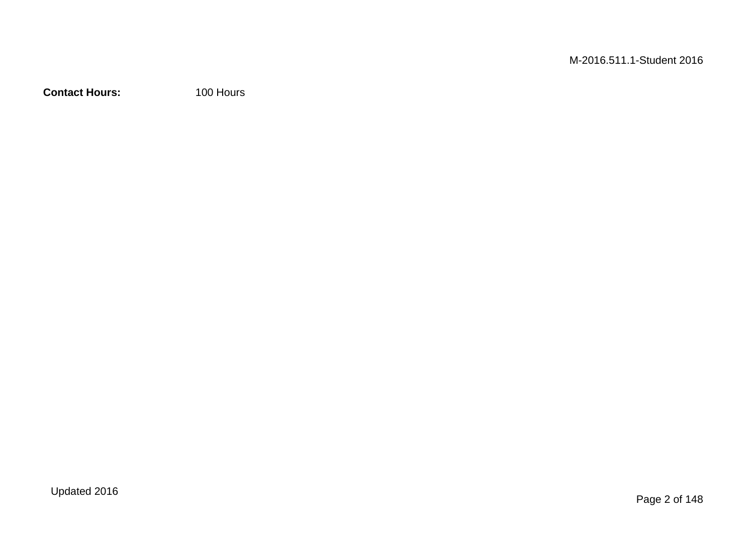**Contact Hours:** 100 Hours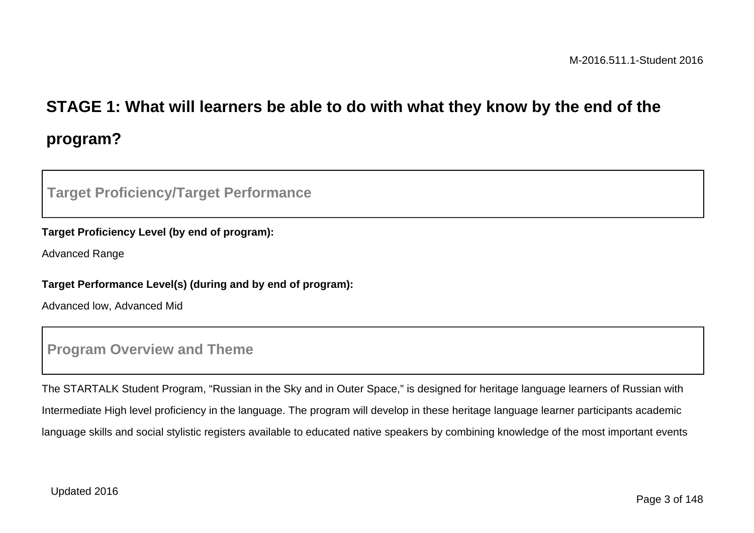# **STAGE 1: What will learners be able to do with what they know by the end of the program?**

### **Target Proficiency/Target Performance**

#### **Target Proficiency Level (by end of program):**

Advanced Range

#### **Target Performance Level(s) (during and by end of program):**

Advanced low, Advanced Mid

### **Program Overview and Theme**

The STARTALK Student Program, "Russian in the Sky and in Outer Space," is designed for heritage language learners of Russian with Intermediate High level proficiency in the language. The program will develop in these heritage language learner participants academic language skills and social stylistic registers available to educated native speakers by combining knowledge of the most important events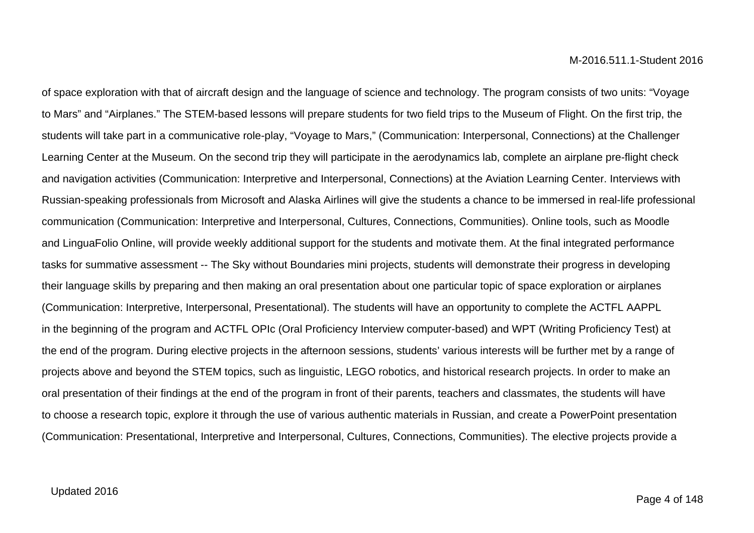of space exploration with that of aircraft design and the language of science and technology. The program consists of two units: "Voyage to Mars" and "Airplanes." The STEM-based lessons will prepare students for two field trips to the Museum of Flight. On the first trip, the students will take part in a communicative role-play, "Voyage to Mars," (Communication: Interpersonal, Connections) at the Challenger Learning Center at the Museum. On the second trip they will participate in the aerodynamics lab, complete an airplane pre-flight check and navigation activities (Communication: Interpretive and Interpersonal, Connections) at the Aviation Learning Center. Interviews with Russian-speaking professionals from Microsoft and Alaska Airlines will give the students a chance to be immersed in real-life professional communication (Communication: Interpretive and Interpersonal, Cultures, Connections, Communities). Online tools, such as Moodle and LinguaFolio Online, will provide weekly additional support for the students and motivate them. At the final integrated performance tasks for summative assessment -- The Sky without Boundaries mini projects, students will demonstrate their progress in developing their language skills by preparing and then making an oral presentation about one particular topic of space exploration or airplanes (Communication: Interpretive, Interpersonal, Presentational). The students will have an opportunity to complete the ACTFL AAPPL in the beginning of the program and ACTFL OPIc (Oral Proficiency Interview computer-based) and WPT (Writing Proficiency Test) at the end of the program. During elective projects in the afternoon sessions, students' various interests will be further met by a range of projects above and beyond the STEM topics, such as linguistic, LEGO robotics, and historical research projects. In order to make an oral presentation of their findings at the end of the program in front of their parents, teachers and classmates, the students will have to choose a research topic, explore it through the use of various authentic materials in Russian, and create a PowerPoint presentation (Communication: Presentational, Interpretive and Interpersonal, Cultures, Connections, Communities). The elective projects provide a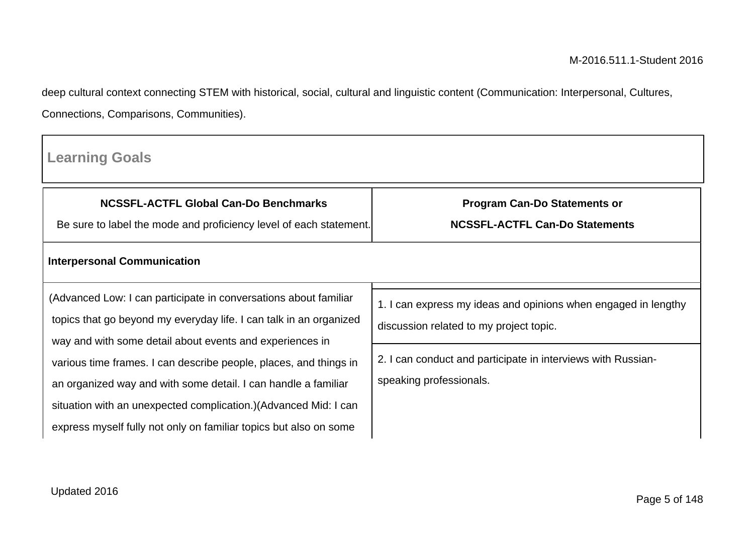deep cultural context connecting STEM with historical, social, cultural and linguistic content (Communication: Interpersonal, Cultures, Connections, Comparisons, Communities).

| <b>Learning Goals</b>                                                                                                                                                                                                                                                        |                                                                                                           |  |  |
|------------------------------------------------------------------------------------------------------------------------------------------------------------------------------------------------------------------------------------------------------------------------------|-----------------------------------------------------------------------------------------------------------|--|--|
| <b>NCSSFL-ACTFL Global Can-Do Benchmarks</b><br>Be sure to label the mode and proficiency level of each statement.                                                                                                                                                           | <b>Program Can-Do Statements or</b><br><b>NCSSFL-ACTFL Can-Do Statements</b>                              |  |  |
| <b>Interpersonal Communication</b>                                                                                                                                                                                                                                           |                                                                                                           |  |  |
| (Advanced Low: I can participate in conversations about familiar<br>topics that go beyond my everyday life. I can talk in an organized<br>way and with some detail about events and experiences in                                                                           | 1. I can express my ideas and opinions when engaged in lengthy<br>discussion related to my project topic. |  |  |
| various time frames. I can describe people, places, and things in<br>an organized way and with some detail. I can handle a familiar<br>situation with an unexpected complication.) (Advanced Mid: I can<br>express myself fully not only on familiar topics but also on some | 2. I can conduct and participate in interviews with Russian-<br>speaking professionals.                   |  |  |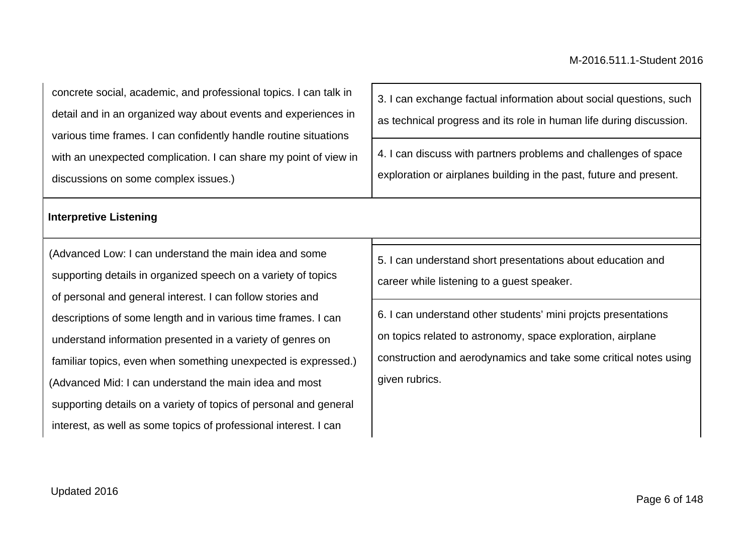concrete social, academic, and professional topics. I can talk in detail and in an organized way about events and experiences in various time frames. I can confidently handle routine situations with an unexpected complication. I can share my point of view in discussions on some complex issues.)

#### **Interpretive Listening**

(Advanced Low: I can understand the main idea and some supporting details in organized speech on a variety of topics of personal and general interest. I can follow stories and descriptions of some length and in various time frames. I can understand information presented in a variety of genres on familiar topics, even when something unexpected is expressed.) (Advanced Mid: I can understand the main idea and most supporting details on a variety of topics of personal and general interest, as well as some topics of professional interest. I can

3. I can exchange factual information about social questions, such as technical progress and its role in human life during discussion.

4. I can discuss with partners problems and challenges of space exploration or airplanes building in the past, future and present.

5. I can understand short presentations about education and career while listening to a guest speaker.

6. I can understand other students' mini projcts presentations on topics related to astronomy, space exploration, airplane construction and aerodynamics and take some critical notes using given rubrics.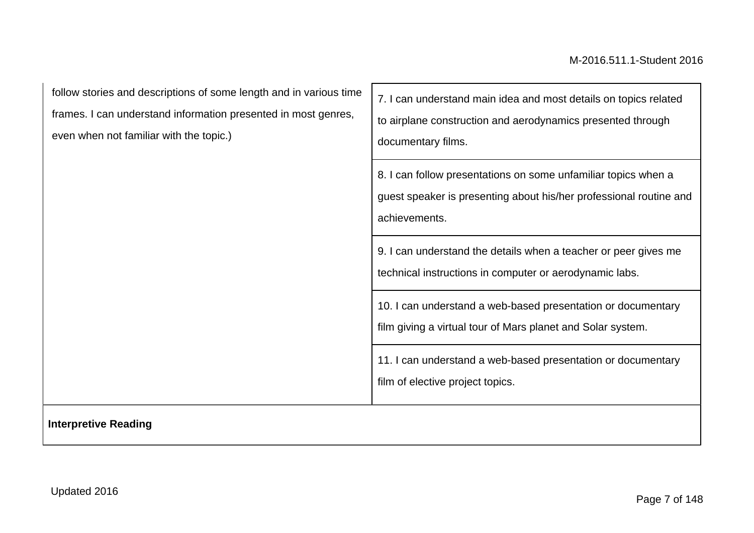┑

| follow stories and descriptions of some length and in various time<br>frames. I can understand information presented in most genres,<br>even when not familiar with the topic.) | 7. I can understand main idea and most details on topics related<br>to airplane construction and aerodynamics presented through<br>documentary films. |  |  |
|---------------------------------------------------------------------------------------------------------------------------------------------------------------------------------|-------------------------------------------------------------------------------------------------------------------------------------------------------|--|--|
|                                                                                                                                                                                 | 8. I can follow presentations on some unfamiliar topics when a<br>guest speaker is presenting about his/her professional routine and<br>achievements. |  |  |
|                                                                                                                                                                                 | 9. I can understand the details when a teacher or peer gives me<br>technical instructions in computer or aerodynamic labs.                            |  |  |
|                                                                                                                                                                                 | 10. I can understand a web-based presentation or documentary<br>film giving a virtual tour of Mars planet and Solar system.                           |  |  |
|                                                                                                                                                                                 | 11. I can understand a web-based presentation or documentary<br>film of elective project topics.                                                      |  |  |
| <b>Interpretive Reading</b>                                                                                                                                                     |                                                                                                                                                       |  |  |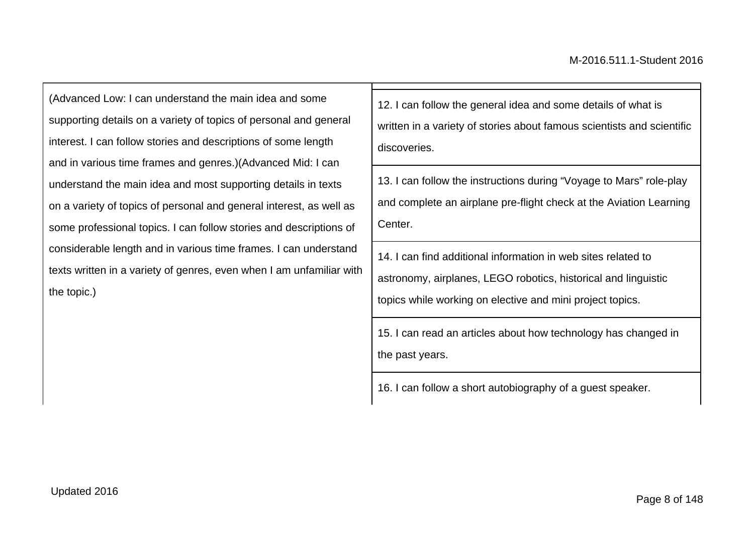(Advanced Low: I can understand the main idea and some supporting details on a variety of topics of personal and general interest. I can follow stories and descriptions of some length and in various time frames and genres.)(Advanced Mid: I can understand the main idea and most supporting details in texts on a variety of topics of personal and general interest, as well as some professional topics. I can follow stories and descriptions of considerable length and in various time frames. I can understand texts written in a variety of genres, even when I am unfamiliar with the topic.)

12. I can follow the general idea and some details of what is written in a variety of stories about famous scientists and scientific discoveries.

13. I can follow the instructions during "Voyage to Mars" role-play and complete an airplane pre-flight check at the Aviation Learning Center.

14. I can find additional information in web sites related to astronomy, airplanes, LEGO robotics, historical and linguistic topics while working on elective and mini project topics.

15. I can read an articles about how technology has changed in the past years.

16. I can follow a short autobiography of a guest speaker.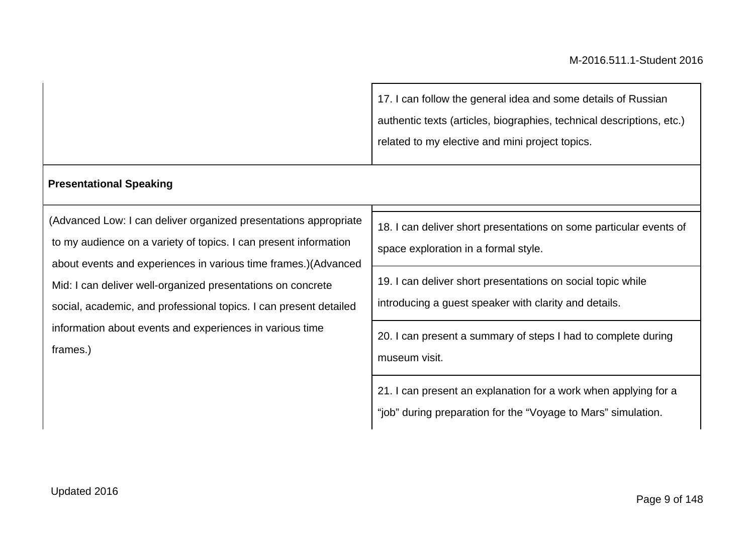17. I can follow the general idea and some details of Russian authentic texts (articles, biographies, technical descriptions, etc.) related to my elective and mini project topics.

#### **Presentational Speaking**

(Advanced Low: I can deliver organized presentations appropriate to my audience on a variety of topics. I can present information about events and experiences in various time frames.)(Advanced Mid: I can deliver well-organized presentations on concrete social, academic, and professional topics. I can present detailed information about events and experiences in various time frames.)

18. I can deliver short presentations on some particular events of space exploration in a formal style.

19. I can deliver short presentations on social topic while

introducing a guest speaker with clarity and details.

20. I can present a summary of steps I had to complete during museum visit.

21. I can present an explanation for a work when applying for a

"job" during preparation for the "Voyage to Mars" simulation.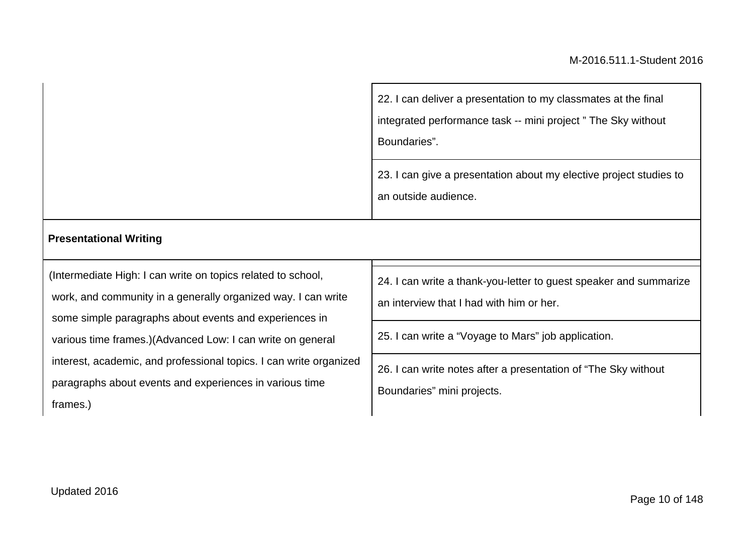| 22. I can deliver a presentation to my classmates at the final<br>integrated performance task -- mini project "The Sky without<br>Boundaries". |  |
|------------------------------------------------------------------------------------------------------------------------------------------------|--|
| 23. I can give a presentation about my elective project studies to<br>an outside audience.                                                     |  |

#### **Presentational Writing**

(Intermediate High: I can write on topics related to school, work, and community in a generally organized way. I can write some simple paragraphs about events and experiences in various time frames.)(Advanced Low: I can write on general interest, academic, and professional topics. I can write organized paragraphs about events and experiences in various time frames.)

24. I can write a thank-you-letter to guest speaker and summarize

an interview that I had with him or her.

25. I can write a "Voyage to Mars" job application.

26. I can write notes after a presentation of "The Sky without Boundaries" mini projects.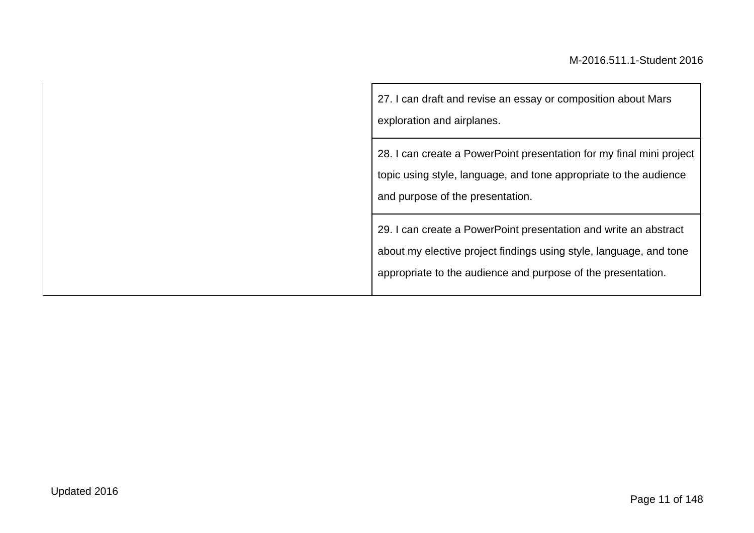27. I can draft and revise an essay or composition about Mars exploration and airplanes.

28. I can create a PowerPoint presentation for my final mini project topic using style, language, and tone appropriate to the audience and purpose of the presentation.

29. I can create a PowerPoint presentation and write an abstract about my elective project findings using style, language, and tone appropriate to the audience and purpose of the presentation.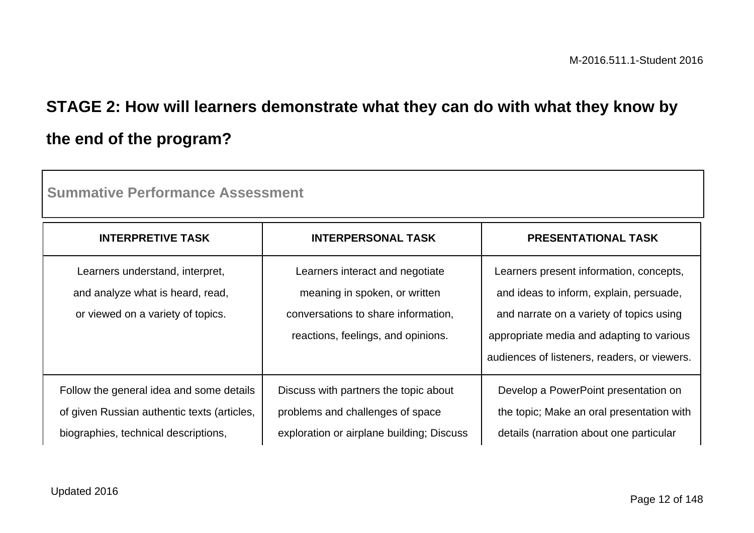# **STAGE 2: How will learners demonstrate what they can do with what they know by the end of the program?**

| <b>INTERPRETIVE TASK</b>                                                                                                        | <b>INTERPERSONAL TASK</b>                                                                                                                     | <b>PRESENTATIONAL TASK</b>                                                                                                                                                                                                  |
|---------------------------------------------------------------------------------------------------------------------------------|-----------------------------------------------------------------------------------------------------------------------------------------------|-----------------------------------------------------------------------------------------------------------------------------------------------------------------------------------------------------------------------------|
| Learners understand, interpret,<br>and analyze what is heard, read,<br>or viewed on a variety of topics.                        | Learners interact and negotiate<br>meaning in spoken, or written<br>conversations to share information.<br>reactions, feelings, and opinions. | Learners present information, concepts,<br>and ideas to inform, explain, persuade,<br>and narrate on a variety of topics using<br>appropriate media and adapting to various<br>audiences of listeners, readers, or viewers. |
| Follow the general idea and some details<br>of given Russian authentic texts (articles,<br>biographies, technical descriptions, | Discuss with partners the topic about<br>problems and challenges of space<br>exploration or airplane building; Discuss                        | Develop a PowerPoint presentation on<br>the topic; Make an oral presentation with<br>details (narration about one particular                                                                                                |

**Summative Performance Assessment**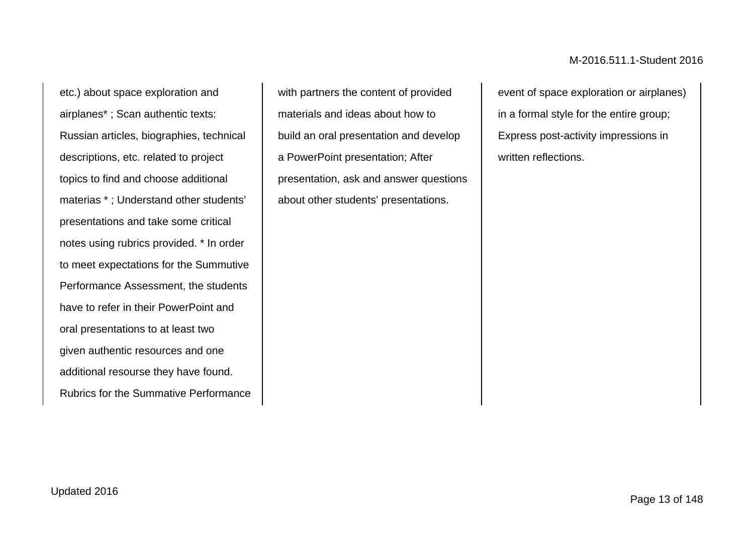etc.) about space exploration and airplanes\* ; Scan authentic texts: Russian articles, biographies, technical descriptions, etc. related to project topics to find and choose additional materias \* ; Understand other students' presentations and take some critical notes using rubrics provided. \* In order to meet expectations for the Summutive Performance Assessment, the students have to refer in their PowerPoint and oral presentations to at least two given authentic resources and one additional resourse they have found. Rubrics for the Summative Performance

with partners the content of provided materials and ideas about how to build an oral presentation and develop a PowerPoint presentation; After presentation, ask and answer questions about other students' presentations.

event of space exploration or airplanes) in a formal style for the entire group; Express post-activity impressions in written reflections.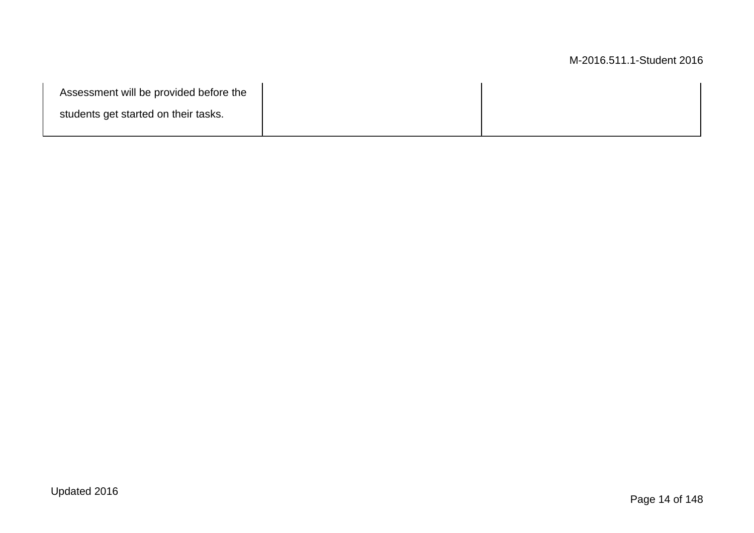| Assessment will be provided before the |  |
|----------------------------------------|--|
| students get started on their tasks.   |  |
|                                        |  |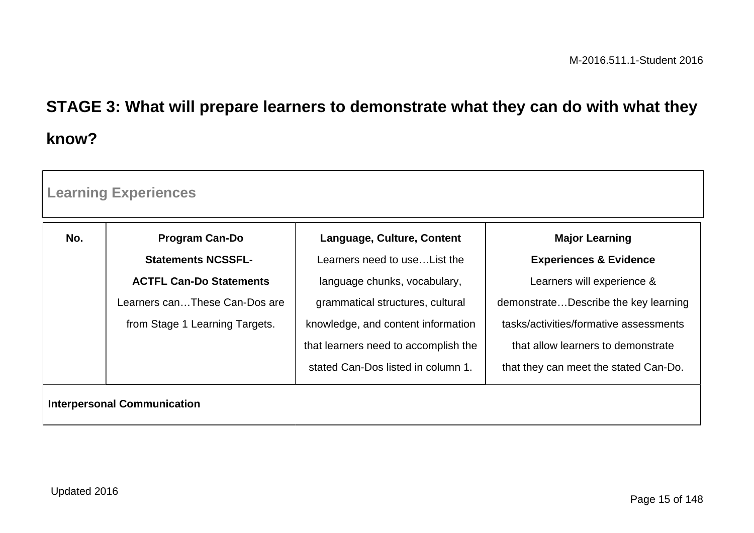# **STAGE 3: What will prepare learners to demonstrate what they can do with what they know?**

| <b>Learning Experiences</b>        |                                |                                      |                                        |
|------------------------------------|--------------------------------|--------------------------------------|----------------------------------------|
| No.                                | <b>Program Can-Do</b>          | Language, Culture, Content           | <b>Major Learning</b>                  |
|                                    | <b>Statements NCSSFL-</b>      | Learners need to use List the        | <b>Experiences &amp; Evidence</b>      |
|                                    | <b>ACTFL Can-Do Statements</b> | language chunks, vocabulary,         | Learners will experience &             |
|                                    | Learners canThese Can-Dos are  | grammatical structures, cultural     | demonstrateDescribe the key learning   |
|                                    | from Stage 1 Learning Targets. | knowledge, and content information   | tasks/activities/formative assessments |
|                                    |                                | that learners need to accomplish the | that allow learners to demonstrate     |
|                                    |                                | stated Can-Dos listed in column 1.   | that they can meet the stated Can-Do.  |
| <b>Interpersonal Communication</b> |                                |                                      |                                        |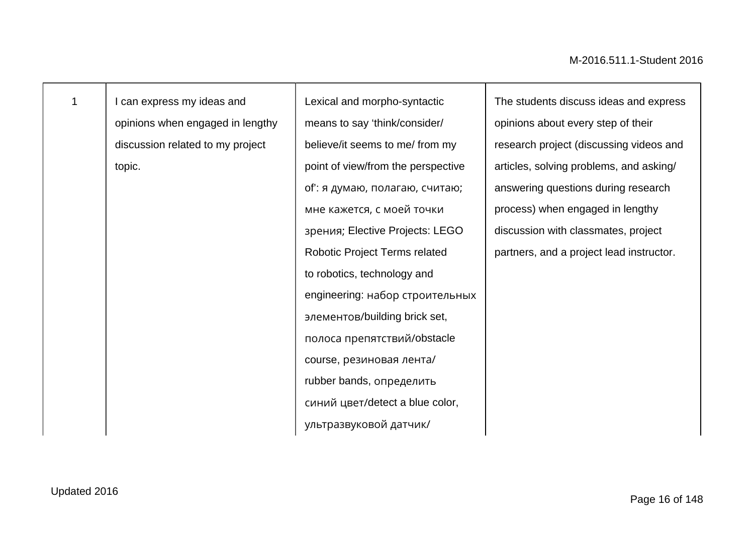|  | I can express my ideas and       | Lexical and morpho-syntactic         | The students discuss ideas and express   |
|--|----------------------------------|--------------------------------------|------------------------------------------|
|  | opinions when engaged in lengthy | means to say 'think/consider/        | opinions about every step of their       |
|  | discussion related to my project | believe/it seems to me/ from my      | research project (discussing videos and  |
|  | topic.                           | point of view/from the perspective   | articles, solving problems, and asking/  |
|  |                                  | оf': я думаю, полагаю, считаю;       | answering questions during research      |
|  |                                  | мне кажется, с моей точки            | process) when engaged in lengthy         |
|  |                                  | зрения; Elective Projects: LEGO      | discussion with classmates, project      |
|  |                                  | <b>Robotic Project Terms related</b> | partners, and a project lead instructor. |
|  |                                  | to robotics, technology and          |                                          |
|  |                                  | engineering: набор строительных      |                                          |
|  |                                  | элементов/building brick set,        |                                          |
|  |                                  | полоса препятствий/obstacle          |                                          |
|  |                                  | course, резиновая лента/             |                                          |
|  |                                  | rubber bands, определить             |                                          |
|  |                                  | синий цвет/detect a blue color,      |                                          |
|  |                                  | ультразвуковой датчик/               |                                          |
|  |                                  |                                      |                                          |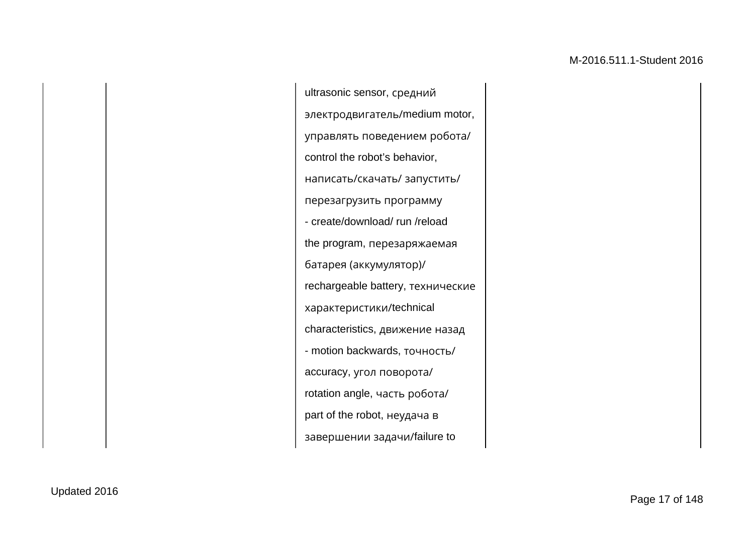ultrasonic sensor, средний электродвигатель/medium motor, управлять поведением робота/ control the robot's behavior, написать/скачать/ запустить/ перезагрузить программу - create/download/ run /reload the program, перезаряжаемая батарея (аккумулятор)/ rechargeable battery, технические характеристики/technical characteristics, движение назад - motion backwards, точность/ accuracy, угол поворота/ rotation angle, часть робота/ part of the robot, неудача в завершении задачи/failure to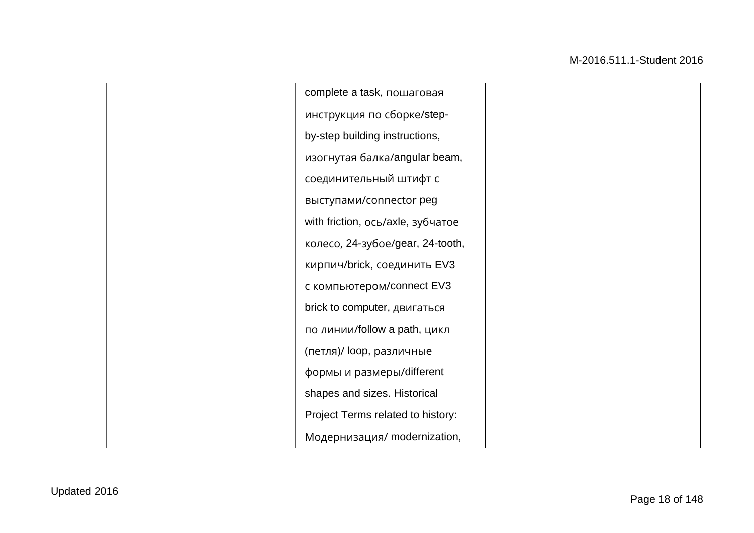complete a task, пошаговая инструкция по сборке/stepby-step building instructions, изогнутая балка/angular beam, соединительный штифт с выступами/сonnector peg with friction, ось/axle, зубчатое колесо, 24-зубое/gear, 24-tooth, кирпич/brick, соединить EV3 с компьютером/connect EV3 brick to computer, двигаться по линии/follow a path, цикл (петля)/ loop, различные формы и размеры/different shapes and sizes. Historical Project Terms related to history: Модернизация/ modernization,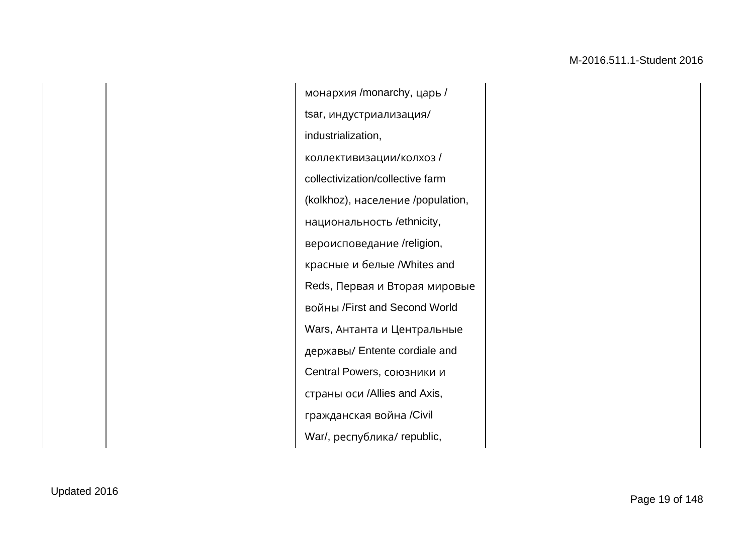монархия /monarchy, царь / tsar, индустриализация/ industrialization, коллективизации/колхоз / collectivization/collective farm (kolkhoz), население /population, национальность /ethnicity, вероисповедание /religion, красные и белые /Whites and Reds, Первая и Вторая мировые войны /First and Second World Wars, Антанта и Центральные державы/ Entente cordiale and Central Powers, союзники и страны оси /Allies and Axis, гражданская война /Civil War/, республика/ republic,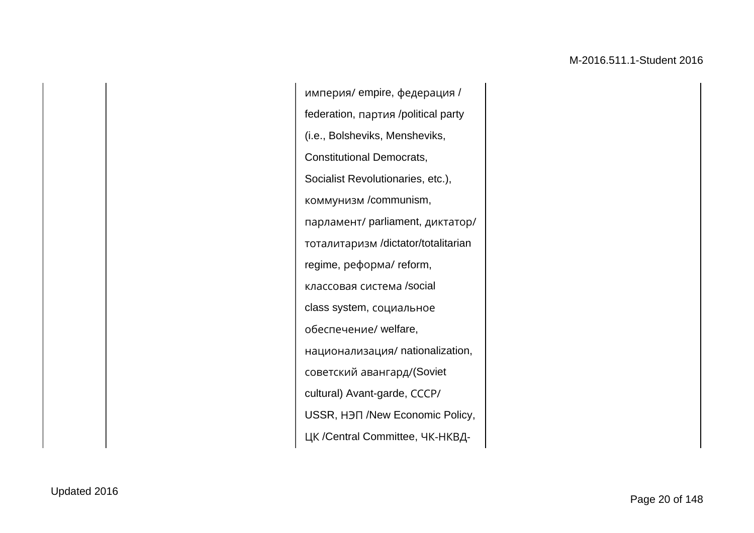империя/ empire, федерация / federation, партия /political party (i.e., Bolsheviks, Mensheviks, Constitutional Democrats, Socialist Revolutionaries, etc.), коммунизм /communism, парламент/ parliament, диктатор/ тоталитаризм /dictator/totalitarian regime, реформа/ reform, классовая система /social class system, социальное обеспечение/ welfare, национализация/ nationalization, советский авангард/(Soviet cultural) Avant-garde, СССР/ USSR, НЭП /New Economic Policy, ЦК /Central Committee, ЧК-НКВД-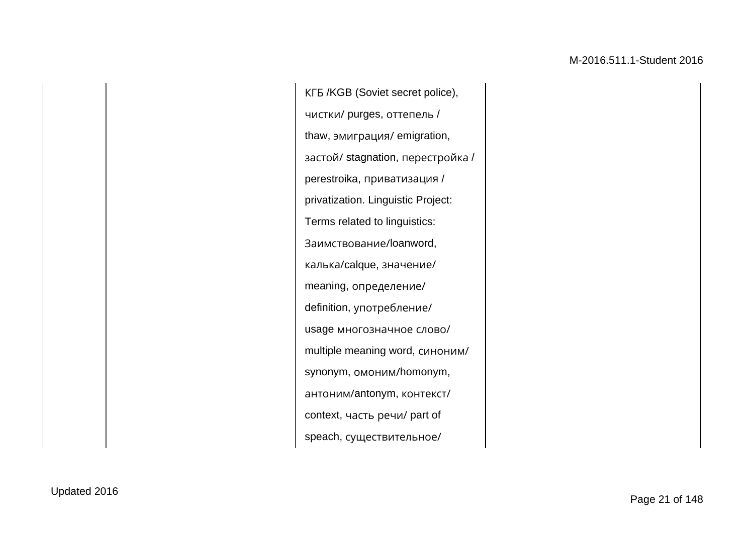КГБ /KGB (Soviet secret police), чистки/ purges, оттепель / thaw, эмиграция/ emigration, застой/ stagnation, перестройка / perestroika, приватизация / privatization. Linguistic Project: Terms related to linguistics: Заимствование/loanword, калька/calque, значение/ meaning, определение/ definition, употребление/ usage многозначное слово/ multiple meaning word, синоним/ synonym, омоним/homonym, антоним/antonym, контекст/ context, часть речи/ part of speach, существительное/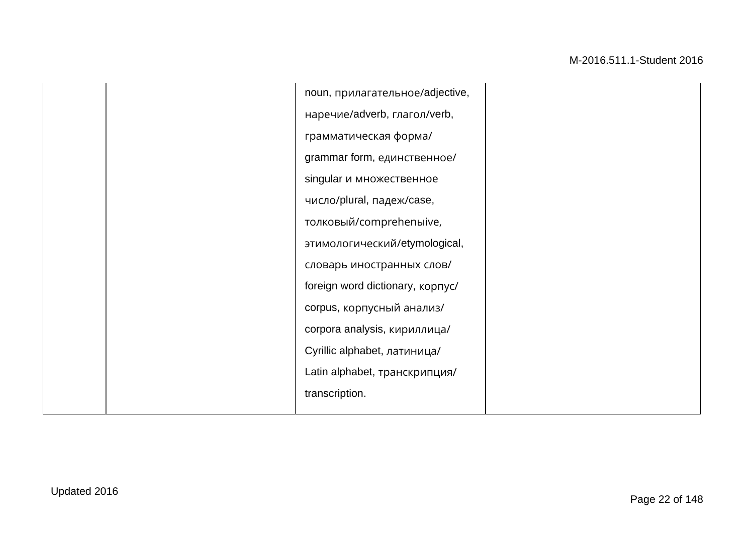noun, прилагательное/adjective, наречие/adverb, глагол/verb, грамматическая форма/ grammar form, единственное/ singular и множественное число/plural, падеж/case, толковый/comprehenыive, этимологический/etymological, словарь иностранных слов/ foreign word dictionary, корпус/ corpus, корпусный анализ/ corpora analysis, кириллица/ Cyrillic alphabet, латиница/ Latin alphabet, транскрипция/ transcription.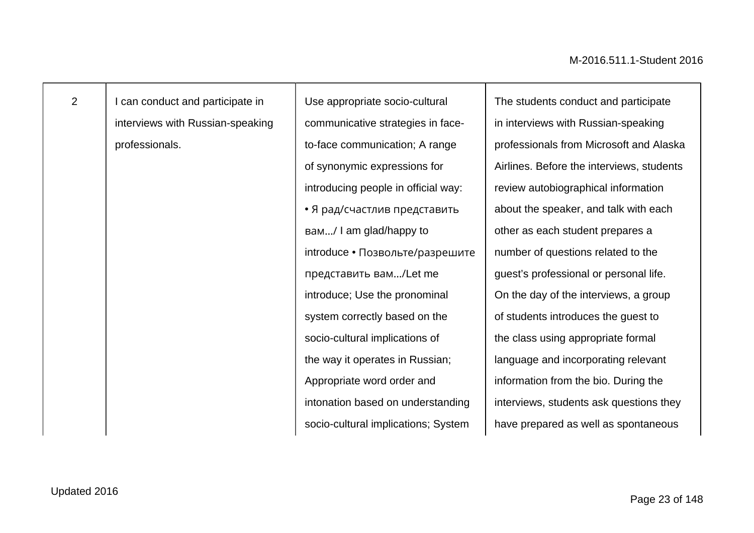I can conduct and participate in interviews with Russian-speaking professionals.

Use appropriate socio-cultural communicative strategies in faceto-face communication; A range of synonymic expressions for introducing people in official way: • Я рад/счастлив представить вам…/ I am glad/happy to introduce • Позвольте/разрешите представить вам…/Let me introduce; Use the pronominal system correctly based on the socio-cultural implications of the way it operates in Russian; Appropriate word order and intonation based on understanding socio-cultural implications; System

The students conduct and participate in interviews with Russian-speaking professionals from Microsoft and Alaska Airlines. Before the interviews, students review autobiographical information about the speaker, and talk with each other as each student prepares a number of questions related to the guest's professional or personal life. On the day of the interviews, a group of students introduces the guest to the class using appropriate formal language and incorporating relevant information from the bio. During the interviews, students ask questions they have prepared as well as spontaneous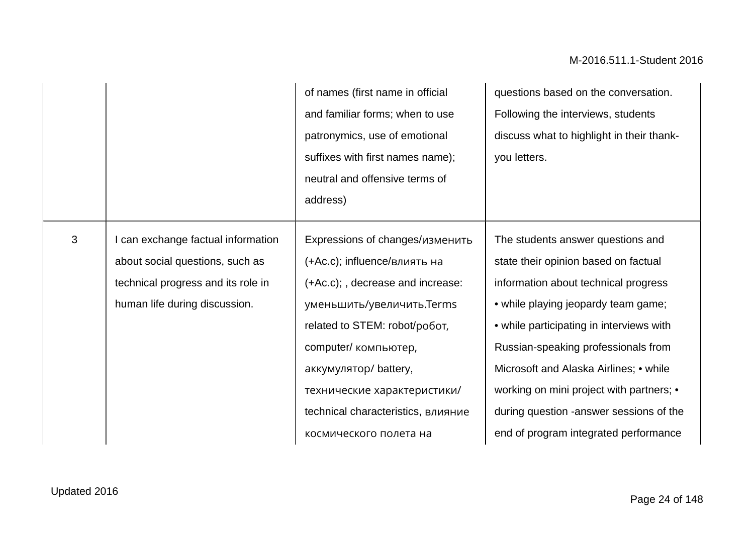|                |                                                                                                                                              | of names (first name in official<br>and familiar forms; when to use<br>patronymics, use of emotional<br>suffixes with first names name);<br>neutral and offensive terms of<br>address)                                                                                                                            | questions based on the conversation.<br>Following the interviews, students<br>discuss what to highlight in their thank-<br>you letters.                                                                                                                                                                                                                                                                               |
|----------------|----------------------------------------------------------------------------------------------------------------------------------------------|-------------------------------------------------------------------------------------------------------------------------------------------------------------------------------------------------------------------------------------------------------------------------------------------------------------------|-----------------------------------------------------------------------------------------------------------------------------------------------------------------------------------------------------------------------------------------------------------------------------------------------------------------------------------------------------------------------------------------------------------------------|
| $\mathfrak{S}$ | I can exchange factual information<br>about social questions, such as<br>technical progress and its role in<br>human life during discussion. | Expressions of changes/изменить<br>(+Ac.c); influence/влиять на<br>(+Ac.c); , decrease and increase:<br>уменьшить/увеличить.Terms<br>related to STEM: robot/poбот,<br>computer/ компьютер,<br>аккумулятор/battery,<br>технические характеристики/<br>technical characteristics, влияние<br>космического полета на | The students answer questions and<br>state their opinion based on factual<br>information about technical progress<br>• while playing jeopardy team game;<br>• while participating in interviews with<br>Russian-speaking professionals from<br>Microsoft and Alaska Airlines; • while<br>working on mini project with partners; •<br>during question -answer sessions of the<br>end of program integrated performance |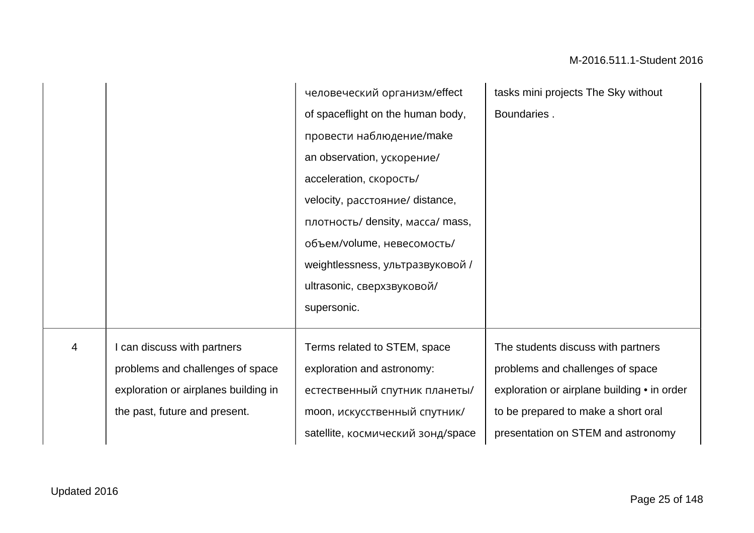|   |                                      | человеческий организм/effect      | tasks mini projects The Sky without         |
|---|--------------------------------------|-----------------------------------|---------------------------------------------|
|   |                                      | of spaceflight on the human body, | Boundaries.                                 |
|   |                                      | провести наблюдение/make          |                                             |
|   |                                      | an observation, ускорение/        |                                             |
|   |                                      | acceleration, скорость/           |                                             |
|   |                                      | velocity, расстояние/ distance,   |                                             |
|   |                                      | плотность/ density, масса/ mass,  |                                             |
|   |                                      | объем/volume, невесомость/        |                                             |
|   |                                      | weightlessness, ультразвуковой /  |                                             |
|   |                                      | ultrasonic, сверхзвуковой/        |                                             |
|   |                                      | supersonic.                       |                                             |
|   |                                      |                                   |                                             |
| 4 | can discuss with partners            | Terms related to STEM, space      | The students discuss with partners          |
|   | problems and challenges of space     | exploration and astronomy:        | problems and challenges of space            |
|   | exploration or airplanes building in | естественный спутник планеты/     | exploration or airplane building • in order |
|   | the past, future and present.        | moon, искусственный спутник/      | to be prepared to make a short oral         |
|   |                                      | satellite, космический зонд/space | presentation on STEM and astronomy          |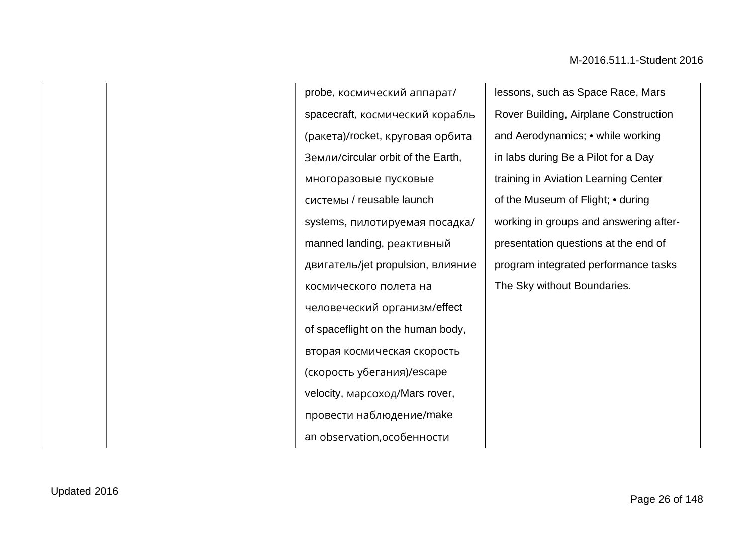probe, космический аппарат/ spacecraft, космический корабль (ракета)/rocket, круговая орбита Земли/circular orbit of the Earth, многоразовые пусковые системы / reusable launch systems, пилотируемая посадка/ manned landing, реактивный двигатель/jet propulsion, влияние космического полета на человеческий организм/effect of spaceflight on the human body, вторая космическая скорость (скорость убегания)/escape velocity, марсоход/Mars rover, провести наблюдение/make an observation,особенности

lessons, such as Space Race, Mars Rover Building, Airplane Construction and Aerodynamics; • while working in labs during Be a Pilot for a Day training in Aviation Learning Center of the Museum of Flight; • during working in groups and answering afterpresentation questions at the end of program integrated performance tasks The Sky without Boundaries.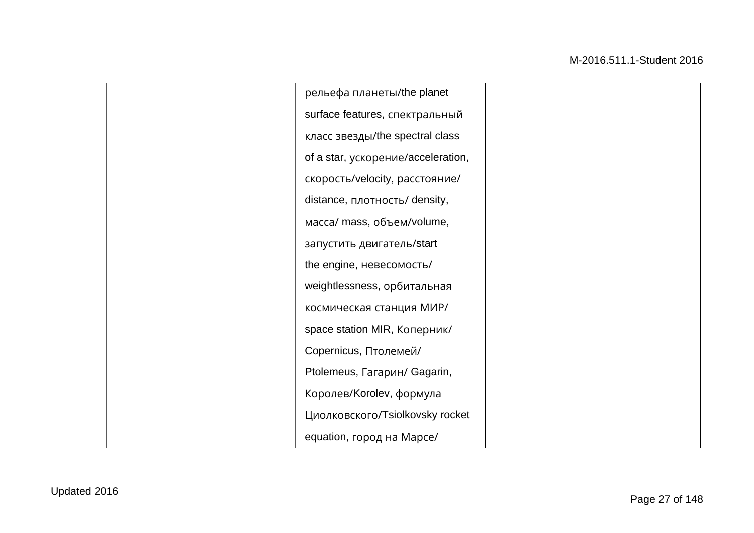рельефа планеты/the planet surface features, спектральный класс звезды/the spectral class of a star, ускорение/acceleration, скорость/velocity, расстояние/ distance, плотность/ density, масса/ mass, объем/volume, запустить двигатель/start the engine, невесомость/ weightlessness, орбитальная космическая станция МИР/ space station MIR, Коперник/ Copernicus, Птолемей/ Ptolemeus, Гагарин/ Gagarin, Королев/Korolev, формула Циолковского/Tsiolkovsky rocket equation, город на Марсе/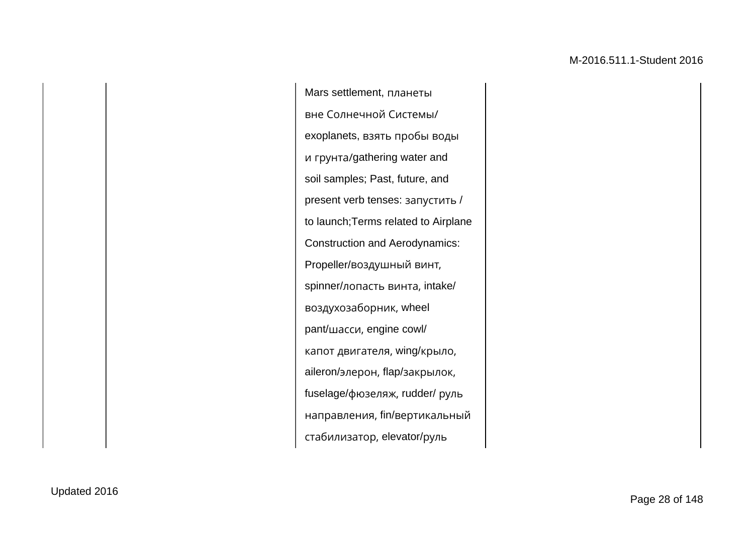Mars settlement, планеты вне Солнечной Системы/ exoplanets, взять пробы воды и грунта/gathering water and soil samples; Past, future, and present verb tenses: запустить / to launch;Terms related to Airplane Construction and Aerodynamics: Propeller/воздушный винт, spinner/лопасть винта, intake/ воздухозаборник, wheel pant/шасси, engine cowl/ капот двигателя, wing/крыло, aileron/элерон, flap/закрылок, fuselage/фюзеляж, rudder/ руль направления, fin/вертикальный стабилизатор, elevator/руль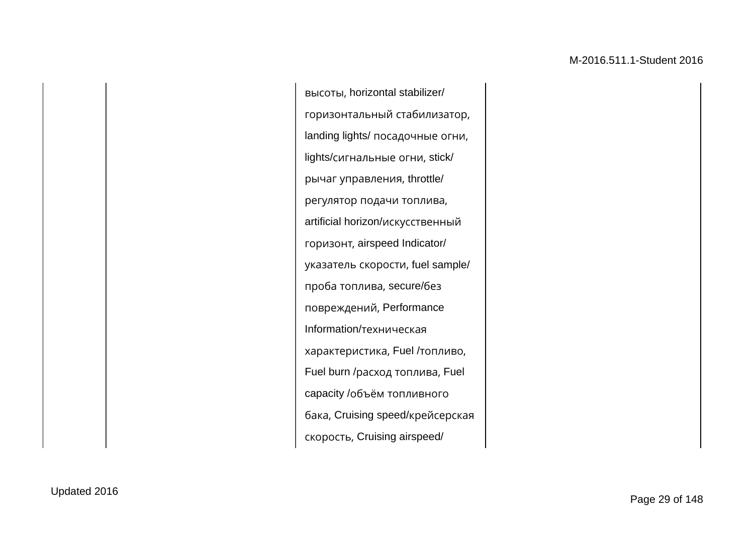высоты, horizontal stabilizer/ горизонтальный стабилизатор, landing lights/ посадочные огни, lights/сигнальные огни, stick/ рычаг управления, throttle/ регулятор подачи топлива, artificial horizon/искусственный горизонт, airspeed Indicator/ указатель скорости, fuel sample/ проба топлива, secure/без повреждений, Performance Information/техническая характеристика, Fuel /топливо, Fuel burn /расход топлива, Fuel capacity /объём топливного бака, Cruising speed/крейсерская скорость, Cruising airspeed/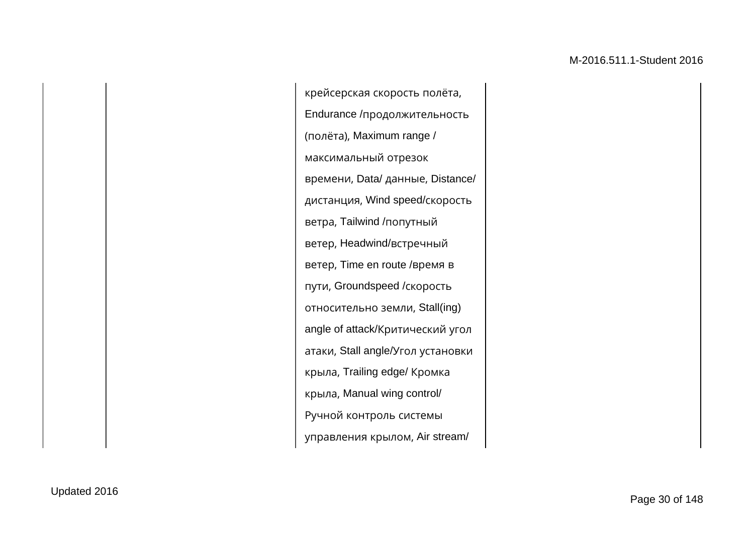крейсерская скорость полёта, Endurance /продолжительность (полёта), Maximum range / максимальный отрезок времени, Data/ данные, Distance/ дистанция, Wind speed/скорость ветра, Tailwind /попутный ветер, Headwind/встречный ветер, Time en route /время в пути, Groundspeed /скорость относительно земли, Stall(ing) angle of attack/Критический угол атаки, Stall angle/Угол установки крыла, Trailing edge/ Кромка крыла, Manual wing control/ Ручной контроль системы управления крылом, Air stream/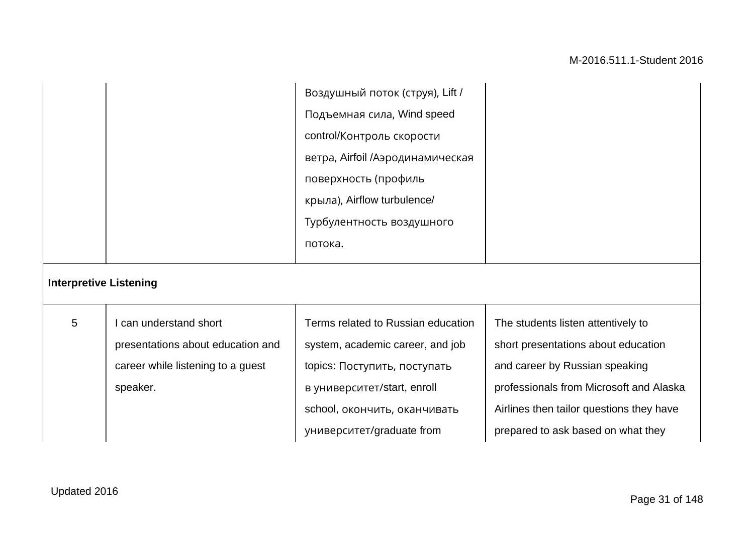|                               |                                                                                                              | Воздушный поток (струя), Lift /<br>Подъемная сила, Wind speed<br>control/Контроль скорости<br>ветра, Airfoil /Аэродинамическая<br>поверхность (профиль<br>крыла), Airflow turbulence/<br>Турбулентность воздушного<br>потока. |                                                                                                                                                                                                                                          |
|-------------------------------|--------------------------------------------------------------------------------------------------------------|-------------------------------------------------------------------------------------------------------------------------------------------------------------------------------------------------------------------------------|------------------------------------------------------------------------------------------------------------------------------------------------------------------------------------------------------------------------------------------|
| <b>Interpretive Listening</b> |                                                                                                              |                                                                                                                                                                                                                               |                                                                                                                                                                                                                                          |
| 5                             | I can understand short<br>presentations about education and<br>career while listening to a guest<br>speaker. | Terms related to Russian education<br>system, academic career, and job<br>topics: Поступить, поступать<br>в университет/start, enroll<br>school, окончить, оканчивать<br>университет/graduate from                            | The students listen attentively to<br>short presentations about education<br>and career by Russian speaking<br>professionals from Microsoft and Alaska<br>Airlines then tailor questions they have<br>prepared to ask based on what they |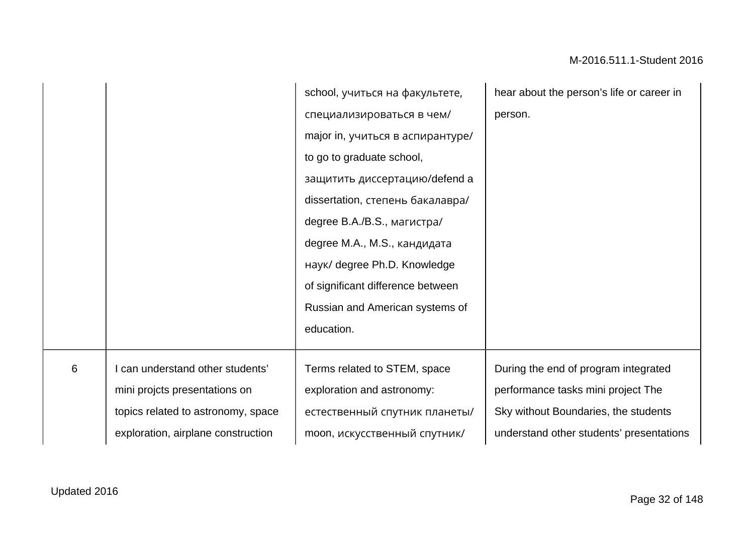| school, учиться на факультете,                                          | hear about the person's life or career in |
|-------------------------------------------------------------------------|-------------------------------------------|
| специализироваться в чем/                                               | person.                                   |
| major in, учиться в аспирантуре/                                        |                                           |
| to go to graduate school,                                               |                                           |
| защитить диссертацию/defend a                                           |                                           |
| dissertation, степень бакалавра/                                        |                                           |
| degree B.A./B.S., магистра/                                             |                                           |
| degree M.A., M.S., кандидата                                            |                                           |
| наук/ degree Ph.D. Knowledge                                            |                                           |
| of significant difference between                                       |                                           |
| Russian and American systems of                                         |                                           |
| education.                                                              |                                           |
|                                                                         |                                           |
| $\,6$<br>can understand other students'<br>Terms related to STEM, space | During the end of program integrated      |
|                                                                         |                                           |
| mini projcts presentations on<br>exploration and astronomy:             | performance tasks mini project The        |
| естественный спутник планеты/<br>topics related to astronomy, space     | Sky without Boundaries, the students      |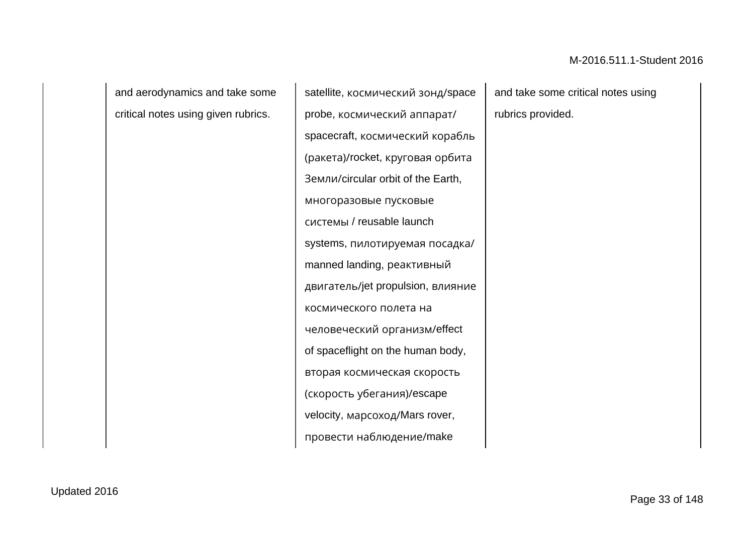and aerodynamics and take some critical notes using given rubrics.

satellite, космический зонд/space probe, космический аппарат/ spacecraft, космический корабль (ракета)/rocket, круговая орбита Земли/circular orbit of the Earth, многоразовые пусковые системы / reusable launch systems, пилотируемая посадка/ manned landing, реактивный двигатель/jet propulsion, влияние космического полета на человеческий организм/effect of spaceflight on the human body, вторая космическая скорость (скорость убегания)/escape velocity, марсоход/Mars rover, провести наблюдение/make

and take some critical notes using rubrics provided.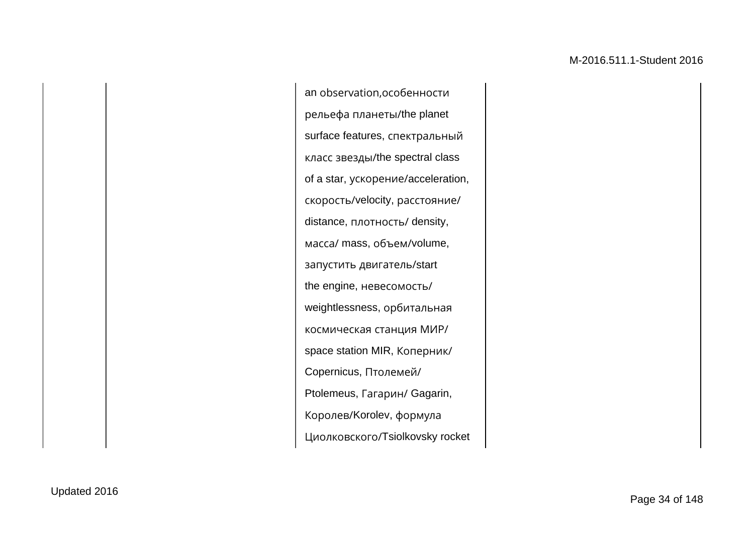an observation,особенности рельефа планеты/the planet surface features, спектральный класс звезды/the spectral class of a star, ускорение/acceleration, скорость/velocity, расстояние/ distance, плотность/ density, масса/ mass, объем/volume, запустить двигатель/start the engine, невесомость/ weightlessness, орбитальная космическая станция МИР/ space station MIR, Коперник/ Copernicus, Птолемей/ Ptolemeus, Гагарин/ Gagarin, Королев/Korolev, формула Циолковского/Tsiolkovsky rocket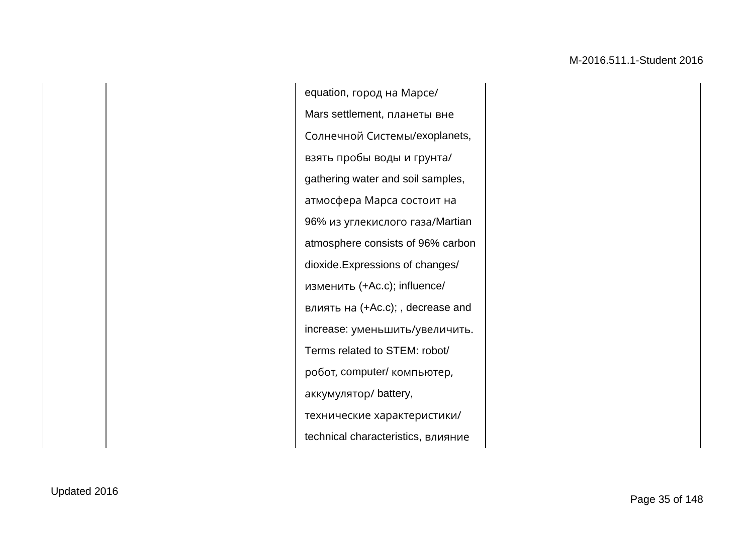equation, город на Марсе/ Mars settlement, планеты вне Солнечной Системы/exoplanets, взять пробы воды и грунта/ gathering water and soil samples, атмосфера Марса состоит на 96% из углекислого газа/Martian atmosphere consists of 96% carbon dioxide.Expressions of changes/ изменить (+Ac.c); influence/ влиять на (+Ac.c); , decrease and increase: уменьшить/увеличить. Terms related to STEM: robot/ робот, computer/ компьютер, аккумулятор/ battery, технические характеристики/ technical characteristics, влияние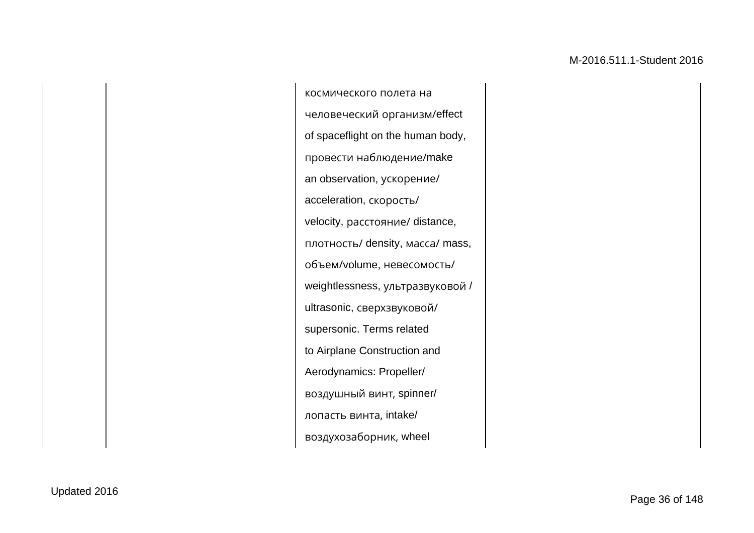космического полета на человеческий организм/effect of spaceflight on the human body, провести наблюдение/make an observation, ускорение/ acceleration, скорость/ velocity, расстояние/ distance, плотность/ density, масса/ mass, объем/volume, невесомость/ weightlessness, ультразвуковой / ultrasonic, сверхзвуковой/ supersonic. Terms related to Airplane Construction and Aerodynamics: Propeller/ воздушный винт, spinner/ лопасть винта, intake/ воздухозаборник, wheel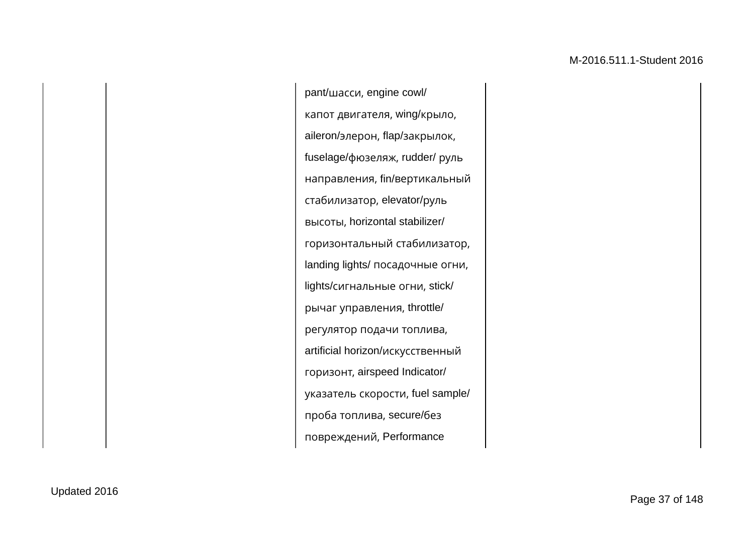pant/шасси, engine cowl/ капот двигателя, wing/крыло, aileron/элерон, flap/закрылок, fuselage/фюзеляж, rudder/ руль направления, fin/вертикальный стабилизатор, elevator/руль высоты, horizontal stabilizer/ горизонтальный стабилизатор, landing lights/ посадочные огни, lights/сигнальные огни, stick/ рычаг управления, throttle/ регулятор подачи топлива, artificial horizon/искусственный горизонт, airspeed Indicator/ указатель скорости, fuel sample/ проба топлива, secure/без повреждений, Performance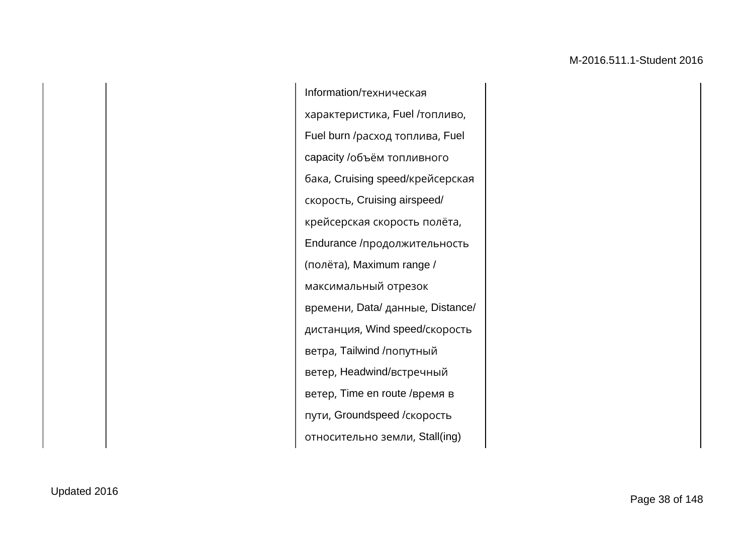Information/техническая характеристика, Fuel /топливо, Fuel burn /расход топлива, Fuel capacity /объём топливного бака, Cruising speed/крейсерская скорость, Cruising airspeed/ крейсерская скорость полёта, Endurance /продолжительность (полёта), Maximum range / максимальный отрезок времени, Data/ данные, Distance/ дистанция, Wind speed/скорость ветра, Tailwind /попутный ветер, Headwind/встречный ветер, Time en route /время в пути, Groundspeed /скорость относительно земли, Stall(ing)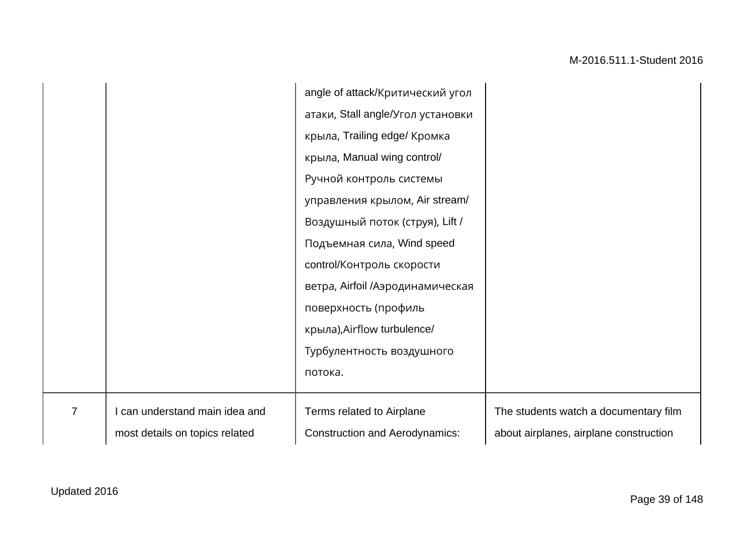|                |                                | angle of attack/Критический угол      |                                        |
|----------------|--------------------------------|---------------------------------------|----------------------------------------|
|                |                                | атаки, Stall angle/Угол установки     |                                        |
|                |                                | крыла, Trailing edge/ Кромка          |                                        |
|                |                                | крыла, Manual wing control/           |                                        |
|                |                                | Ручной контроль системы               |                                        |
|                |                                | управления крылом, Air stream/        |                                        |
|                |                                | Воздушный поток (струя), Lift /       |                                        |
|                |                                | Подъемная сила, Wind speed            |                                        |
|                |                                | control/Контроль скорости             |                                        |
|                |                                | ветра, Airfoil /Аэродинамическая      |                                        |
|                |                                | поверхность (профиль                  |                                        |
|                |                                | крыла), Airflow turbulence/           |                                        |
|                |                                | Турбулентность воздушного             |                                        |
|                |                                | потока.                               |                                        |
|                |                                |                                       |                                        |
| $\overline{7}$ | I can understand main idea and | Terms related to Airplane             | The students watch a documentary film  |
|                | most details on topics related | <b>Construction and Aerodynamics:</b> | about airplanes, airplane construction |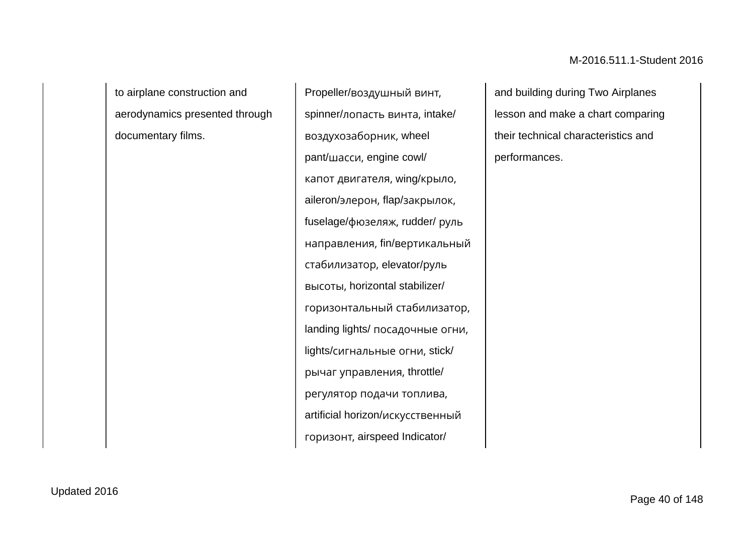to airplane construction and aerodynamics presented through documentary films.

Propeller/воздушный винт, spinner/лопасть винта, intake/ воздухозаборник, wheel pant/шасси, engine cowl/ капот двигателя, wing/крыло, aileron/элерон, flap/закрылок, fuselage/фюзеляж, rudder/ руль направления, fin/вертикальный стабилизатор, elevator/руль высоты, horizontal stabilizer/ горизонтальный стабилизатор, landing lights/ посадочные огни, lights/сигнальные огни, stick/ рычаг управления, throttle/ регулятор подачи топлива, artificial horizon/искусственный горизонт, airspeed Indicator/

and building during Two Airplanes lesson and make a chart comparing their technical characteristics and performances.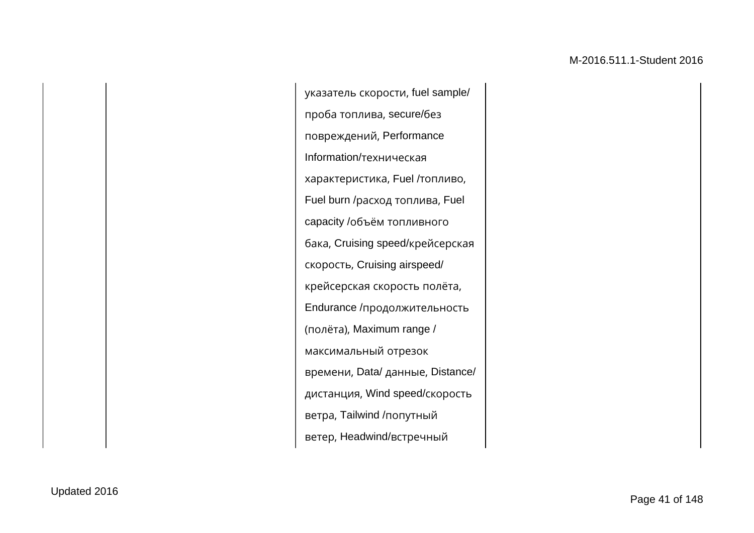указатель скорости, fuel sample/ проба топлива, secure/без повреждений, Performance Information/техническая характеристика, Fuel /топливо, Fuel burn /расход топлива, Fuel capacity /объём топливного бака, Cruising speed/крейсерская скорость, Cruising airspeed/ крейсерская скорость полёта, Endurance /продолжительность (полёта), Maximum range / максимальный отрезок времени, Data/ данные, Distance/ дистанция, Wind speed/скорость ветра, Tailwind /попутный ветер, Headwind/встречный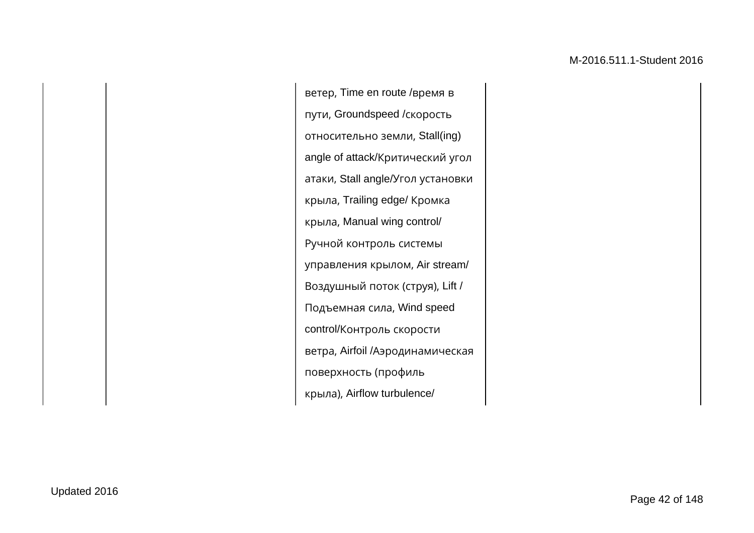ветер, Time en route /время в пути, Groundspeed /скорость относительно земли, Stall(ing) angle of attack/Критический угол атаки, Stall angle/Угол установки крыла, Trailing edge/ Кромка крыла, Manual wing control/ Ручной контроль системы управления крылом, Air stream/ Воздушный поток (струя), Lift / Подъемная сила, Wind speed control/Контроль скорости ветра, Airfoil /Аэродинамическая поверхность (профиль крыла), Airflow turbulence/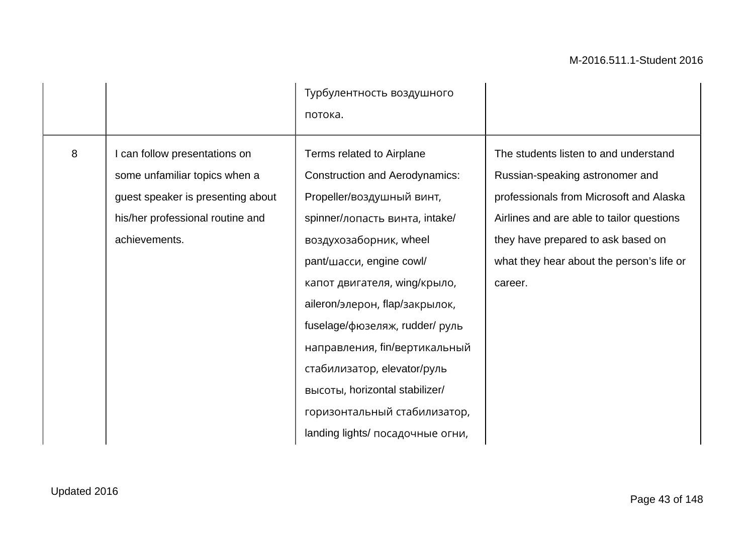|   |                                                                                                                                                        | Турбулентность воздушного<br>потока.                                                                                                                                                                                                                                                                                                                                                                                                                              |                                                                                                                                                                                                                                                                |
|---|--------------------------------------------------------------------------------------------------------------------------------------------------------|-------------------------------------------------------------------------------------------------------------------------------------------------------------------------------------------------------------------------------------------------------------------------------------------------------------------------------------------------------------------------------------------------------------------------------------------------------------------|----------------------------------------------------------------------------------------------------------------------------------------------------------------------------------------------------------------------------------------------------------------|
| 8 | can follow presentations on<br>some unfamiliar topics when a<br>guest speaker is presenting about<br>his/her professional routine and<br>achievements. | Terms related to Airplane<br><b>Construction and Aerodynamics:</b><br>Propeller/воздушный винт,<br>spinner/лопасть винта, intake/<br>воздухозаборник, wheel<br>pant/шасси, engine cowl/<br>капот двигателя, wing/крыло,<br>aileron/элерон, flap/закрылок,<br>fuselage/фюзеляж, rudder/ руль<br>направления, fin/вертикальный<br>стабилизатор, elevator/руль<br>высоты, horizontal stabilizer/<br>горизонтальный стабилизатор,<br>landing lights/ посадочные огни, | The students listen to and understand<br>Russian-speaking astronomer and<br>professionals from Microsoft and Alaska<br>Airlines and are able to tailor questions<br>they have prepared to ask based on<br>what they hear about the person's life or<br>career. |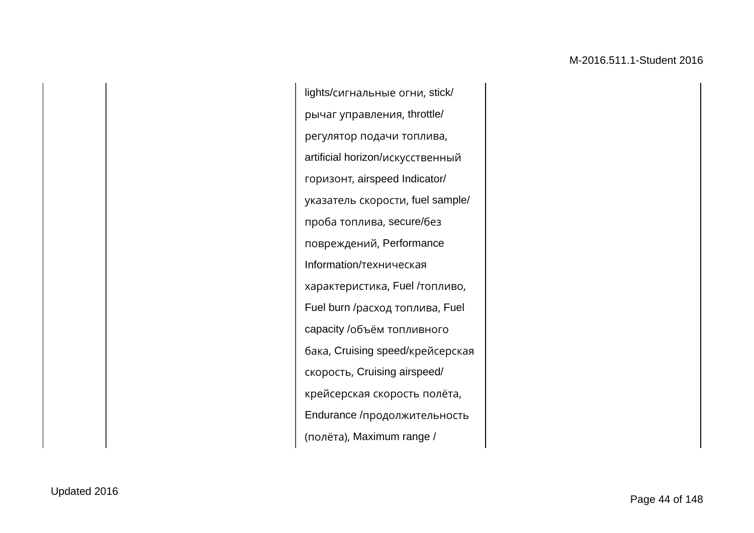lights/сигнальные огни, stick/ рычаг управления, throttle/ регулятор подачи топлива, artificial horizon/искусственный горизонт, airspeed Indicator/ указатель скорости, fuel sample/ проба топлива, secure/без повреждений, Performance Information/техническая характеристика, Fuel /топливо, Fuel burn /расход топлива, Fuel capacity /объём топливного бака, Cruising speed/крейсерская скорость, Cruising airspeed/ крейсерская скорость полёта, Endurance /продолжительность (полёта), Maximum range /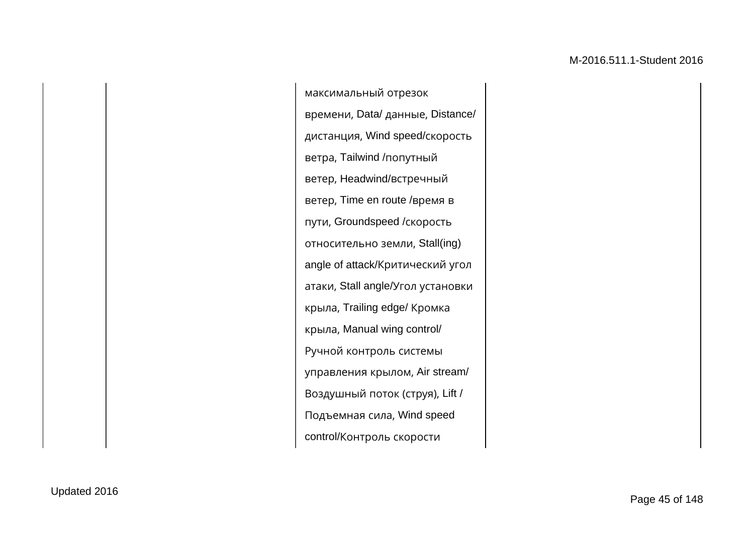максимальный отрезок времени, Data/ данные, Distance/ дистанция, Wind speed/скорость ветра, Tailwind /попутный ветер, Headwind/встречный ветер, Time en route /время в пути, Groundspeed /скорость относительно земли, Stall(ing) angle of attack/Критический угол атаки, Stall angle/Угол установки крыла, Trailing edge/ Кромка крыла, Manual wing control/ Ручной контроль системы управления крылом, Air stream/ Воздушный поток (струя), Lift / Подъемная сила, Wind speed control/Контроль скорости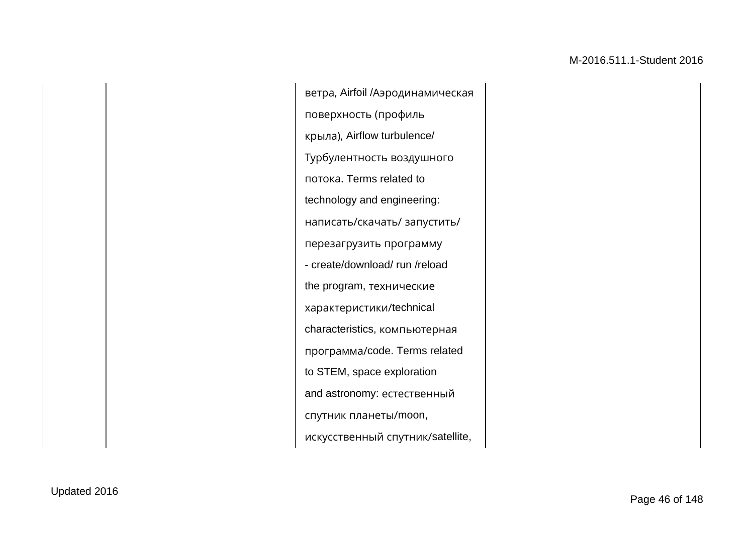ветра, Airfoil /Аэродинамическая поверхность (профиль крыла), Airflow turbulence/ Турбулентность воздушного потока. Terms related to technology and engineering: написать/скачать/ запустить/ перезагрузить программу - create/download/ run /reload the program, технические характеристики/technical characteristics, компьютерная программа/code. Terms related to STEM, space exploration and astronomy: естественный спутник планеты/moon, искусственный спутник/satellite,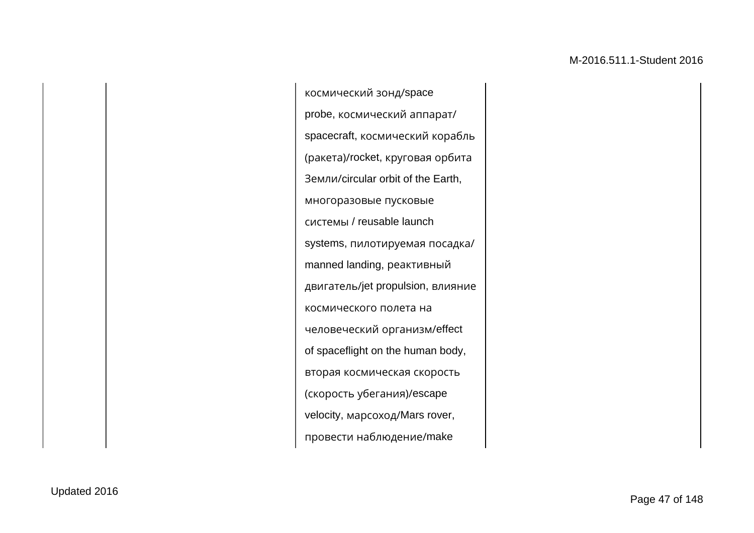космический зонд/space probe, космический аппарат/ spacecraft, космический корабль (ракета)/rocket, круговая орбита Земли/circular orbit of the Earth, многоразовые пусковые системы / reusable launch systems, пилотируемая посадка/ manned landing, реактивный двигатель/jet propulsion, влияние космического полета на человеческий организм/effect of spaceflight on the human body, вторая космическая скорость (скорость убегания)/escape velocity, марсоход/Mars rover, провести наблюдение/make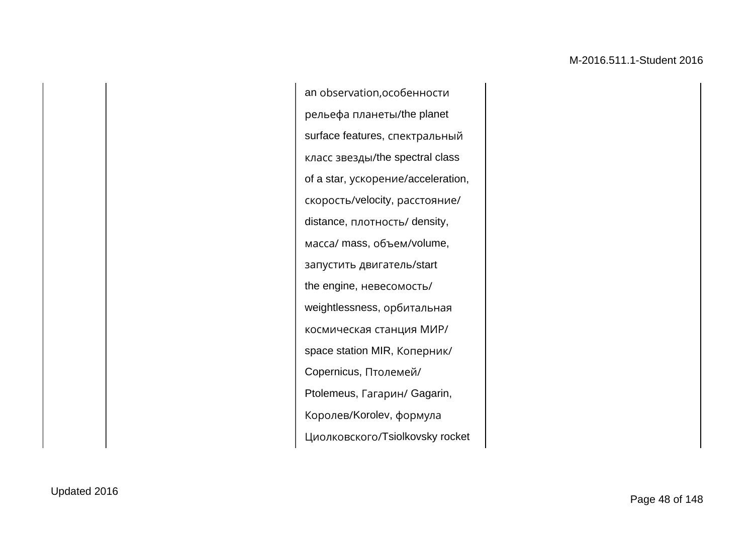an observation,особенности рельефа планеты/the planet surface features, спектральный класс звезды/the spectral class of a star, ускорение/acceleration, скорость/velocity, расстояние/ distance, плотность/ density, масса/ mass, объем/volume, запустить двигатель/start the engine, невесомость/ weightlessness, орбитальная космическая станция МИР/ space station MIR, Коперник/ Copernicus, Птолемей/ Ptolemeus, Гагарин/ Gagarin, Королев/Korolev, формула Циолковского/Tsiolkovsky rocket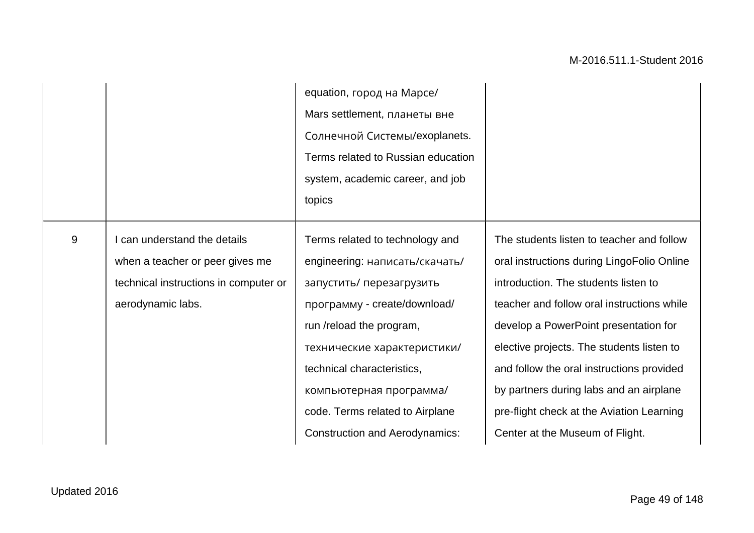|       |                                                                                                        | equation, город на Марсе/<br>Mars settlement, планеты вне<br>Солнечной Системы/exoplanets.<br>Terms related to Russian education<br>system, academic career, and job<br>topics                                               |                                                                                                                                                                                                                                                                                                          |
|-------|--------------------------------------------------------------------------------------------------------|------------------------------------------------------------------------------------------------------------------------------------------------------------------------------------------------------------------------------|----------------------------------------------------------------------------------------------------------------------------------------------------------------------------------------------------------------------------------------------------------------------------------------------------------|
|       |                                                                                                        |                                                                                                                                                                                                                              |                                                                                                                                                                                                                                                                                                          |
| $9\,$ | can understand the details<br>when a teacher or peer gives me<br>technical instructions in computer or | Terms related to technology and<br>engineering: написать/скачать/<br>запустить/ перезагрузить                                                                                                                                | The students listen to teacher and follow<br>oral instructions during LingoFolio Online<br>introduction. The students listen to                                                                                                                                                                          |
|       | aerodynamic labs.                                                                                      | программу - create/download/<br>run /reload the program,<br>технические характеристики/<br>technical characteristics,<br>компьютерная программа/<br>code. Terms related to Airplane<br><b>Construction and Aerodynamics:</b> | teacher and follow oral instructions while<br>develop a PowerPoint presentation for<br>elective projects. The students listen to<br>and follow the oral instructions provided<br>by partners during labs and an airplane<br>pre-flight check at the Aviation Learning<br>Center at the Museum of Flight. |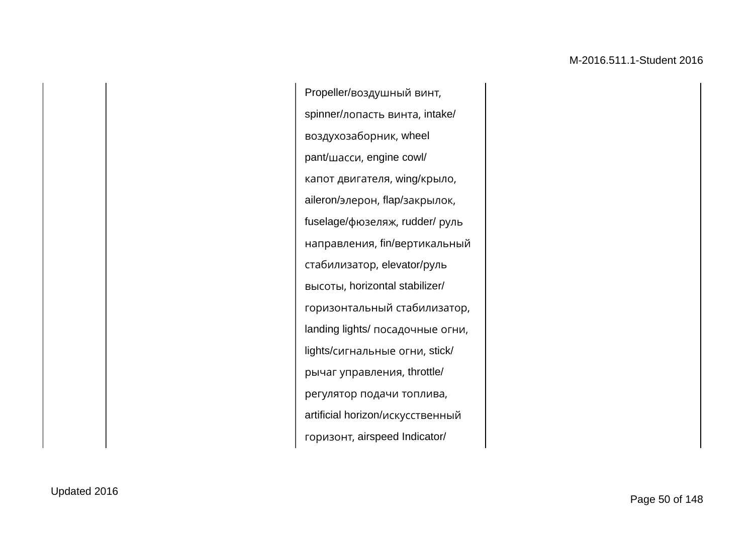Propeller/воздушный винт, spinner/лопасть винта, intake/ воздухозаборник, wheel pant/шасси, engine cowl/ капот двигателя, wing/крыло, aileron/элерон, flap/закрылок, fuselage/фюзеляж, rudder/ руль направления, fin/вертикальный стабилизатор, elevator/руль высоты, horizontal stabilizer/ горизонтальный стабилизатор, landing lights/ посадочные огни, lights/сигнальные огни, stick/ рычаг управления, throttle/ регулятор подачи топлива, artificial horizon/искусственный горизонт, airspeed Indicator/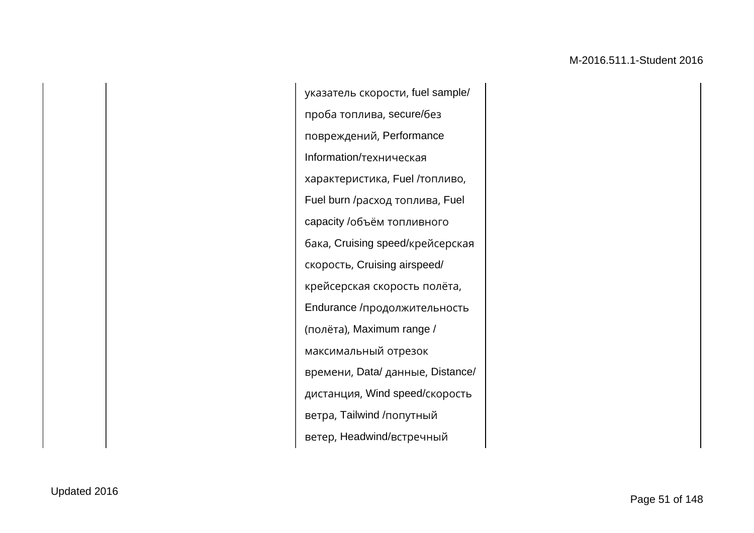указатель скорости, fuel sample/ проба топлива, secure/без повреждений, Performance Information/техническая характеристика, Fuel /топливо, Fuel burn /расход топлива, Fuel capacity /объём топливного бака, Cruising speed/крейсерская скорость, Cruising airspeed/ крейсерская скорость полёта, Endurance /продолжительность (полёта), Maximum range / максимальный отрезок времени, Data/ данные, Distance/ дистанция, Wind speed/скорость ветра, Tailwind /попутный ветер, Headwind/встречный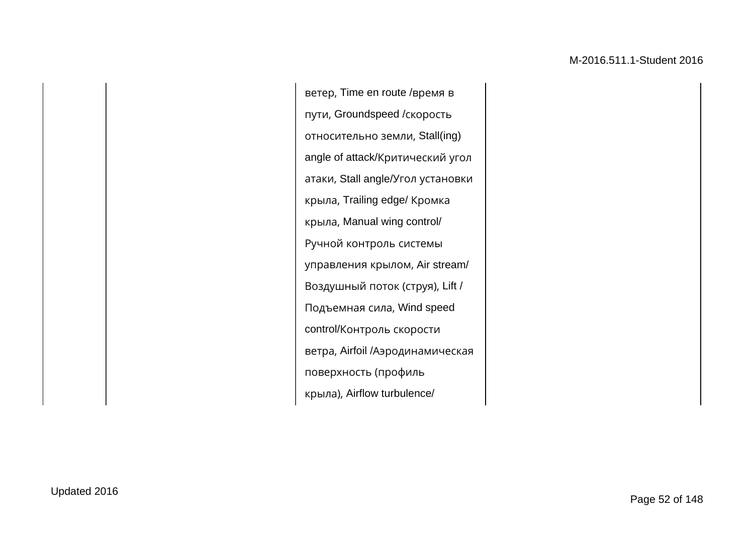ветер, Time en route /время в пути, Groundspeed /скорость относительно земли, Stall(ing) angle of attack/Критический угол атаки, Stall angle/Угол установки крыла, Trailing edge/ Кромка крыла, Manual wing control/ Ручной контроль системы управления крылом, Air stream/ Воздушный поток (струя), Lift / Подъемная сила, Wind speed control/Контроль скорости ветра, Airfoil /Аэродинамическая поверхность (профиль крыла), Airflow turbulence/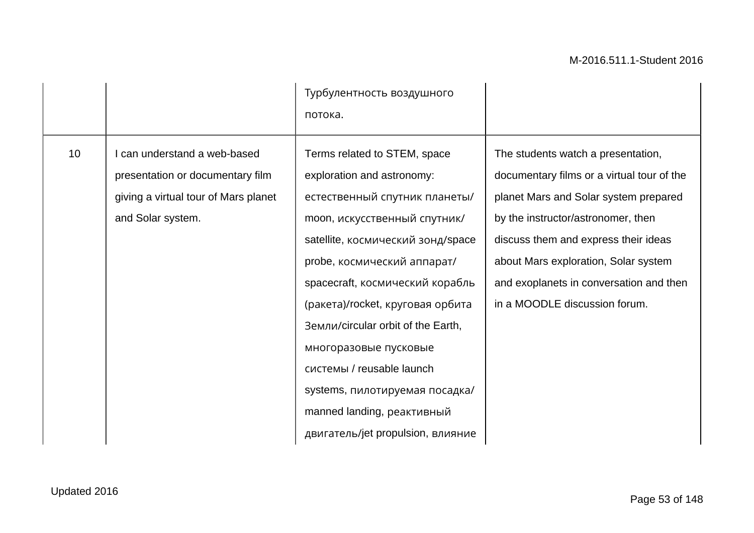|    |                                                                                                                             | Турбулентность воздушного<br>потока.                                                                                                                                                                                                                                                                                                                                                                                                                                    |                                                                                                                                                                                                                                                                                                                             |
|----|-----------------------------------------------------------------------------------------------------------------------------|-------------------------------------------------------------------------------------------------------------------------------------------------------------------------------------------------------------------------------------------------------------------------------------------------------------------------------------------------------------------------------------------------------------------------------------------------------------------------|-----------------------------------------------------------------------------------------------------------------------------------------------------------------------------------------------------------------------------------------------------------------------------------------------------------------------------|
| 10 | can understand a web-based<br>presentation or documentary film<br>giving a virtual tour of Mars planet<br>and Solar system. | Terms related to STEM, space<br>exploration and astronomy:<br>естественный спутник планеты/<br>moon, искусственный спутник/<br>satellite, космический зонд/space<br>probe, космический аппарат/<br>spacecraft, космический корабль<br>(ракета)/rocket, круговая орбита<br>Земли/circular orbit of the Earth,<br>многоразовые пусковые<br>системы / reusable launch<br>systems, пилотируемая посадка/<br>manned landing, реактивный<br>двигатель/jet propulsion, влияние | The students watch a presentation,<br>documentary films or a virtual tour of the<br>planet Mars and Solar system prepared<br>by the instructor/astronomer, then<br>discuss them and express their ideas<br>about Mars exploration, Solar system<br>and exoplanets in conversation and then<br>in a MOODLE discussion forum. |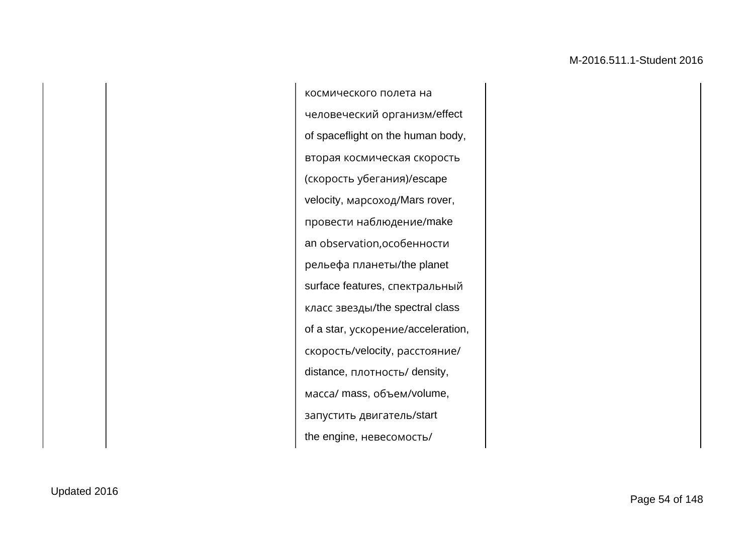космического полета на человеческий организм/effect of spaceflight on the human body, вторая космическая скорость (скорость убегания)/escape velocity, марсоход/Mars rover, провести наблюдение/make an observation,особенности рельефа планеты/the planet surface features, спектральный класс звезды/the spectral class of a star, ускорение/acceleration, скорость/velocity, расстояние/ distance, плотность/ density, масса/ mass, объем/volume, запустить двигатель/start the engine, невесомость/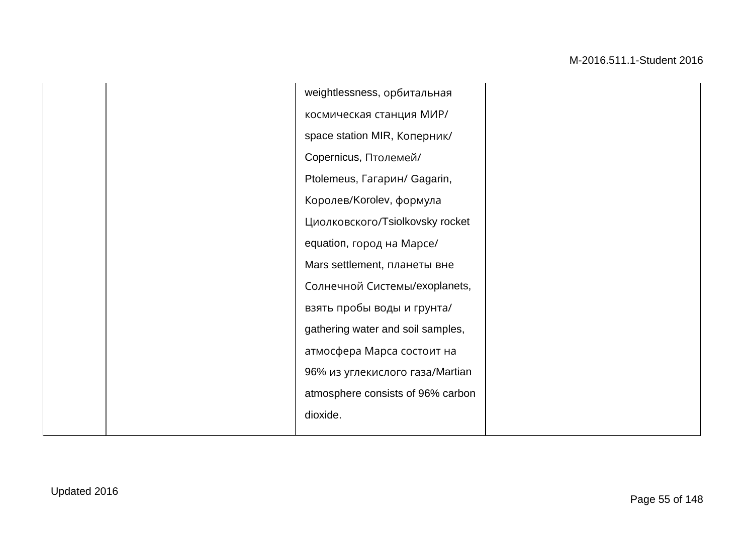|  | weightlessness, орбитальная       |  |
|--|-----------------------------------|--|
|  | космическая станция МИР/          |  |
|  | space station MIR, Коперник/      |  |
|  | Copernicus, Птолемей/             |  |
|  | Ptolemeus, Гагарин/ Gagarin,      |  |
|  | Королев/Korolev, формула          |  |
|  | Циолковского/Tsiolkovsky rocket   |  |
|  | equation, город на Марсе/         |  |
|  | Mars settlement, планеты вне      |  |
|  | Солнечной Системы/exoplanets,     |  |
|  | взять пробы воды и грунта/        |  |
|  | gathering water and soil samples, |  |
|  | атмосфера Марса состоит на        |  |
|  | 96% из углекислого газа/Martian   |  |
|  | atmosphere consists of 96% carbon |  |
|  | dioxide.                          |  |
|  |                                   |  |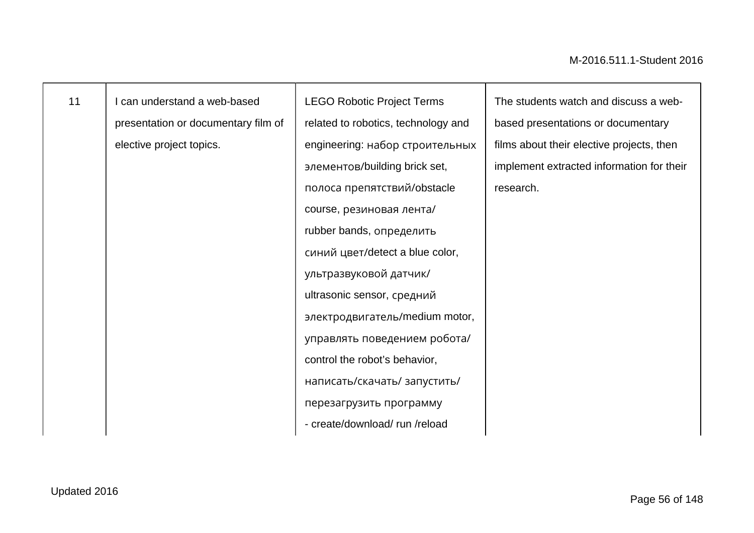| 11 | I can understand a web-based        | <b>LEGO Robotic Project Terms</b>   | The students watch and discuss a web-     |
|----|-------------------------------------|-------------------------------------|-------------------------------------------|
|    | presentation or documentary film of | related to robotics, technology and | based presentations or documentary        |
|    | elective project topics.            | engineering: набор строительных     | films about their elective projects, then |
|    |                                     | элементов/building brick set,       | implement extracted information for their |
|    |                                     | полоса препятствий/obstacle         | research.                                 |
|    |                                     | course, резиновая лента/            |                                           |
|    |                                     | rubber bands, определить            |                                           |
|    |                                     | синий цвет/detect a blue color,     |                                           |
|    |                                     | ультразвуковой датчик/              |                                           |
|    |                                     | ultrasonic sensor, средний          |                                           |
|    |                                     | электродвигатель/medium motor,      |                                           |
|    |                                     | управлять поведением робота/        |                                           |
|    |                                     | control the robot's behavior,       |                                           |
|    |                                     | написать/скачать/ запустить/        |                                           |
|    |                                     | перезагрузить программу             |                                           |
|    |                                     | - create/download/run/reload        |                                           |
|    |                                     |                                     |                                           |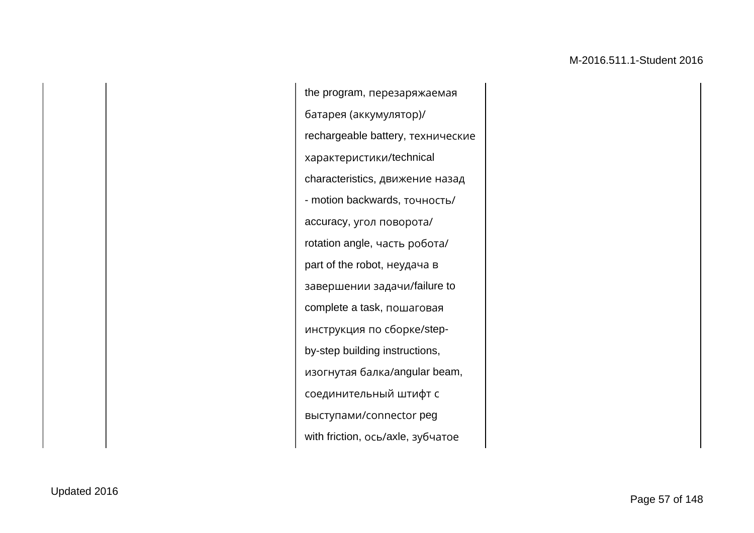the program, перезаряжаемая батарея (аккумулятор)/ rechargeable battery, технические характеристики/technical characteristics, движение назад - motion backwards, точность/ accuracy, угол поворота/ rotation angle, часть робота/ part of the robot, неудача в завершении задачи/failure to complete a task, пошаговая инструкция по сборке/stepby-step building instructions, изогнутая балка/angular beam, соединительный штифт с выступами/сonnector peg with friction, ось/axle, зубчатое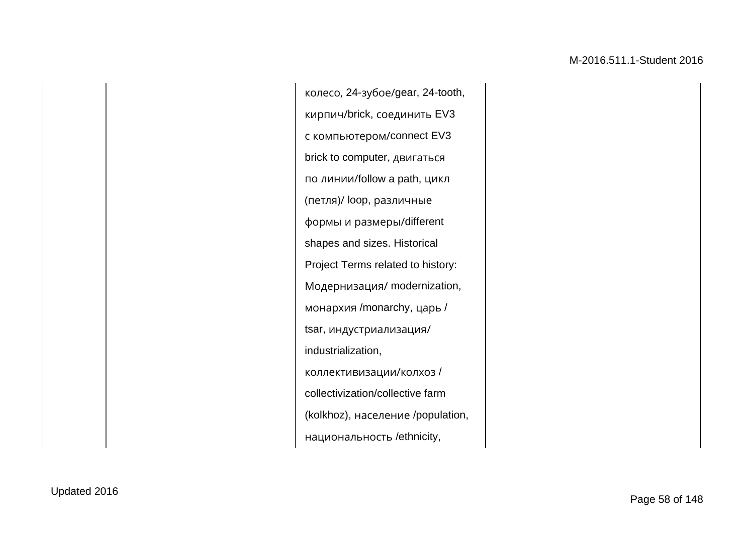колесо, 24-зубое/gear, 24-tooth, кирпич/brick, соединить EV3 с компьютером/connect EV3 brick to computer, двигаться по линии/follow a path, цикл (петля)/ loop, различные формы и размеры/different shapes and sizes. Historical Project Terms related to history: Модернизация/ modernization, монархия /monarchy, царь / tsar, индустриализация/ industrialization, коллективизации/колхоз / collectivization/collective farm (kolkhoz), население /population, национальность /ethnicity,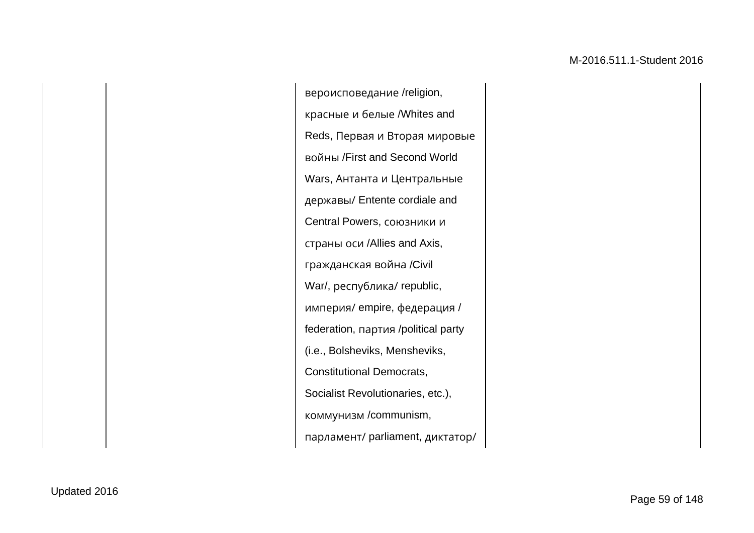вероисповедание /religion, красные и белые /Whites and Reds, Первая и Вторая мировые войны /First and Second World Wars, Антанта и Центральные державы/ Entente cordiale and Central Powers, союзники и страны оси /Allies and Axis, гражданская война /Civil War/, республика/ republic, империя/ empire, федерация / federation, партия /political party (i.e., Bolsheviks, Mensheviks, Constitutional Democrats, Socialist Revolutionaries, etc.), коммунизм /communism, парламент/ parliament, диктатор/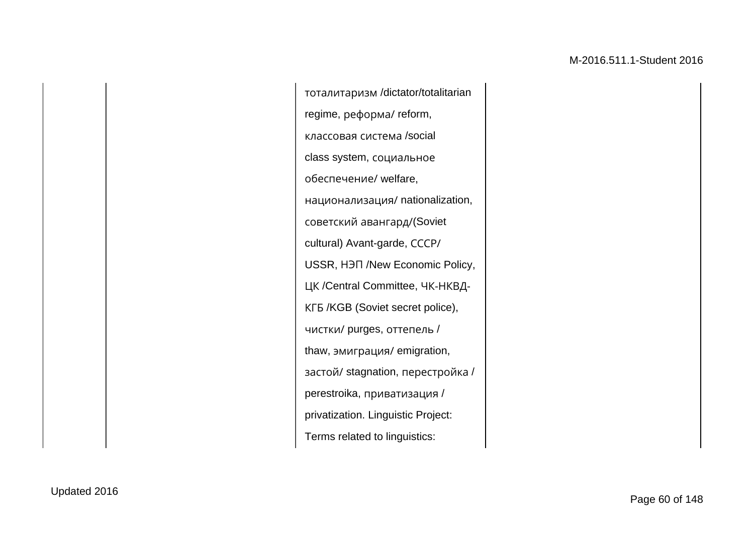тоталитаризм /dictator/totalitarian regime, реформа/ reform, классовая система /social class system, социальное обеспечение/ welfare, национализация/ nationalization, советский авангард/(Soviet cultural) Avant-garde, СССР/ USSR, НЭП /New Economic Policy, ЦК /Central Committee, ЧК-НКВД-КГБ /KGB (Soviet secret police), чистки/ purges, оттепель / thaw, эмиграция/ emigration, застой/ stagnation, перестройка / perestroika, приватизация / privatization. Linguistic Project: Terms related to linguistics: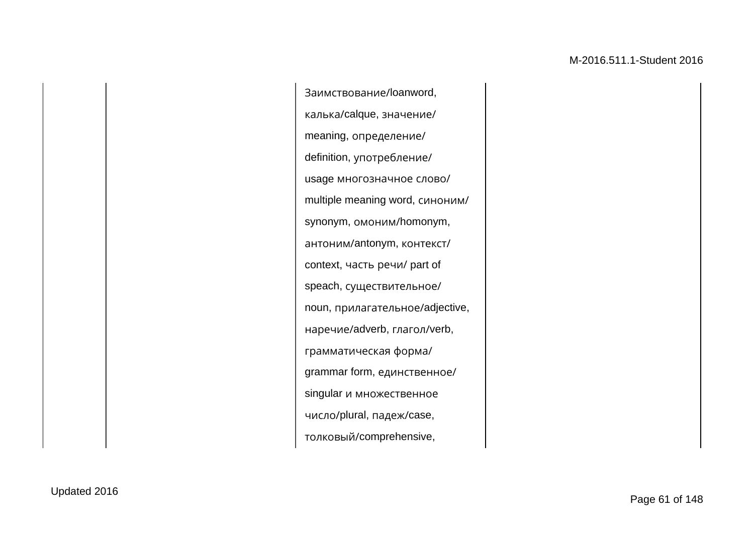Заимствование/loanword, калька/calque, значение/ meaning, определение/ definition, употребление/ usage многозначное слово/ multiple meaning word, синоним/ synonym, омоним/homonym, антоним/antonym, контекст/ context, часть речи/ part of speach, существительное/ noun, прилагательное/adjective, наречие/adverb, глагол/verb, грамматическая форма/ grammar form, единственное/ singular и множественное число/plural, падеж/case, толковый/comprehensive,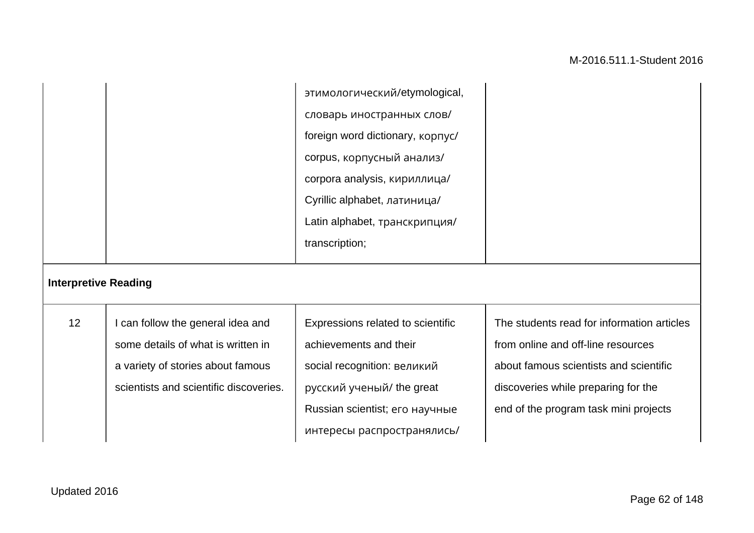|                             |                                        | этимологический/etymological,           |                                            |
|-----------------------------|----------------------------------------|-----------------------------------------|--------------------------------------------|
|                             |                                        | словарь иностранных слов/               |                                            |
|                             |                                        | foreign word dictionary, <b>kopnyc/</b> |                                            |
|                             |                                        | corpus, корпусный анализ/               |                                            |
|                             |                                        | corpora analysis, кириллица/            |                                            |
|                             |                                        | Cyrillic alphabet, латиница/            |                                            |
|                             |                                        | Latin alphabet, транскрипция/           |                                            |
|                             |                                        | transcription;                          |                                            |
| <b>Interpretive Reading</b> |                                        |                                         |                                            |
| 12                          | I can follow the general idea and      | Expressions related to scientific       | The students read for information articles |
|                             | some details of what is written in     | achievements and their                  | from online and off-line resources         |
|                             | a variety of stories about famous      | social recognition: великий             | about famous scientists and scientific     |
|                             | scientists and scientific discoveries. | русский ученый/ the great               | discoveries while preparing for the        |

Russian scientist; eго научные

интересы распространялись/

end of the program task mini projects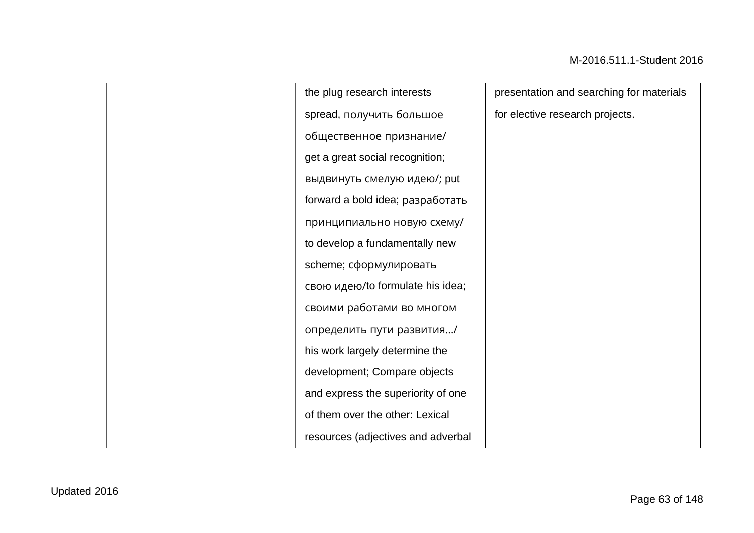the plug research interests spread, получить большое общественное признание/ get a great social recognition; выдвинуть смелую идею/; put forward a bold idea; разработать принципиально новую схему/ to develop a fundamentally new scheme; сформулировать свою идею/to formulate his idea; своими работами во многом определить пути развития…/ his work largely determine the development; Compare objects and express the superiority of one of them over the other: Lexical resources (adjectives and adverbal

presentation and searching for materials for elective research projects.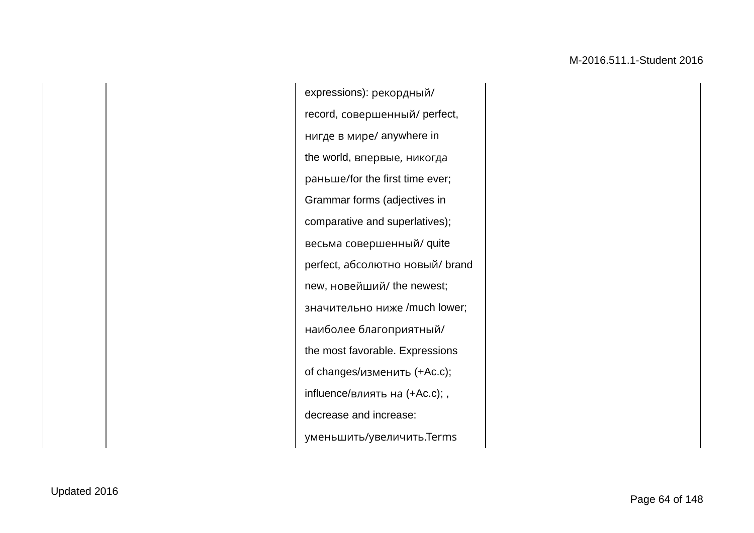expressions): рекордный/ record, совершенный/ perfect, нигде в мире/ anywhere in the world, впервые, никогда раньше/for the first time ever; Grammar forms (adjectives in comparative and superlatives); весьма совершенный/ quite perfect, абсолютно новый/ brand new, новейший/ the newest; значительно ниже /much lower; наиболее благоприятный/ the most favorable. Expressions of changes/изменить (+Ac.c); influence/влиять на (+Ac.c); , decrease and increase: уменьшить/увеличить.Terms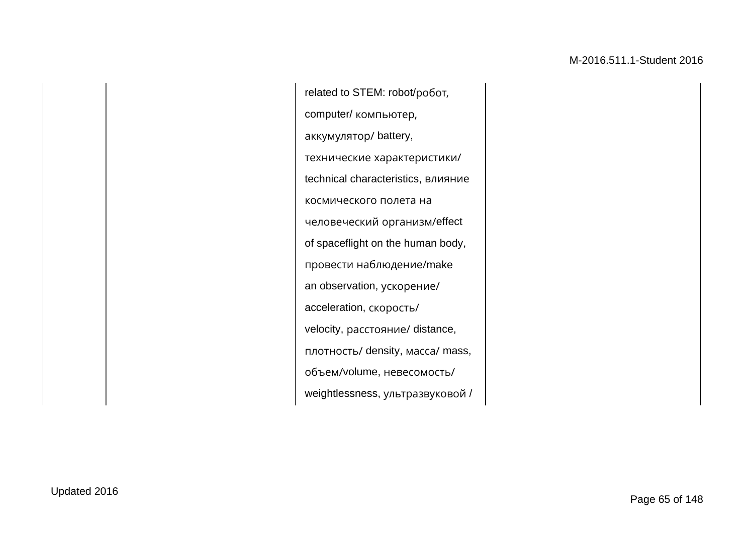related to STEM: robot/робот, computer/ компьютер, аккумулятор/ battery, технические характеристики/ technical characteristics, влияние космического полета на человеческий организм/effect of spaceflight on the human body, провести наблюдение/make an observation, ускорение/ acceleration, скорость/ velocity, расстояние/ distance, плотность/ density, масса/ mass, объем/volume, невесомость/ weightlessness, ультразвуковой /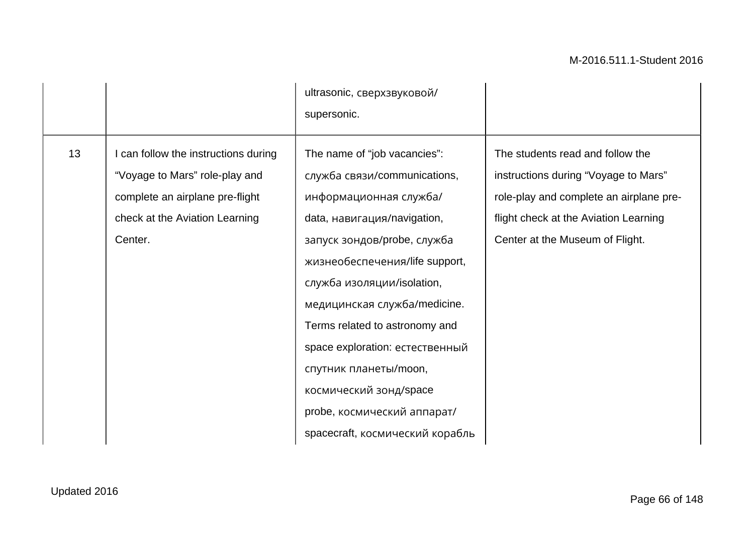|    |                                                                                                                                                        | ultrasonic, сверхзвуковой/<br>supersonic.                                                                                                                                                                                                                                                                                                                                                                                                      |                                                                                                                                                                                                 |
|----|--------------------------------------------------------------------------------------------------------------------------------------------------------|------------------------------------------------------------------------------------------------------------------------------------------------------------------------------------------------------------------------------------------------------------------------------------------------------------------------------------------------------------------------------------------------------------------------------------------------|-------------------------------------------------------------------------------------------------------------------------------------------------------------------------------------------------|
| 13 | I can follow the instructions during<br>"Voyage to Mars" role-play and<br>complete an airplane pre-flight<br>check at the Aviation Learning<br>Center. | The name of "job vacancies":<br>служба связи/communications,<br>информационная служба/<br>data, навигация/navigation,<br>запуск зондов/probe, служба<br>жизнеобеспечения/life support,<br>служба изоляции/isolation,<br>медицинская служба/medicine.<br>Terms related to astronomy and<br>space exploration: естественный<br>спутник планеты/moon,<br>космический зонд/space<br>probe, космический аппарат/<br>spacecraft, космический корабль | The students read and follow the<br>instructions during "Voyage to Mars"<br>role-play and complete an airplane pre-<br>flight check at the Aviation Learning<br>Center at the Museum of Flight. |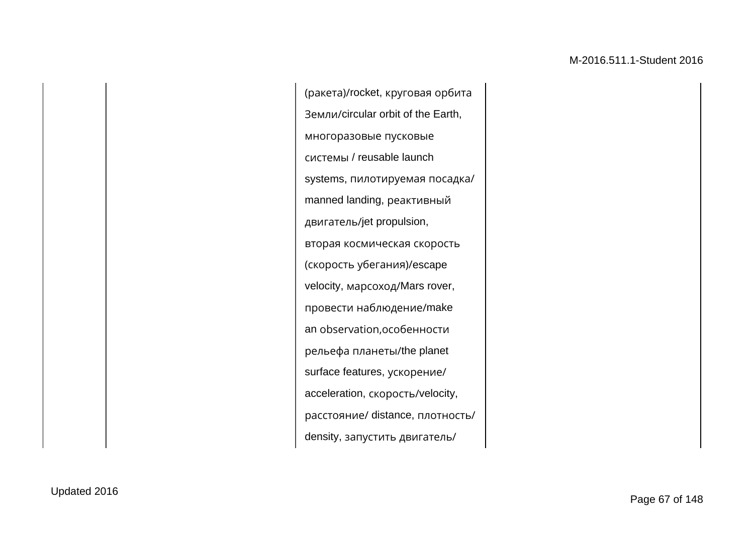(ракета)/rocket, круговая орбита Земли/circular orbit of the Earth, многоразовые пусковые системы / reusable launch systems, пилотируемая посадка/ manned landing, реактивный двигатель/jet propulsion, вторая космическая скорость (скорость убегания)/escape velocity, марсоход/Mars rover, провести наблюдение/make an observation,особенности рельефа планеты/the planet surface features, ускорение/ acceleration, скорость/velocity, расстояние/ distance, плотность/ density, запустить двигатель/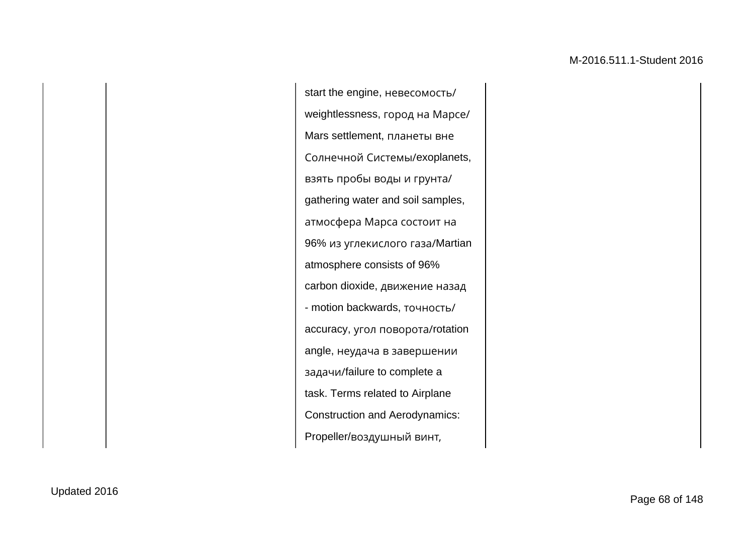start the engine, невесомость/ weightlessness, город на Марсе/ Mars settlement, планеты вне Солнечной Системы/exoplanets, взять пробы воды и грунта/ gathering water and soil samples, атмосфера Марса состоит на 96% из углекислого газа/Martian atmosphere consists of 96% carbon dioxide, движение назад - motion backwards, точность/ accuracy, угол поворота/rotation angle, неудача в завершении задачи/failure to complete a task. Terms related to Airplane Construction and Aerodynamics: Propeller/воздушный винт,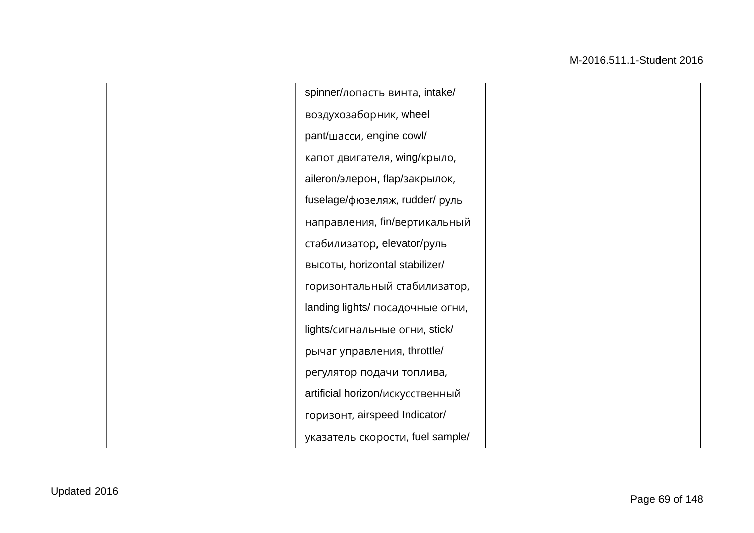spinner/лопасть винта, intake/ воздухозаборник, wheel pant/шасси, engine cowl/ капот двигателя, wing/крыло, aileron/элерон, flap/закрылок, fuselage/фюзеляж, rudder/ руль направления, fin/вертикальный стабилизатор, elevator/руль высоты, horizontal stabilizer/ горизонтальный стабилизатор, landing lights/ посадочные огни, lights/сигнальные огни, stick/ рычаг управления, throttle/ регулятор подачи топлива, artificial horizon/искусственный горизонт, airspeed Indicator/ указатель скорости, fuel sample/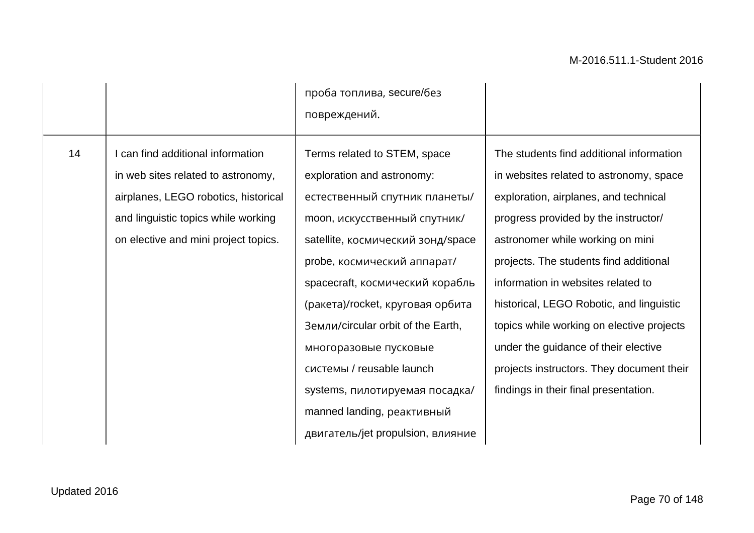|    |                                                                                                                                                                                              | проба топлива, secure/без<br>повреждений.                                                                                                                                                                                                                                                                                                                                                                                                                               |                                                                                                                                                                                                                                                                                                                                                                                                                                                                                                                 |
|----|----------------------------------------------------------------------------------------------------------------------------------------------------------------------------------------------|-------------------------------------------------------------------------------------------------------------------------------------------------------------------------------------------------------------------------------------------------------------------------------------------------------------------------------------------------------------------------------------------------------------------------------------------------------------------------|-----------------------------------------------------------------------------------------------------------------------------------------------------------------------------------------------------------------------------------------------------------------------------------------------------------------------------------------------------------------------------------------------------------------------------------------------------------------------------------------------------------------|
| 14 | can find additional information<br>in web sites related to astronomy,<br>airplanes, LEGO robotics, historical<br>and linguistic topics while working<br>on elective and mini project topics. | Terms related to STEM, space<br>exploration and astronomy:<br>естественный спутник планеты/<br>moon, искусственный спутник/<br>satellite, космический зонд/space<br>probe, космический аппарат/<br>spacecraft, космический корабль<br>(ракета)/rocket, круговая орбита<br>Земли/circular orbit of the Earth,<br>многоразовые пусковые<br>системы / reusable launch<br>systems, пилотируемая посадка/<br>manned landing, реактивный<br>двигатель/jet propulsion, влияние | The students find additional information<br>in websites related to astronomy, space<br>exploration, airplanes, and technical<br>progress provided by the instructor/<br>astronomer while working on mini<br>projects. The students find additional<br>information in websites related to<br>historical, LEGO Robotic, and linguistic<br>topics while working on elective projects<br>under the guidance of their elective<br>projects instructors. They document their<br>findings in their final presentation. |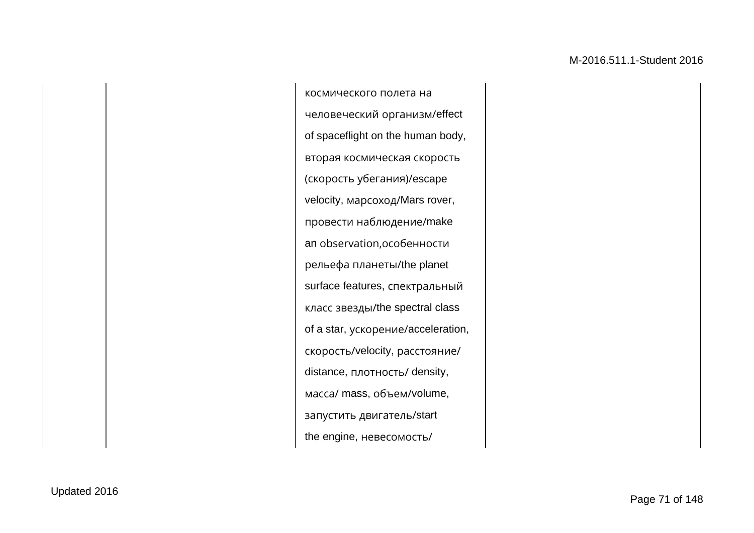космического полета на человеческий организм/effect of spaceflight on the human body, вторая космическая скорость (скорость убегания)/escape velocity, марсоход/Mars rover, провести наблюдение/make an observation,особенности рельефа планеты/the planet surface features, спектральный класс звезды/the spectral class of a star, ускорение/acceleration, скорость/velocity, расстояние/ distance, плотность/ density, масса/ mass, объем/volume, запустить двигатель/start the engine, невесомость/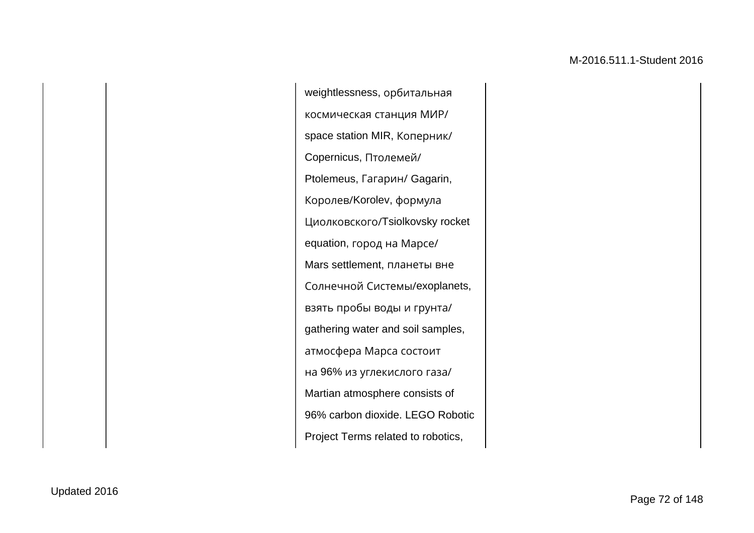weightlessness, орбитальная космическая станция МИР/ space station MIR, Коперник/ Copernicus, Птолемей/ Ptolemeus, Гагарин/ Gagarin, Королев/Korolev, формула Циолковского/Tsiolkovsky rocket equation, город на Марсе/ Mars settlement, планеты вне Солнечной Системы/exoplanets, взять пробы воды и грунта/ gathering water and soil samples, атмосфера Марса состоит на 96% из углекислого газа/ Martian atmosphere consists of 96% carbon dioxide. LEGO Robotic Project Terms related to robotics,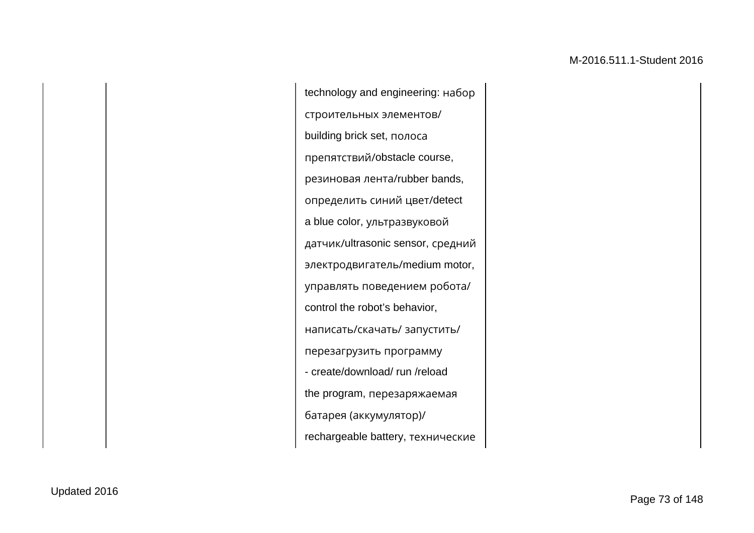technology and engineering: набор строительных элементов/ building brick set, полоса препятствий/obstacle course, резиновая лента/rubber bands, определить синий цвет/detect a blue color, ультразвуковой датчик/ultrasonic sensor, средний электродвигатель/medium motor, управлять поведением робота/ control the robot's behavior, написать/скачать/ запустить/ перезагрузить программу - create/download/ run /reload the program, перезаряжаемая батарея (аккумулятор)/ rechargeable battery, технические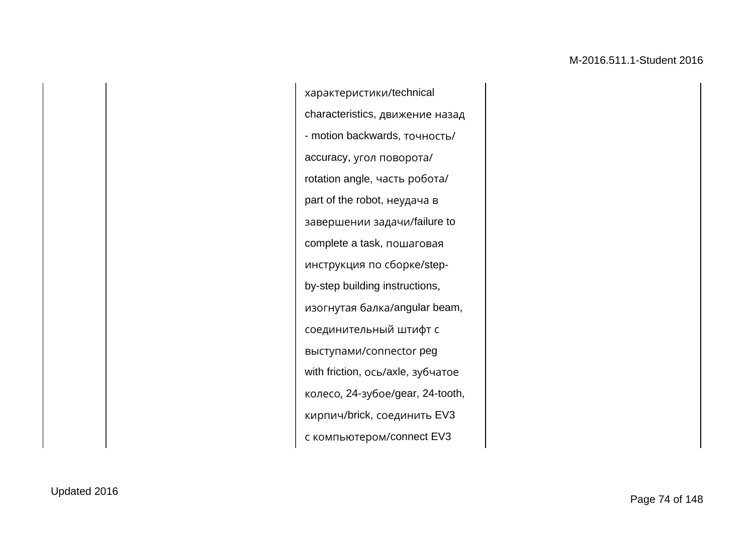характеристики/technical characteristics, движение назад - motion backwards, точность/ accuracy, угол поворота/ rotation angle, часть робота/ part of the robot, неудача в завершении задачи/failure to complete a task, пошаговая инструкция по сборке/stepby-step building instructions, изогнутая балка/angular beam, соединительный штифт с выступами/сonnector peg with friction, ось/axle, зубчатое колесо, 24-зубое/gear, 24-tooth, кирпич/brick, соединить EV3 с компьютером/connect EV3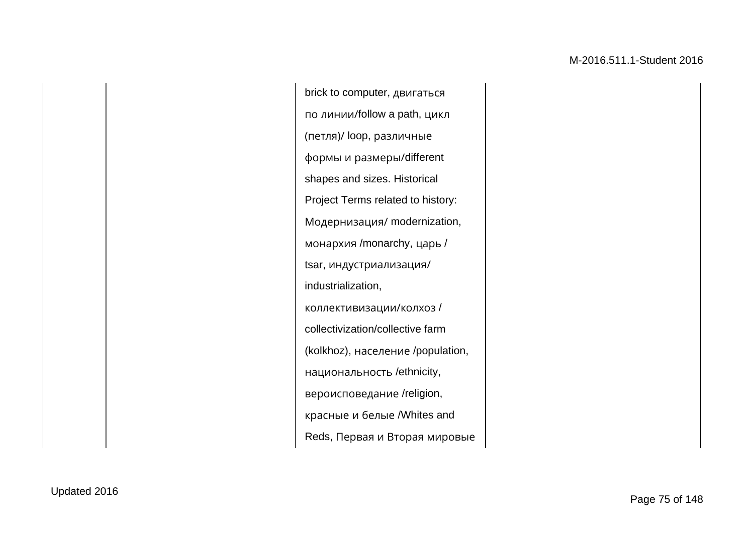brick to computer, двигаться по линии/follow a path, цикл (петля)/ loop, различные формы и размеры/different shapes and sizes. Historical Project Terms related to history: Модернизация/ modernization, монархия /monarchy, царь / tsar, индустриализация/ industrialization, коллективизации/колхоз / collectivization/collective farm (kolkhoz), население /population, национальность /ethnicity, вероисповедание /religion, красные и белые /Whites and Reds, Первая и Вторая мировые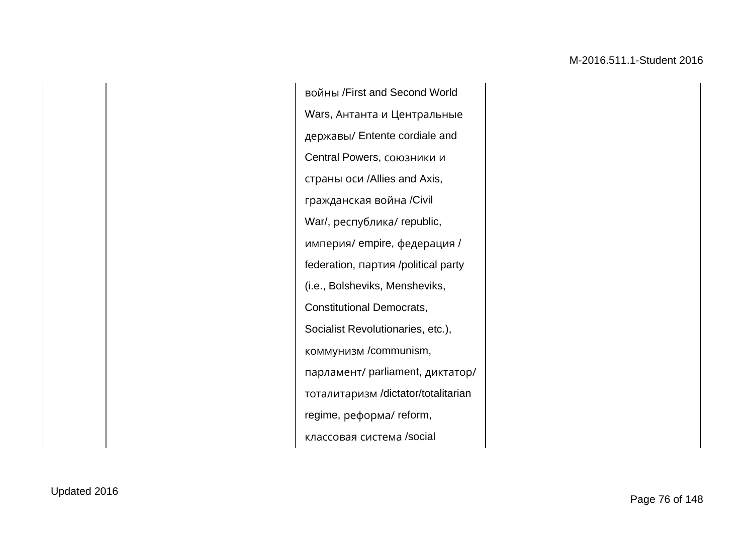войны /First and Second World Wars, Антанта и Центральные державы/ Entente cordiale and Central Powers, союзники и страны оси /Allies and Axis, гражданская война /Civil War/, республика/ republic, империя/ empire, федерация / federation, партия /political party (i.e., Bolsheviks, Mensheviks, Constitutional Democrats, Socialist Revolutionaries, etc.), коммунизм /communism, парламент/ parliament, диктатор/ тоталитаризм /dictator/totalitarian regime, реформа/ reform, классовая система /social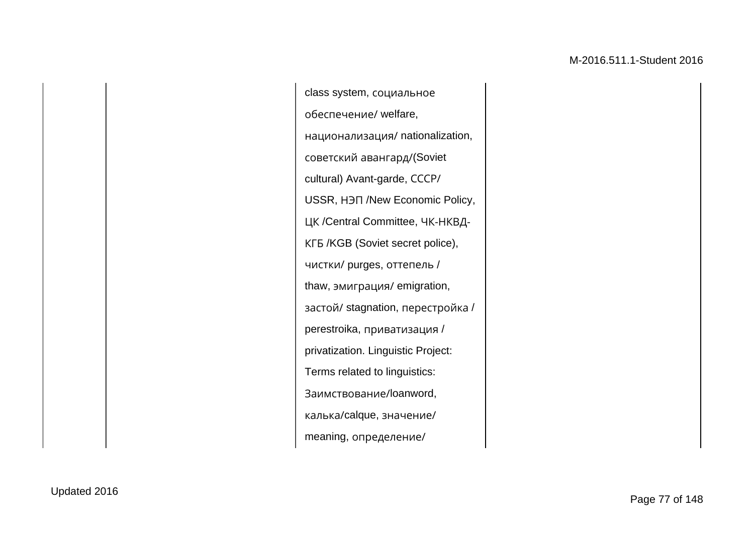class system, социальное обеспечение/ welfare, национализация/ nationalization, советский авангард/(Soviet cultural) Avant-garde, СССР/ USSR, НЭП /New Economic Policy, ЦК /Central Committee, ЧК-НКВД-КГБ /KGB (Soviet secret police), чистки/ purges, оттепель / thaw, эмиграция/ emigration, застой/ stagnation, перестройка / perestroika, приватизация / privatization. Linguistic Project: Terms related to linguistics: Заимствование/loanword, калька/calque, значение/ meaning, определение/

Updated 2016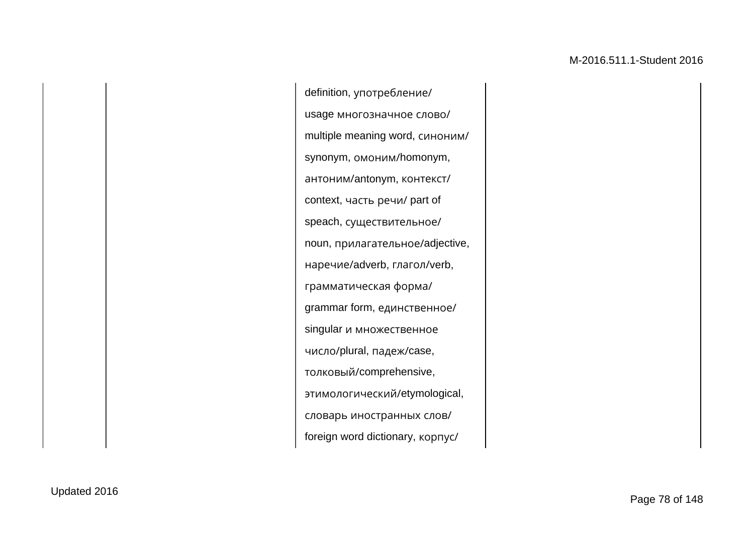definition, употребление/ usage многозначное слово/ multiple meaning word, синоним/ synonym, омоним/homonym, антоним/antonym, контекст/ context, часть речи/ part of speach, существительное/ noun, прилагательное/adjective, наречие/adverb, глагол/verb, грамматическая форма/ grammar form, единственное/ singular и множественное число/plural, падеж/case, толковый/comprehensive, этимологический/etymological, словарь иностранных слов/ foreign word dictionary, корпус/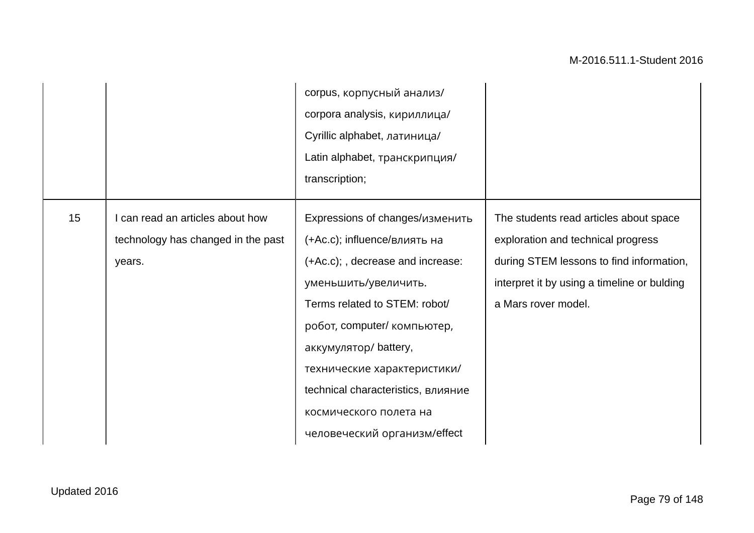|    |                                                                                  | corpus, корпусный анализ/<br>corpora analysis, кириллица/<br>Cyrillic alphabet, латиница/<br>Latin alphabet, транскрипция/<br>transcription;                                                                                                                                                                                                        |                                                                                                                                                                                                |
|----|----------------------------------------------------------------------------------|-----------------------------------------------------------------------------------------------------------------------------------------------------------------------------------------------------------------------------------------------------------------------------------------------------------------------------------------------------|------------------------------------------------------------------------------------------------------------------------------------------------------------------------------------------------|
| 15 | I can read an articles about how<br>technology has changed in the past<br>years. | Expressions of changes/изменить<br>(+Ac.c); influence/влиять на<br>(+Ac.c); , decrease and increase:<br>уменьшить/увеличить.<br>Terms related to STEM: robot/<br>робот, computer/ компьютер,<br>аккумулятор/battery,<br>технические характеристики/<br>technical characteristics, влияние<br>космического полета на<br>человеческий организм/effect | The students read articles about space<br>exploration and technical progress<br>during STEM lessons to find information,<br>interpret it by using a timeline or bulding<br>a Mars rover model. |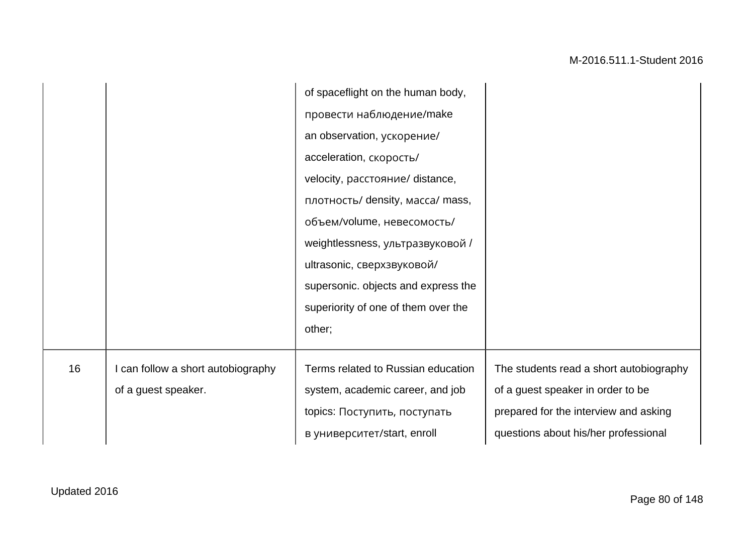|    |                                    | of spaceflight on the human body,   |                                         |
|----|------------------------------------|-------------------------------------|-----------------------------------------|
|    |                                    | провести наблюдение/make            |                                         |
|    |                                    | an observation, ускорение/          |                                         |
|    |                                    | acceleration, скорость/             |                                         |
|    |                                    | velocity, расстояние/ distance,     |                                         |
|    |                                    | плотность/ density, масса/ mass,    |                                         |
|    |                                    | объем/volume, невесомость/          |                                         |
|    |                                    | weightlessness, ультразвуковой /    |                                         |
|    |                                    | ultrasonic, сверхзвуковой/          |                                         |
|    |                                    | supersonic. objects and express the |                                         |
|    |                                    | superiority of one of them over the |                                         |
|    |                                    | other;                              |                                         |
|    |                                    |                                     |                                         |
| 16 | I can follow a short autobiography | Terms related to Russian education  | The students read a short autobiography |
|    | of a guest speaker.                | system, academic career, and job    | of a guest speaker in order to be       |
|    |                                    | topics: Поступить, поступать        | prepared for the interview and asking   |
|    |                                    | в университет/start, enroll         | questions about his/her professional    |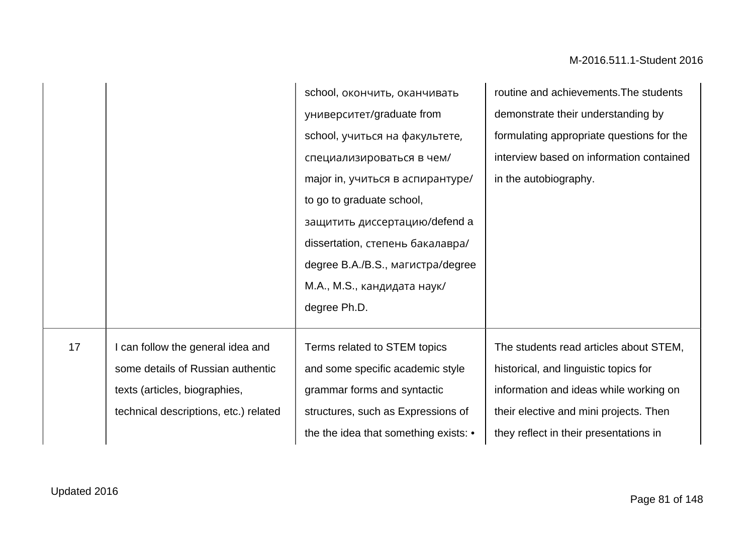|    |                                       | school, окончить, оканчивать          | routine and achievements. The students    |
|----|---------------------------------------|---------------------------------------|-------------------------------------------|
|    |                                       | университет/graduate from             | demonstrate their understanding by        |
|    |                                       | school, учиться на факультете,        | formulating appropriate questions for the |
|    |                                       | специализироваться в чем/             | interview based on information contained  |
|    |                                       | major in, учиться в аспирантуре/      | in the autobiography.                     |
|    |                                       | to go to graduate school,             |                                           |
|    |                                       | защитить диссертацию/defend a         |                                           |
|    |                                       | dissertation, степень бакалавра/      |                                           |
|    |                                       | degree B.A./B.S., магистра/degree     |                                           |
|    |                                       | М.А., М.S., кандидата наук/           |                                           |
|    |                                       | degree Ph.D.                          |                                           |
|    |                                       |                                       |                                           |
| 17 | can follow the general idea and       | Terms related to STEM topics          | The students read articles about STEM,    |
|    | some details of Russian authentic     | and some specific academic style      | historical, and linguistic topics for     |
|    | texts (articles, biographies,         | grammar forms and syntactic           | information and ideas while working on    |
|    | technical descriptions, etc.) related | structures, such as Expressions of    | their elective and mini projects. Then    |
|    |                                       | the the idea that something exists: • | they reflect in their presentations in    |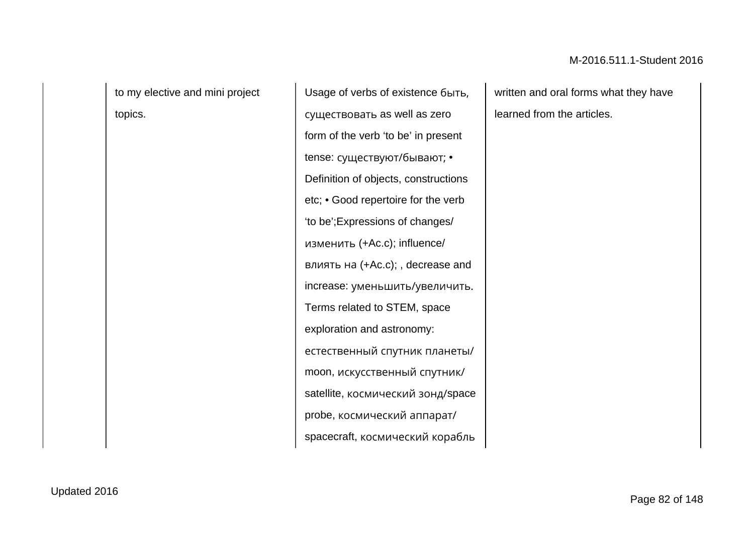to my elective and mini project topics.

Usage of verbs of existence быть, существовать as well as zero form of the verb 'to be' in present tense: cуществуют/бывают; • Definition of objects, constructions etc; • Good repertoire for the verb 'to be';Expressions of changes/ изменить (+Ac.c); influence/ влиять на (+Ac.c); , decrease and increase: уменьшить/увеличить. Terms related to STEM, space exploration and astronomy: естественный спутник планеты/ moon, искусственный спутник/ satellite, космический зонд/space probe, космический аппарат/ spacecraft, космический корабль

written and oral forms what they have learned from the articles.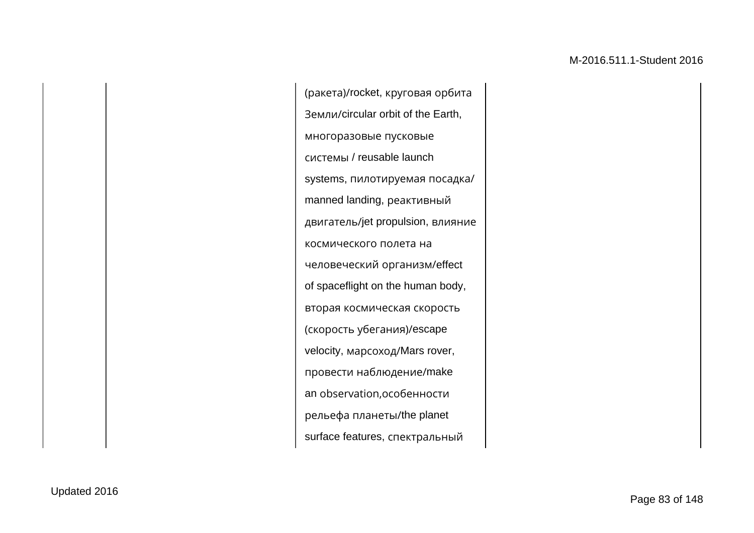(ракета)/rocket, круговая орбита Земли/circular orbit of the Earth, многоразовые пусковые системы / reusable launch systems, пилотируемая посадка/ manned landing, реактивный двигатель/jet propulsion, влияние космического полета на человеческий организм/effect of spaceflight on the human body, вторая космическая скорость (скорость убегания)/escape velocity, марсоход/Mars rover, провести наблюдение/make an observation,особенности рельефа планеты/the planet surface features, спектральный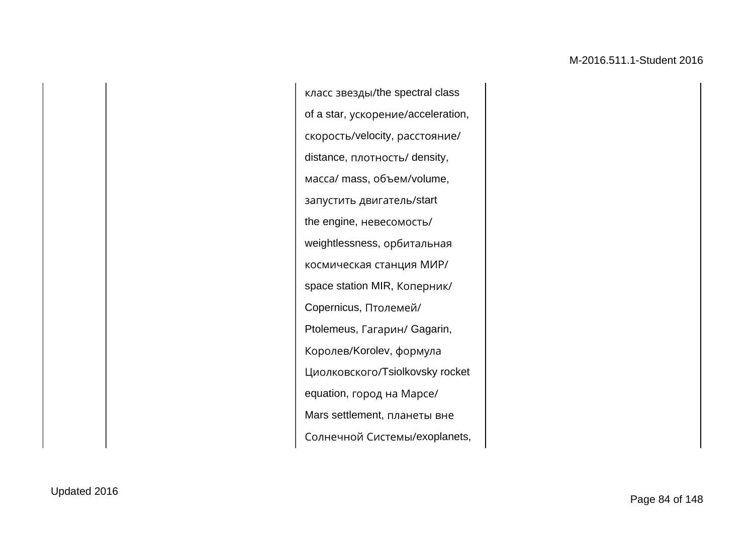класс звезды/the spectral class of a star, ускорение/acceleration, скорость/velocity, расстояние/ distance, плотность/ density, масса/ mass, объем/volume, запустить двигатель/start the engine, невесомость/ weightlessness, орбитальная космическая станция МИР/ space station MIR, Коперник/ Copernicus, Птолемей/ Ptolemeus, Гагарин/ Gagarin, Королев/Korolev, формула Циолковского/Tsiolkovsky rocket equation, город на Марсе/ Mars settlement, планеты вне Солнечной Системы/exoplanets,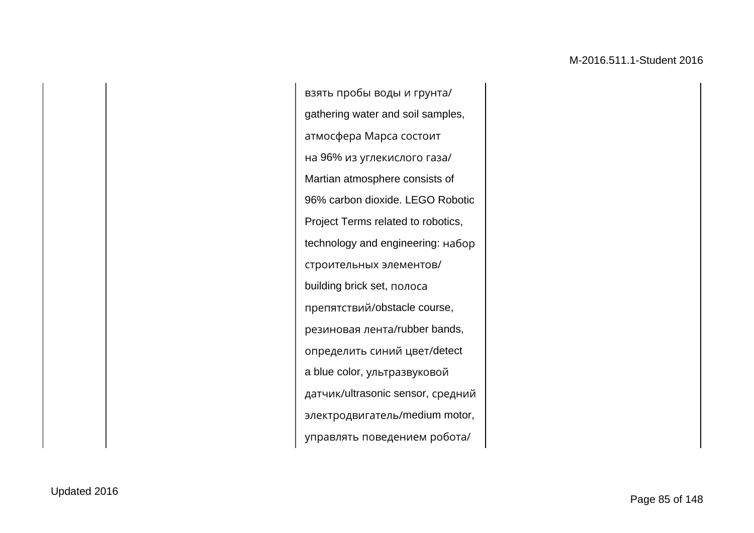взять пробы воды и грунта/ gathering water and soil samples, атмосфера Марса состоит на 96% из углекислого газа/ Martian atmosphere consists of 96% carbon dioxide. LEGO Robotic Project Terms related to robotics, technology and engineering: набор строительных элементов/ building brick set, полоса препятствий/obstacle course, резиновая лента/rubber bands, определить синий цвет/detect a blue color, ультразвуковой датчик/ultrasonic sensor, средний электродвигатель/medium motor, управлять поведением робота/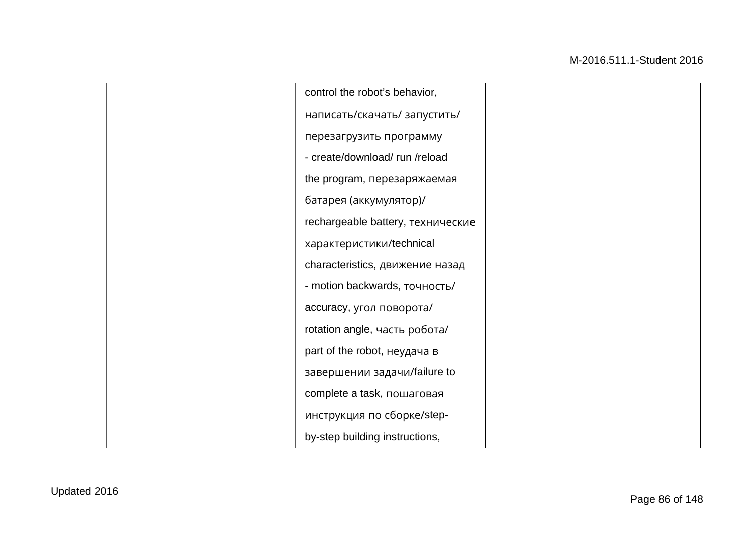control the robot's behavior, написать/скачать/ запустить/ перезагрузить программу - create/download/ run /reload the program, перезаряжаемая батарея (аккумулятор)/ rechargeable battery, технические характеристики/technical characteristics, движение назад - motion backwards, точность/ accuracy, угол поворота/ rotation angle, часть робота/ part of the robot, неудача в завершении задачи/failure to complete a task, пошаговая инструкция по сборке/stepby-step building instructions,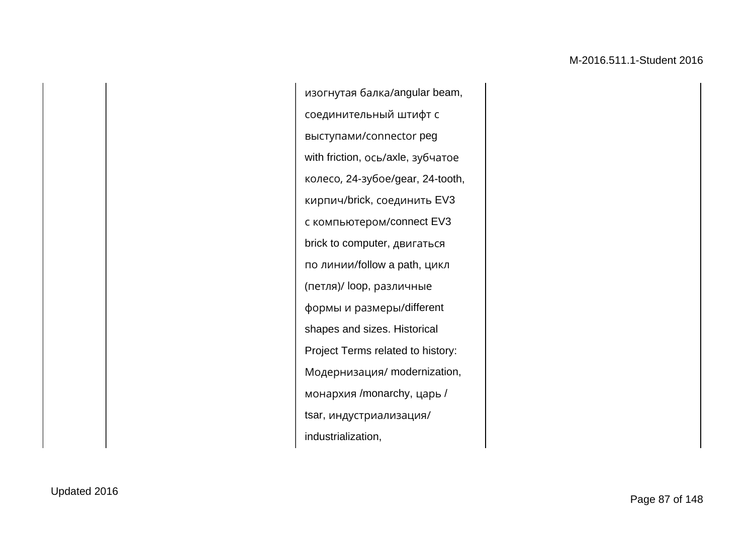изогнутая балка/angular beam, соединительный штифт с выступами/сonnector peg with friction, ось/axle, зубчатое колесо, 24-зубое/gear, 24-tooth, кирпич/brick, соединить EV3 с компьютером/connect EV3 brick to computer, двигаться по линии/follow a path, цикл (петля)/ loop, различные формы и размеры/different shapes and sizes. Historical Project Terms related to history: Модернизация/ modernization, монархия /monarchy, царь / tsar, индустриализация/ industrialization,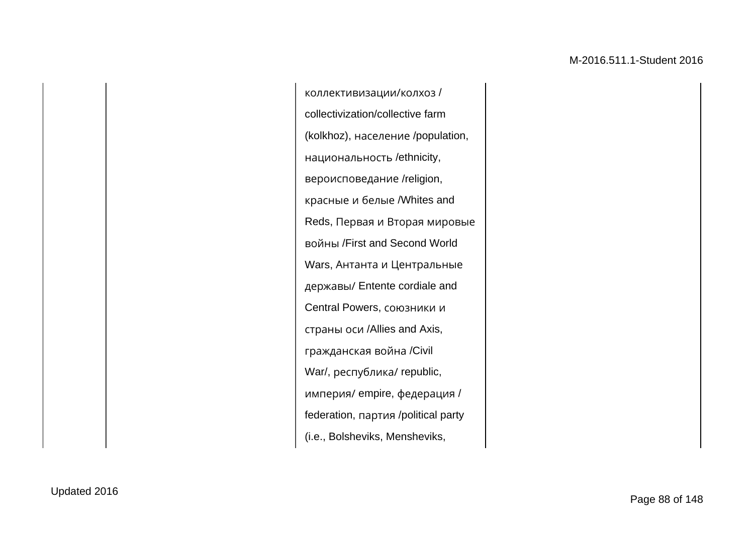коллективизации/колхоз / collectivization/collective farm (kolkhoz), население /population, национальность /ethnicity, вероисповедание /religion, красные и белые /Whites and Reds, Первая и Вторая мировые войны /First and Second World Wars, Антанта и Центральные державы/ Entente cordiale and Central Powers, союзники и страны оси /Allies and Axis, гражданская война /Civil War/, республика/ republic, империя/ empire, федерация / federation, партия /political party (i.e., Bolsheviks, Mensheviks,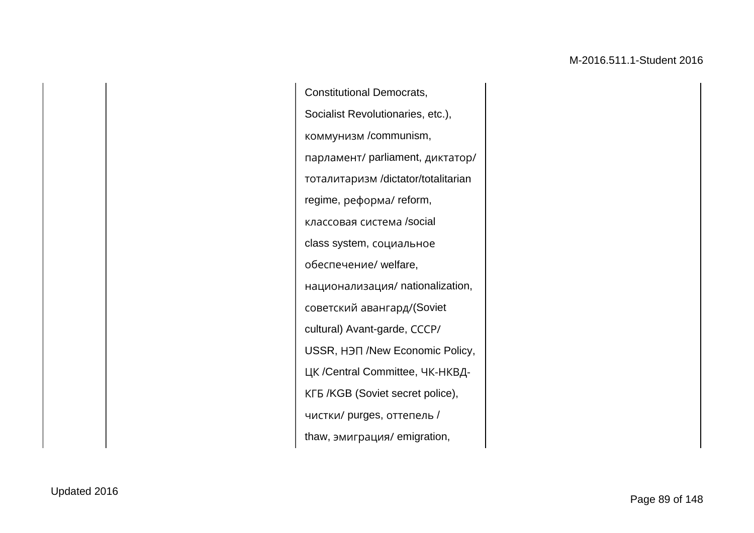Constitutional Democrats, Socialist Revolutionaries, etc.), коммунизм /communism, парламент/ parliament, диктатор/ тоталитаризм /dictator/totalitarian regime, реформа/ reform, классовая система /social class system, социальное обеспечение/ welfare, национализация/ nationalization, советский авангард/(Soviet cultural) Avant-garde, СССР/ USSR, НЭП /New Economic Policy, ЦК /Central Committee, ЧК-НКВД-КГБ /KGB (Soviet secret police), чистки/ purges, оттепель / thaw, эмиграция/ emigration,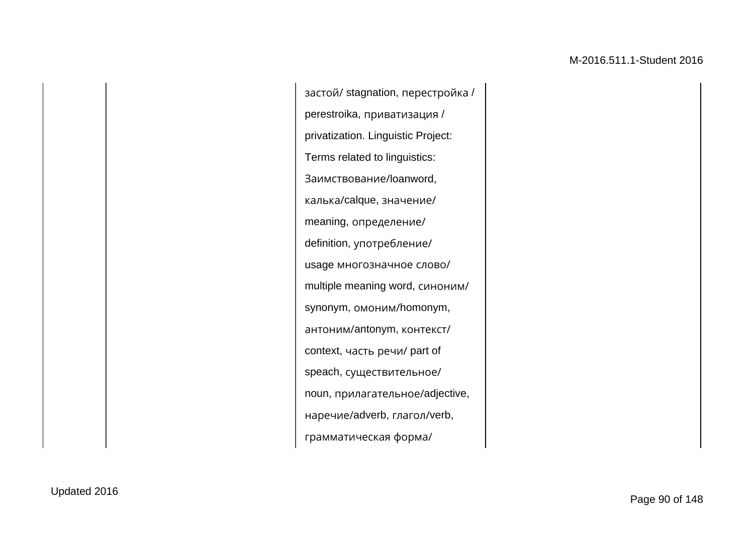застой/ stagnation, перестройка / perestroika, приватизация / privatization. Linguistic Project: Terms related to linguistics: Заимствование/loanword, калька/calque, значение/ meaning, определение/ definition, употребление/ usage многозначное слово/ multiple meaning word, синоним/ synonym, омоним/homonym, антоним/antonym, контекст/ context, часть речи/ part of speach, существительное/ noun, прилагательное/adjective, наречие/adverb, глагол/verb, грамматическая форма/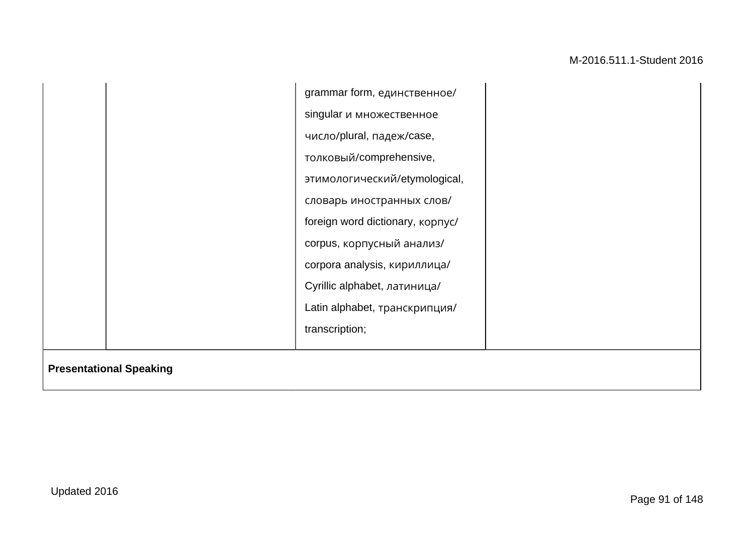|                                | grammar form, единственное/              |  |
|--------------------------------|------------------------------------------|--|
|                                | singular и множественное                 |  |
|                                | число/plural, падеж/case,                |  |
|                                | толковый/comprehensive,                  |  |
|                                | этимологический/etymological,            |  |
|                                | словарь иностранных слов/                |  |
|                                | foreign word dictionary, <b>KOPTYC</b> / |  |
|                                | corpus, корпусный анализ/                |  |
|                                | corpora analysis, кириллица/             |  |
|                                | Cyrillic alphabet, латиница/             |  |
|                                | Latin alphabet, транскрипция/            |  |
|                                | transcription;                           |  |
|                                |                                          |  |
| <b>Presentational Speaking</b> |                                          |  |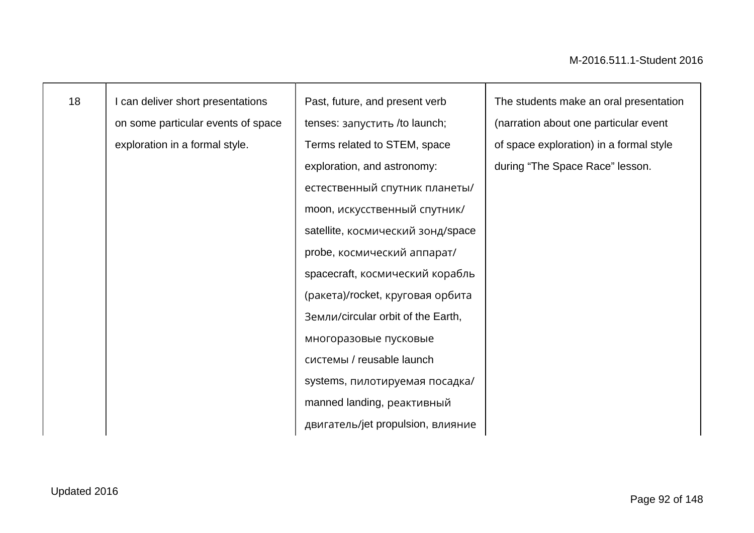| 18 | can deliver short presentations    | Past, future, and present verb     | The students make an oral presentation  |
|----|------------------------------------|------------------------------------|-----------------------------------------|
|    | on some particular events of space | tenses: запустить /to launch;      | (narration about one particular event   |
|    | exploration in a formal style.     | Terms related to STEM, space       | of space exploration) in a formal style |
|    |                                    | exploration, and astronomy:        | during "The Space Race" lesson.         |
|    |                                    | естественный спутник планеты/      |                                         |
|    |                                    | moon, искусственный спутник/       |                                         |
|    |                                    | satellite, космический зонд/space  |                                         |
|    |                                    | probe, космический аппарат/        |                                         |
|    |                                    | spacecraft, космический корабль    |                                         |
|    |                                    | (ракета)/rocket, круговая орбита   |                                         |
|    |                                    | Земли/circular orbit of the Earth, |                                         |
|    |                                    | многоразовые пусковые              |                                         |
|    |                                    | системы / reusable launch          |                                         |
|    |                                    | systems, пилотируемая посадка/     |                                         |
|    |                                    | manned landing, реактивный         |                                         |
|    |                                    | двигатель/jet propulsion, влияние  |                                         |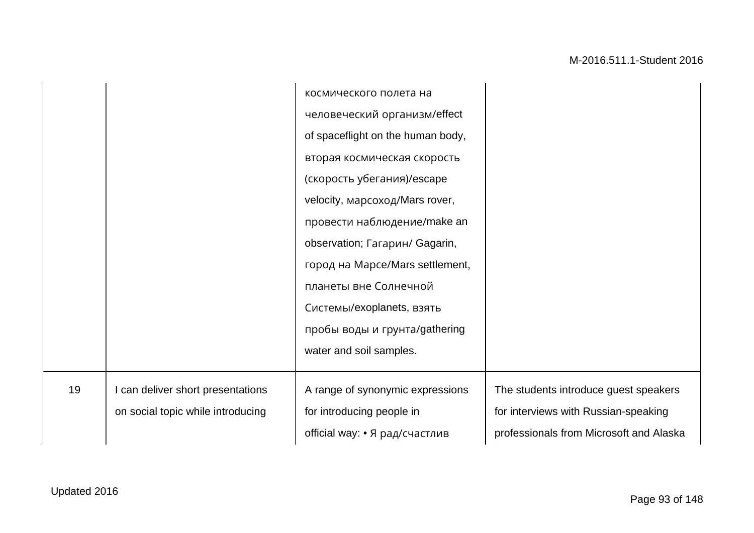|    |                                   | космического полета на            |                                         |
|----|-----------------------------------|-----------------------------------|-----------------------------------------|
|    |                                   | человеческий организм/effect      |                                         |
|    |                                   | of spaceflight on the human body, |                                         |
|    |                                   | вторая космическая скорость       |                                         |
|    |                                   | (скорость убегания)/escape        |                                         |
|    |                                   | velocity, марсоход/Mars rover,    |                                         |
|    |                                   | провести наблюдение/make an       |                                         |
|    |                                   | observation; Гагарин/ Gagarin,    |                                         |
|    |                                   | город на Mapce/Mars settlement,   |                                         |
|    |                                   | планеты вне Солнечной             |                                         |
|    |                                   | Системы/exoplanets, взять         |                                         |
|    |                                   | пробы воды и грунта/gathering     |                                         |
|    |                                   | water and soil samples.           |                                         |
|    |                                   |                                   |                                         |
| 19 | I can deliver short presentations | A range of synonymic expressions  | The students introduce guest speakers   |
|    | on social topic while introducing | for introducing people in         | for interviews with Russian-speaking    |
|    |                                   | official way: • Я рад/счастлив    | professionals from Microsoft and Alaska |
|    |                                   |                                   |                                         |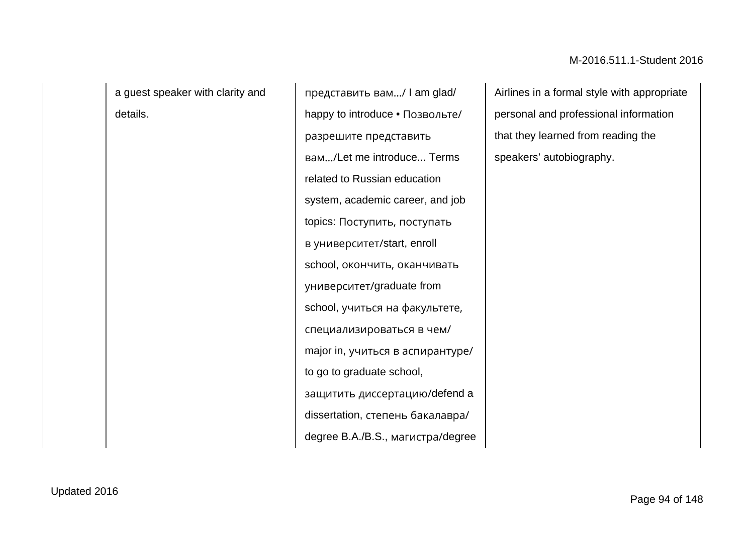a guest speaker with clarity and details.

представить вам…/ I am glad/ happy to introduce • Позвольте/ разрешите представить вам…/Let me introduce... Terms related to Russian education system, academic career, and job topics: Поступить, поступать в университет/start, enroll school, окончить, оканчивать университет/graduate from school, учиться на факультете, специализироваться в чем/ major in, учиться в аспирантуре/ to go to graduate school, защитить диссертацию/defend a dissertation, степень бакалавра/ degree B.A./B.S., магистра/degree Airlines in a formal style with appropriate personal and professional information that they learned from reading the speakers' autobiography.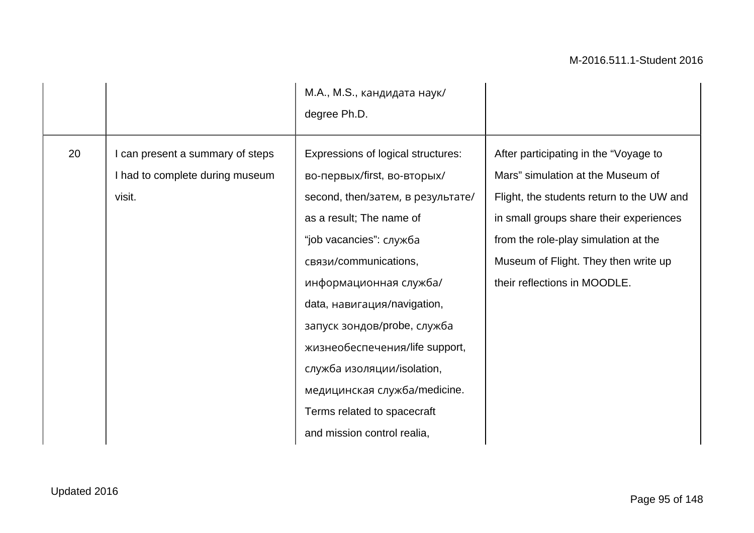|    |                                                                             | М.А., М.S., кандидата наук/<br>degree Ph.D.                                                                                                                                                                                                                                                                                                                                                                                                  |                                                                                                                                                                                                                                                                                    |
|----|-----------------------------------------------------------------------------|----------------------------------------------------------------------------------------------------------------------------------------------------------------------------------------------------------------------------------------------------------------------------------------------------------------------------------------------------------------------------------------------------------------------------------------------|------------------------------------------------------------------------------------------------------------------------------------------------------------------------------------------------------------------------------------------------------------------------------------|
| 20 | can present a summary of steps<br>I had to complete during museum<br>visit. | Expressions of logical structures:<br>во-первых/first, во-вторых/<br>second, then/затем, в результате/<br>as a result; The name of<br>"job vacancies": служба<br>связи/communications,<br>информационная служба/<br>data, навигация/navigation,<br>запуск зондов/probe, служба<br>жизнеобеспечения/life support,<br>служба изоляции/isolation,<br>медицинская служба/medicine.<br>Terms related to spacecraft<br>and mission control realia, | After participating in the "Voyage to<br>Mars" simulation at the Museum of<br>Flight, the students return to the UW and<br>in small groups share their experiences<br>from the role-play simulation at the<br>Museum of Flight. They then write up<br>their reflections in MOODLE. |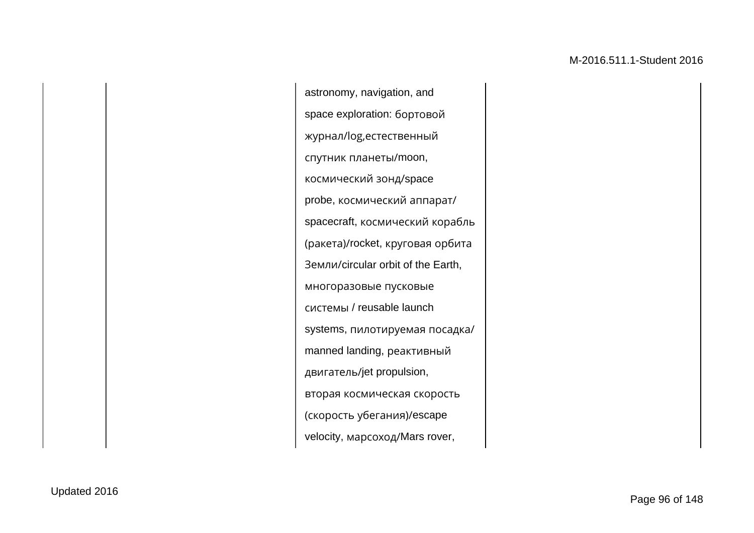astronomy, navigation, and space exploration: бортовой журнал/log,естественный спутник планеты/moon, космический зонд/space probe, космический аппарат/ spacecraft, космический корабль (ракета)/rocket, круговая орбита Земли/circular orbit of the Earth, многоразовые пусковые системы / reusable launch systems, пилотируемая посадка/ manned landing, реактивный двигатель/jet propulsion, вторая космическая скорость (скорость убегания)/escape velocity, марсоход/Mars rover,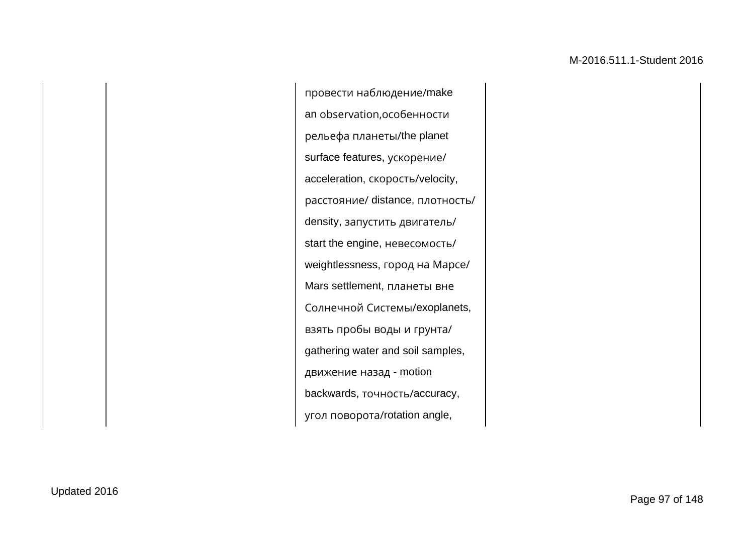провести наблюдение/make an observation,особенности рельефа планеты/the planet surface features, ускорение/ acceleration, скорость/velocity, расстояние/ distance, плотность/ density, запустить двигатель/ start the engine, невесомость/ weightlessness, город на Марсе/ Mars settlement, планеты вне Солнечной Системы/exoplanets, взять пробы воды и грунта/ gathering water and soil samples, движение назад - motion backwards, точность/accuracy, угол поворота/rotation angle,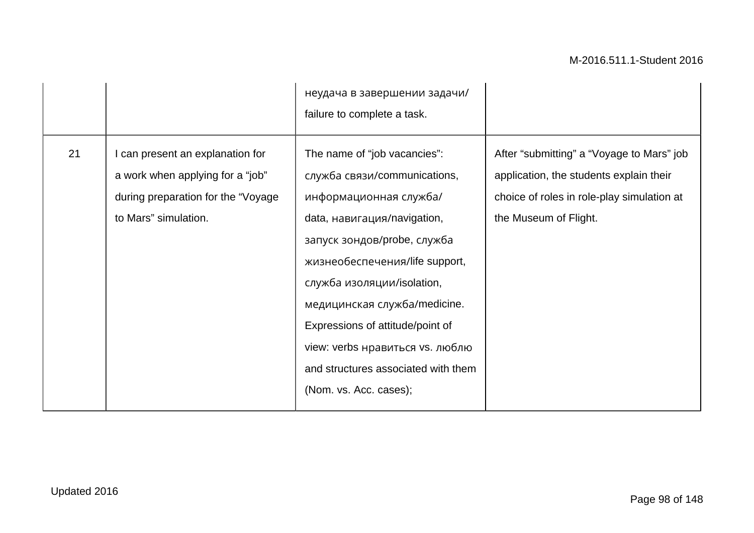|    |                                                                                                                                     | неудача в завершении задачи/<br>failure to complete a task.                                                                                                                                                                                                                                                                                                                                  |                                                                                                                                                             |
|----|-------------------------------------------------------------------------------------------------------------------------------------|----------------------------------------------------------------------------------------------------------------------------------------------------------------------------------------------------------------------------------------------------------------------------------------------------------------------------------------------------------------------------------------------|-------------------------------------------------------------------------------------------------------------------------------------------------------------|
| 21 | I can present an explanation for<br>a work when applying for a "job"<br>during preparation for the "Voyage"<br>to Mars" simulation. | The name of "job vacancies":<br>служба связи/communications,<br>информационная служба/<br>data, навигация/navigation,<br>запуск зондов/probe, служба<br>жизнеобеспечения/life support,<br>служба изоляции/isolation,<br>медицинская служба/medicine.<br>Expressions of attitude/point of<br>view: verbs нравиться vs. люблю<br>and structures associated with them<br>(Nom. vs. Acc. cases); | After "submitting" a "Voyage to Mars" job<br>application, the students explain their<br>choice of roles in role-play simulation at<br>the Museum of Flight. |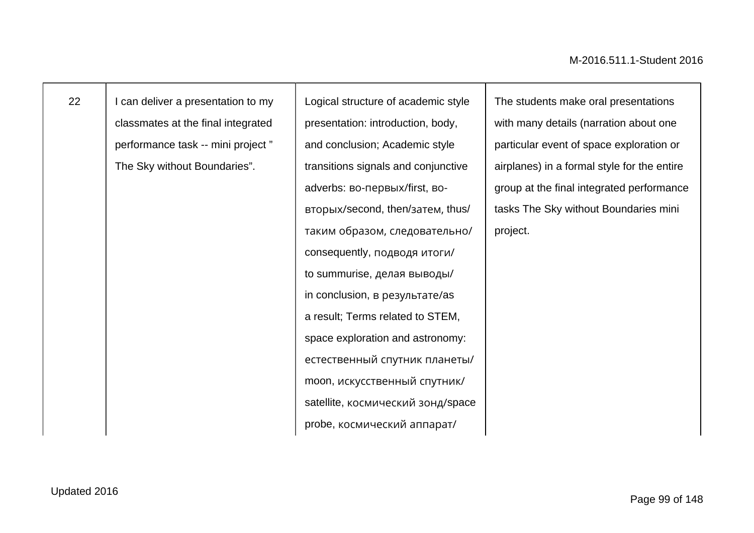I can deliver a presentation to my classmates at the final integrated performance task -- mini project " The Sky without Boundaries".

Logical structure of academic style presentation: introduction, body, and conclusion; Academic style transitions signals and conjunctive adverbs: во-первых/first, вовторых/second, then/затем, thus/ таким образом, следовательно/ consequently, подводя итоги/ to summurise, делая выводы/ in conclusion, в результате/as a result; Terms related to STEM, space exploration and astronomy: естественный спутник планеты/ moon, искусственный спутник/ satellite, космический зонд/space probe, космический аппарат/

The students make oral presentations with many details (narration about one particular event of space exploration or airplanes) in a formal style for the entire group at the final integrated performance tasks The Sky without Boundaries mini project.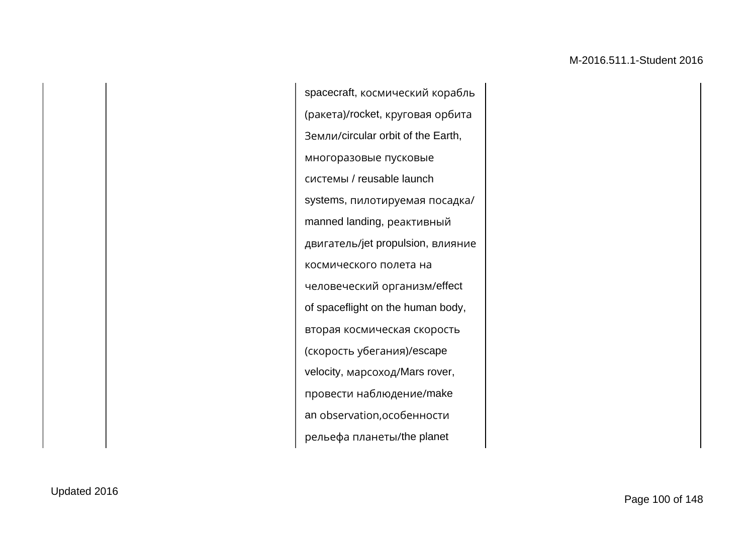spacecraft, космический корабль (ракета)/rocket, круговая орбита Земли/circular orbit of the Earth, многоразовые пусковые системы / reusable launch systems, пилотируемая посадка/ manned landing, реактивный двигатель/jet propulsion, влияние космического полета на человеческий организм/effect of spaceflight on the human body, вторая космическая скорость (скорость убегания)/escape velocity, марсоход/Mars rover, провести наблюдение/make an observation,особенности рельефа планеты/the planet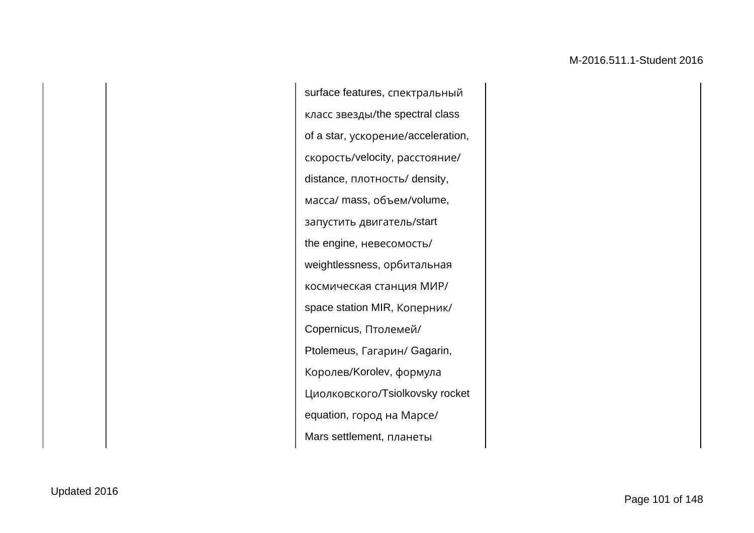surface features, спектральный класс звезды/the spectral class of a star, ускорение/acceleration, скорость/velocity, расстояние/ distance, плотность/ density, масса/ mass, объем/volume, запустить двигатель/start the engine, невесомость/ weightlessness, орбитальная космическая станция МИР/ space station MIR, Коперник/ Copernicus, Птолемей/ Ptolemeus, Гагарин/ Gagarin, Королев/Korolev, формула Циолковского/Tsiolkovsky rocket equation, город на Марсе/ Mars settlement, планеты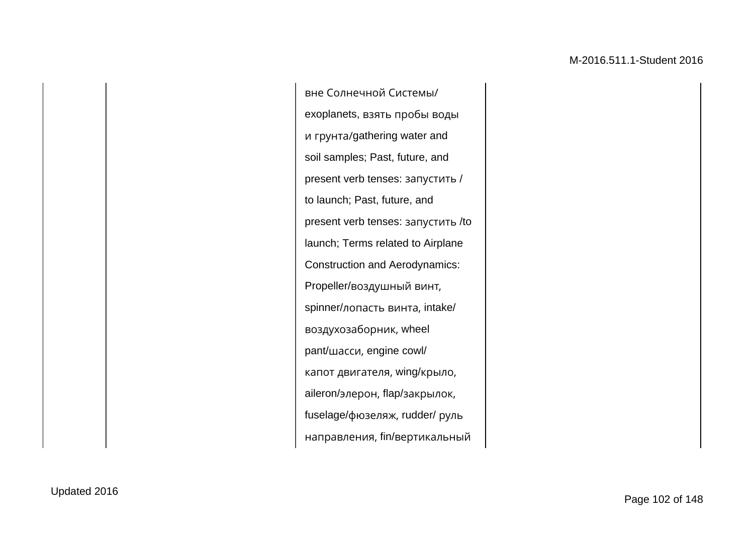вне Солнечной Системы/ exoplanets, взять пробы воды и грунта/gathering water and soil samples; Past, future, and present verb tenses: запустить / to launch; Past, future, and present verb tenses: запустить /to launch; Terms related to Airplane Construction and Aerodynamics: Propeller/воздушный винт, spinner/лопасть винта, intake/ воздухозаборник, wheel pant/шасси, engine cowl/ капот двигателя, wing/крыло, aileron/элерон, flap/закрылок, fuselage/фюзеляж, rudder/ руль направления, fin/вертикальный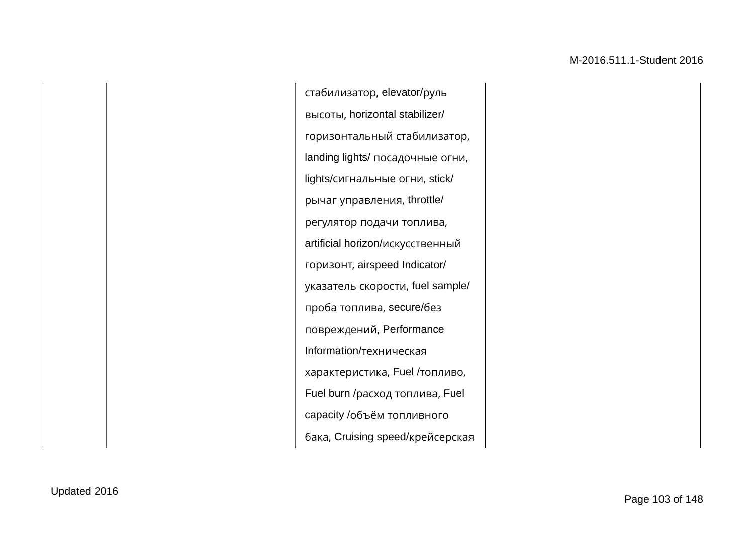стабилизатор, elevator/руль высоты, horizontal stabilizer/ горизонтальный стабилизатор, landing lights/ посадочные огни, lights/сигнальные огни, stick/ рычаг управления, throttle/ регулятор подачи топлива, artificial horizon/искусственный горизонт, airspeed Indicator/ указатель скорости, fuel sample/ проба топлива, secure/без повреждений, Performance Information/техническая характеристика, Fuel /топливо, Fuel burn /расход топлива, Fuel capacity /объём топливного бака, Cruising speed/крейсерская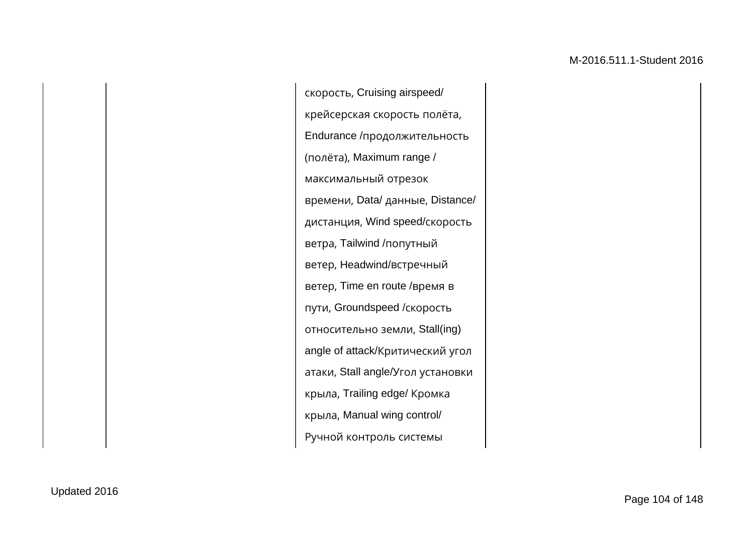скорость, Cruising airspeed/ крейсерская скорость полёта, Endurance /продолжительность (полёта), Maximum range / максимальный отрезок времени, Data/ данные, Distance/ дистанция, Wind speed/скорость ветра, Tailwind /попутный ветер, Headwind/встречный ветер, Time en route /время в пути, Groundspeed /скорость относительно земли, Stall(ing) angle of attack/Критический угол атаки, Stall angle/Угол установки крыла, Trailing edge/ Кромка крыла, Manual wing control/ Ручной контроль системы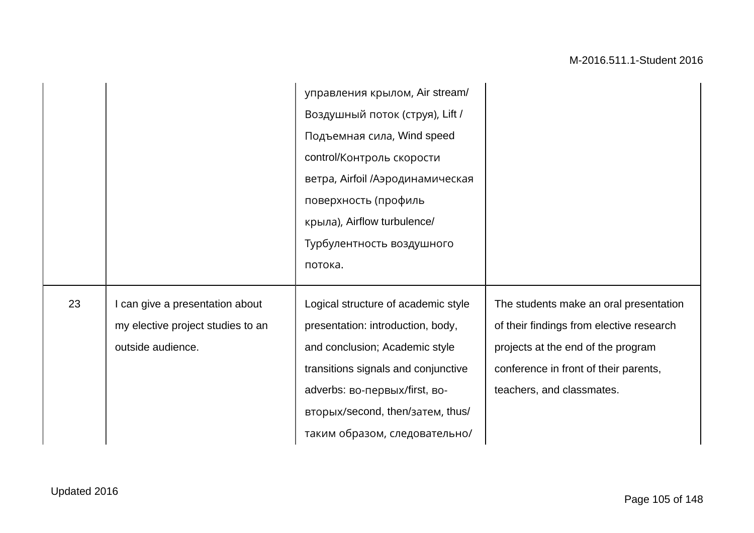|    |                                                                                         | управления крылом, Air stream/<br>Воздушный поток (струя), Lift /<br>Подъемная сила, Wind speed<br>control/Контроль скорости<br>ветра, Airfoil /Аэродинамическая<br>поверхность (профиль<br>крыла), Airflow turbulence/<br>Турбулентность воздушного<br>потока. |                                                                                                                                                                                                |
|----|-----------------------------------------------------------------------------------------|-----------------------------------------------------------------------------------------------------------------------------------------------------------------------------------------------------------------------------------------------------------------|------------------------------------------------------------------------------------------------------------------------------------------------------------------------------------------------|
| 23 | can give a presentation about<br>my elective project studies to an<br>outside audience. | Logical structure of academic style<br>presentation: introduction, body,<br>and conclusion; Academic style<br>transitions signals and conjunctive<br>adverbs: во-первых/first, во-<br>вторых/second, then/затем, thus/<br>таким образом, следовательно/         | The students make an oral presentation<br>of their findings from elective research<br>projects at the end of the program<br>conference in front of their parents,<br>teachers, and classmates. |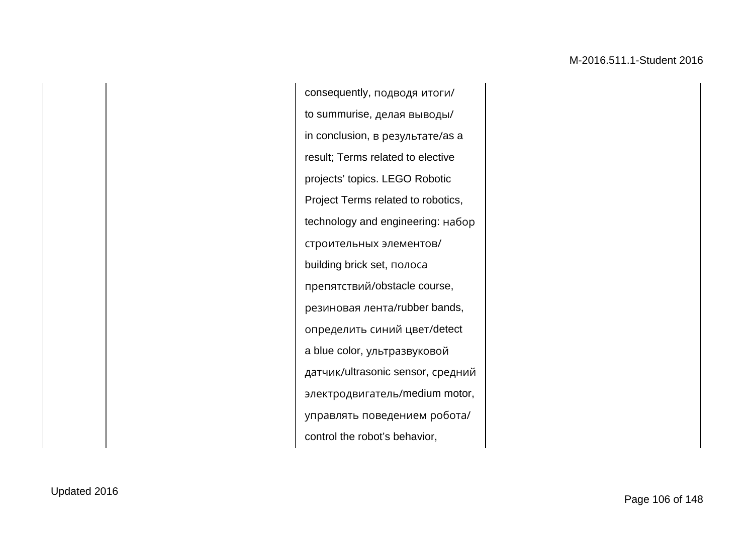consequently, подводя итоги/ to summurise, делая выводы/ in conclusion, в результате/as a result; Terms related to elective projects' topics. LEGO Robotic Project Terms related to robotics, technology and engineering: набор строительных элементов/ building brick set, полоса препятствий/obstacle course, резиновая лента/rubber bands, определить синий цвет/detect a blue color, ультразвуковой датчик/ultrasonic sensor, средний электродвигатель/medium motor, управлять поведением робота/ control the robot's behavior,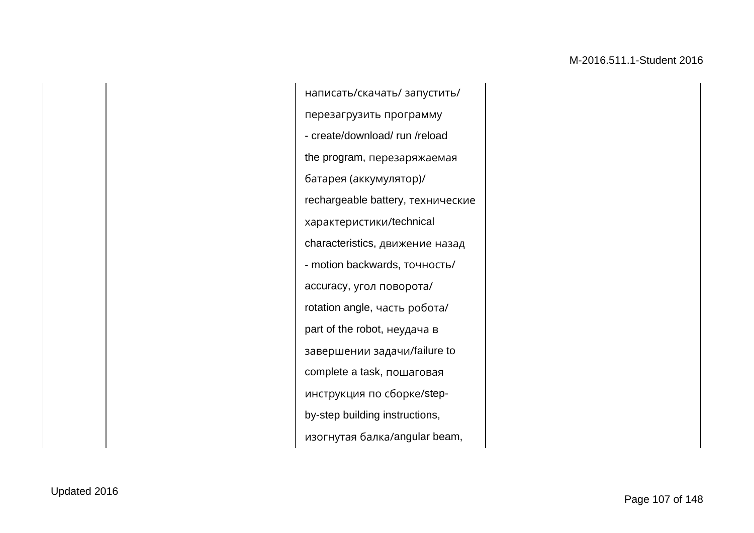написать/скачать/ запустить/ перезагрузить программу - create/download/ run /reload the program, перезаряжаемая батарея (аккумулятор)/ rechargeable battery, технические характеристики/technical characteristics, движение назад - motion backwards, точность/ accuracy, угол поворота/ rotation angle, часть робота/ part of the robot, неудача в завершении задачи/failure to complete a task, пошаговая инструкция по сборке/stepby-step building instructions, изогнутая балка/angular beam,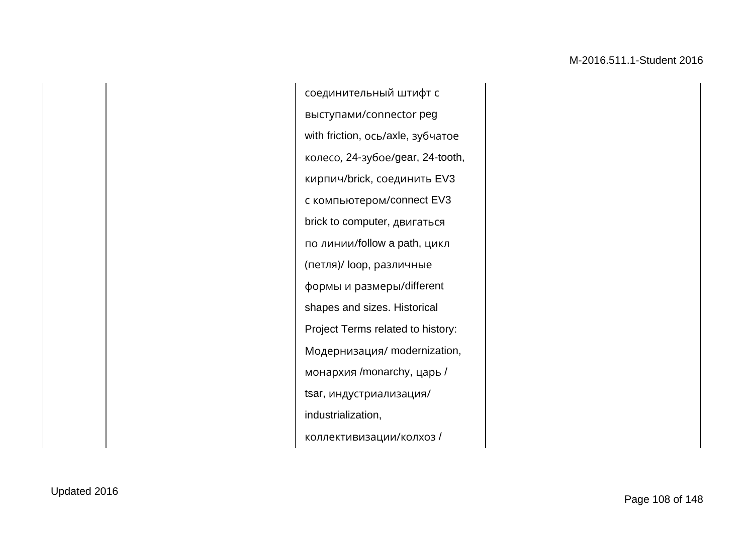соединительный штифт с выступами/сonnector peg with friction, ось/axle, зубчатое колесо, 24-зубое/gear, 24-tooth, кирпич/brick, соединить EV3 с компьютером/connect EV3 brick to computer, двигаться по линии/follow a path, цикл (петля)/ loop, различные формы и размеры/different shapes and sizes. Historical Project Terms related to history: Модернизация/ modernization, монархия /monarchy, царь / tsar, индустриализация/ industrialization, коллективизации/колхоз /

Updated 2016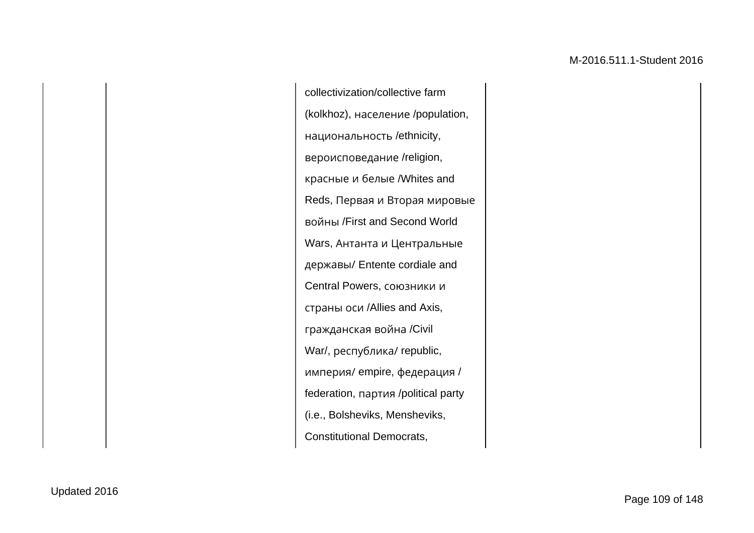collectivization/collective farm (kolkhoz), население /population, национальность /ethnicity, вероисповедание /religion, красные и белые /Whites and Reds, Первая и Вторая мировые войны /First and Second World Wars, Антанта и Центральные державы/ Entente cordiale and Central Powers, союзники и страны оси /Allies and Axis, гражданская война /Civil War/, республика/ republic, империя/ empire, федерация / federation, партия /political party (i.e., Bolsheviks, Mensheviks, Constitutional Democrats,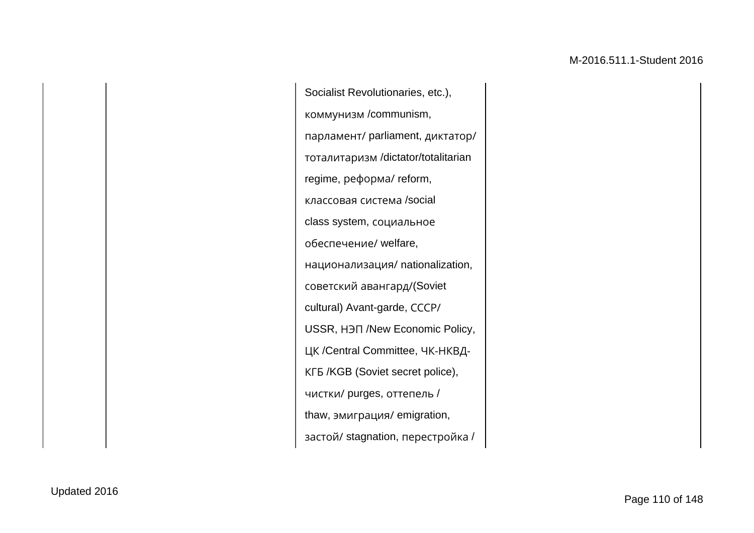Socialist Revolutionaries, etc.), коммунизм /communism, парламент/ parliament, диктатор/ тоталитаризм /dictator/totalitarian regime, реформа/ reform, классовая система /social class system, социальное обеспечение/ welfare, национализация/ nationalization, советский авангард/(Soviet cultural) Avant-garde, СССР/ USSR, НЭП /New Economic Policy, ЦК /Central Committee, ЧК-НКВД-КГБ /KGB (Soviet secret police), чистки/ purges, оттепель / thaw, эмиграция/ emigration, застой/ stagnation, перестройка /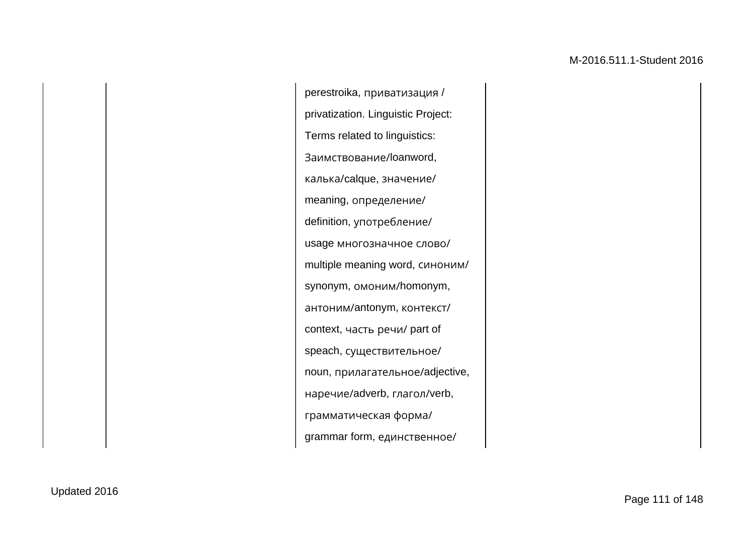perestroika, приватизация / privatization. Linguistic Project: Terms related to linguistics: Заимствование/loanword, калька/calque, значение/ meaning, определение/ definition, употребление/ usage многозначное слово/ multiple meaning word, синоним/ synonym, омоним/homonym, антоним/antonym, контекст/ context, часть речи/ part of speach, существительное/ noun, прилагательное/adjective, наречие/adverb, глагол/verb, грамматическая форма/ grammar form, единственное/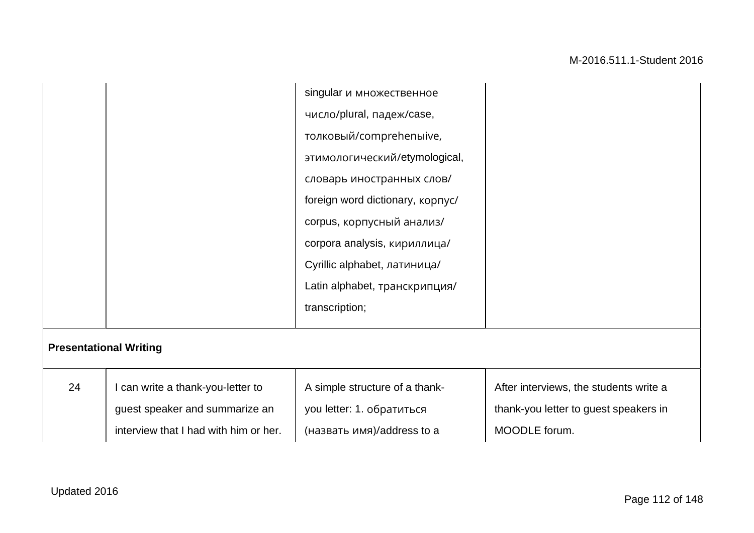|                               |                                       | singular и множественное         |                                        |
|-------------------------------|---------------------------------------|----------------------------------|----------------------------------------|
|                               |                                       | число/plural, падеж/case,        |                                        |
|                               |                                       | толковый/comprehenыive,          |                                        |
|                               |                                       | этимологический/etymological,    |                                        |
|                               |                                       | словарь иностранных слов/        |                                        |
|                               |                                       | foreign word dictionary, kopnyc/ |                                        |
|                               |                                       | corpus, корпусный анализ/        |                                        |
|                               |                                       | corpora analysis, кириллица/     |                                        |
|                               |                                       | Cyrillic alphabet, латиница/     |                                        |
|                               |                                       | Latin alphabet, транскрипция/    |                                        |
|                               |                                       | transcription;                   |                                        |
|                               |                                       |                                  |                                        |
| <b>Presentational Writing</b> |                                       |                                  |                                        |
| 24                            | I can write a thank-you-letter to     | A simple structure of a thank-   | After interviews, the students write a |
|                               | guest speaker and summarize an        | you letter: 1. обратиться        | thank-you letter to guest speakers in  |
|                               | interview that I had with him or her. | (назвать имя)/address to a       | MOODLE forum.                          |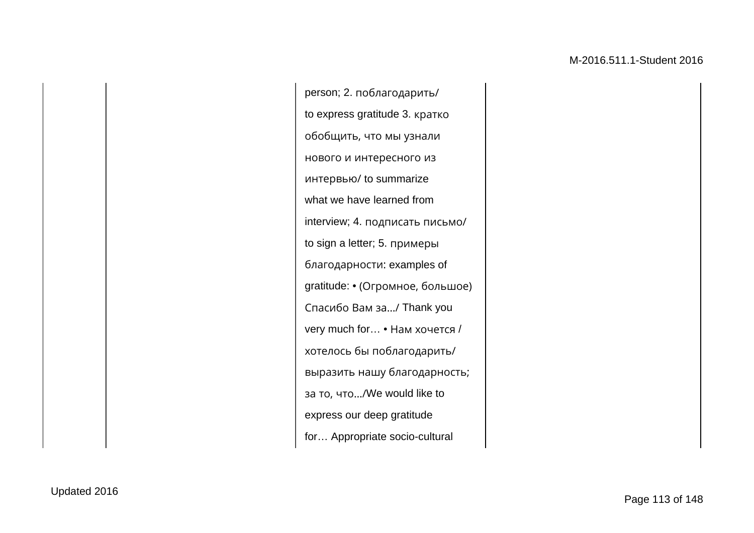person; 2. поблагодарить/ to express gratitude 3. кратко обобщить, что мы узнали нового и интересного из интервью/ to summarize what we have learned from interview; 4. подписать письмо/ to sign a letter; 5. примеры благодарности: examples of gratitude: • (Огромное, большое) Спасибо Вам за…/ Thank you very much for… • Нам хочется / хотелось бы поблагодарить/ выразить нашу благодарность; за то, что…/We would like to express our deep gratitude for… Appropriate socio-cultural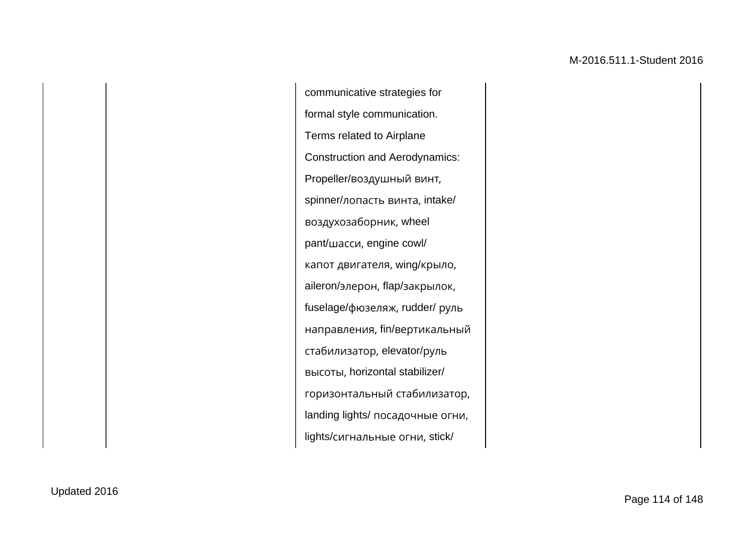communicative strategies for formal style communication. Terms related to Airplane Construction and Aerodynamics: Propeller/воздушный винт, spinner/лопасть винта, intake/ воздухозаборник, wheel pant/шасси, engine cowl/ капот двигателя, wing/крыло, aileron/элерон, flap/закрылок, fuselage/фюзеляж, rudder/ руль направления, fin/вертикальный стабилизатор, elevator/руль высоты, horizontal stabilizer/ горизонтальный стабилизатор, landing lights/ посадочные огни, lights/сигнальные огни, stick/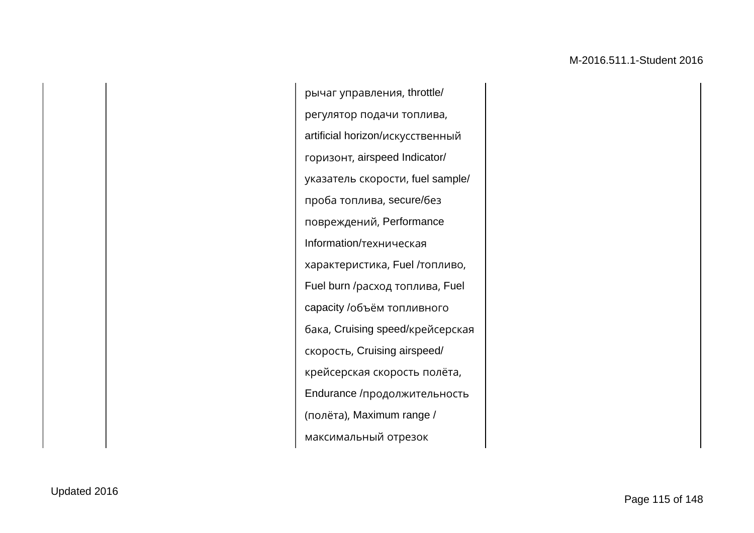рычаг управления, throttle/ регулятор подачи топлива, artificial horizon/искусственный горизонт, airspeed Indicator/ указатель скорости, fuel sample/ проба топлива, secure/без повреждений, Performance Information/техническая характеристика, Fuel /топливо, Fuel burn /расход топлива, Fuel capacity /объём топливного бака, Cruising speed/крейсерская скорость, Cruising airspeed/ крейсерская скорость полёта, Endurance /продолжительность (полёта), Maximum range / максимальный отрезок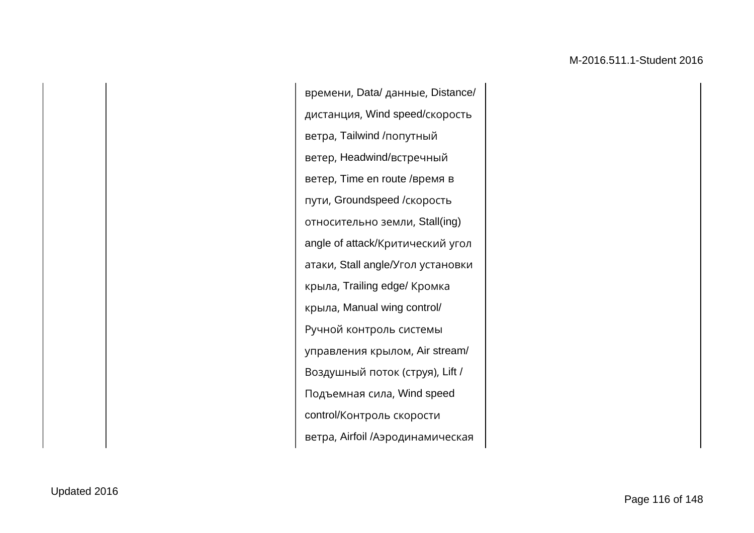времени, Data/ данные, Distance/ дистанция, Wind speed/скорость ветра, Tailwind /попутный ветер, Headwind/встречный ветер, Time en route /время в пути, Groundspeed /скорость относительно земли, Stall(ing) angle of attack/Критический угол атаки, Stall angle/Угол установки крыла, Trailing edge/ Кромка крыла, Manual wing control/ Ручной контроль системы управления крылом, Air stream/ Воздушный поток (струя), Lift / Подъемная сила, Wind speed control/Контроль скорости ветра, Airfoil /Аэродинамическая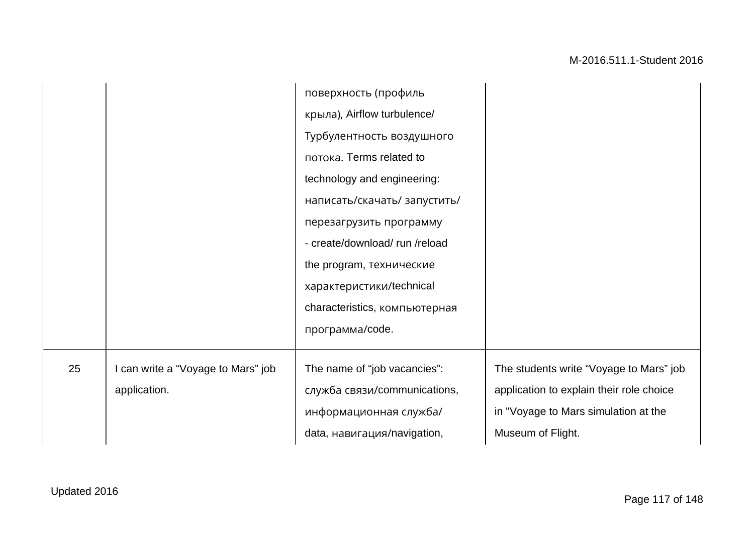|    |                                                    | поверхность (профиль<br>крыла), Airflow turbulence/<br>Турбулентность воздушного<br>потока. Terms related to<br>technology and engineering:<br>написать/скачать/ запустить/<br>перезагрузить программу<br>- create/download/run/reload<br>the program, технические<br>характеристики/technical<br>characteristics, компьютерная |                                                                                                                                                  |
|----|----------------------------------------------------|---------------------------------------------------------------------------------------------------------------------------------------------------------------------------------------------------------------------------------------------------------------------------------------------------------------------------------|--------------------------------------------------------------------------------------------------------------------------------------------------|
|    |                                                    | программа/code.                                                                                                                                                                                                                                                                                                                 |                                                                                                                                                  |
| 25 | I can write a "Voyage to Mars" job<br>application. | The name of "job vacancies":<br>служба связи/communications,<br>информационная служба/<br>data, навигация/navigation,                                                                                                                                                                                                           | The students write "Voyage to Mars" job<br>application to explain their role choice<br>in "Voyage to Mars simulation at the<br>Museum of Flight. |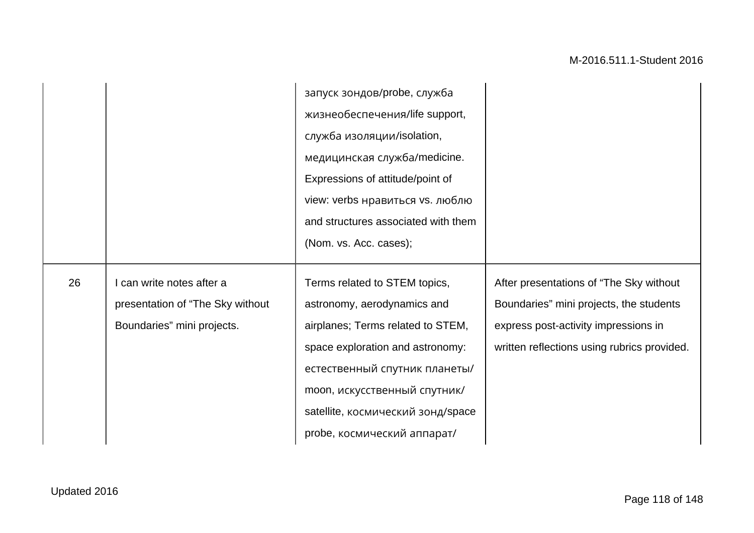|    |                                                                                           | запуск зондов/probe, служба<br>жизнеобеспечения/life support,<br>служба изоляции/isolation,<br>медицинская служба/medicine.<br>Expressions of attitude/point of<br>view: verbs нравиться vs. люблю<br>and structures associated with them<br>(Nom. vs. Acc. cases); |                                                                                                                                                                           |
|----|-------------------------------------------------------------------------------------------|---------------------------------------------------------------------------------------------------------------------------------------------------------------------------------------------------------------------------------------------------------------------|---------------------------------------------------------------------------------------------------------------------------------------------------------------------------|
|    |                                                                                           |                                                                                                                                                                                                                                                                     |                                                                                                                                                                           |
| 26 | can write notes after a<br>presentation of "The Sky without<br>Boundaries" mini projects. | Terms related to STEM topics,<br>astronomy, aerodynamics and<br>airplanes; Terms related to STEM,<br>space exploration and astronomy:<br>естественный спутник планеты/                                                                                              | After presentations of "The Sky without<br>Boundaries" mini projects, the students<br>express post-activity impressions in<br>written reflections using rubrics provided. |
|    |                                                                                           | moon, искусственный спутник/<br>satellite, космический зонд/space<br>probe, космический аппарат/                                                                                                                                                                    |                                                                                                                                                                           |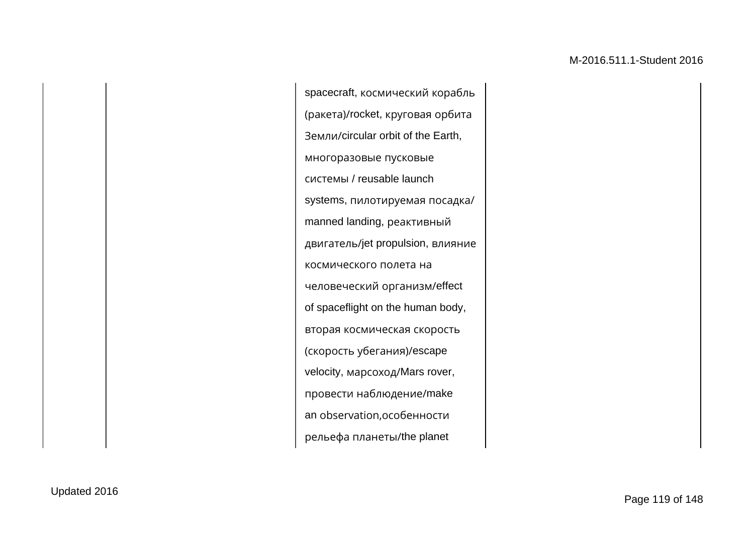spacecraft, космический корабль (ракета)/rocket, круговая орбита Земли/circular orbit of the Earth, многоразовые пусковые системы / reusable launch systems, пилотируемая посадка/ manned landing, реактивный двигатель/jet propulsion, влияние космического полета на человеческий организм/effect of spaceflight on the human body, вторая космическая скорость (скорость убегания)/escape velocity, марсоход/Mars rover, провести наблюдение/make an observation,особенности рельефа планеты/the planet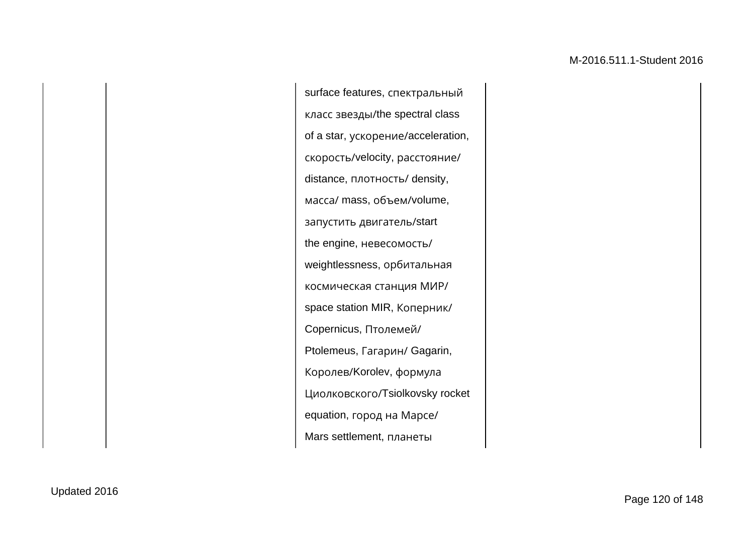surface features, спектральный класс звезды/the spectral class of a star, ускорение/acceleration, скорость/velocity, расстояние/ distance, плотность/ density, масса/ mass, объем/volume, запустить двигатель/start the engine, невесомость/ weightlessness, орбитальная космическая станция МИР/ space station MIR, Коперник/ Copernicus, Птолемей/ Ptolemeus, Гагарин/ Gagarin, Королев/Korolev, формула Циолковского/Tsiolkovsky rocket equation, город на Марсе/ Mars settlement, планеты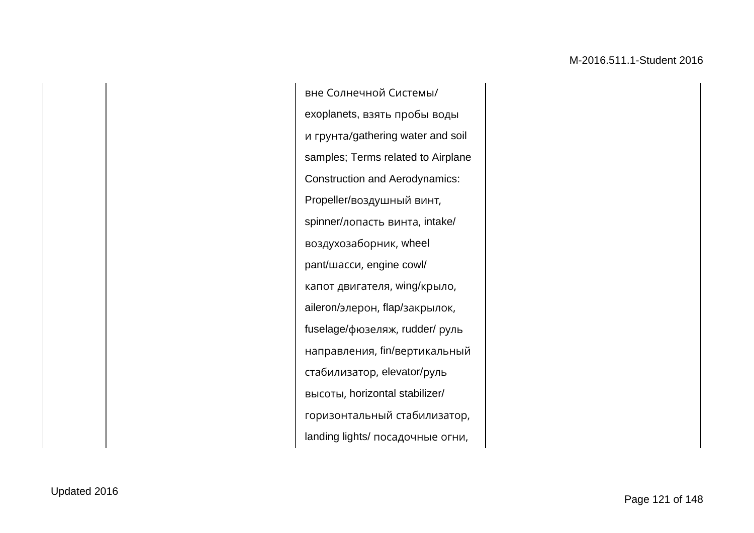вне Солнечной Системы/ exoplanets, взять пробы воды и грунта/gathering water and soil samples; Terms related to Airplane Construction and Aerodynamics: Propeller/воздушный винт, spinner/лопасть винта, intake/ воздухозаборник, wheel pant/шасси, engine cowl/ капот двигателя, wing/крыло, aileron/элерон, flap/закрылок, fuselage/фюзеляж, rudder/ руль направления, fin/вертикальный стабилизатор, elevator/руль высоты, horizontal stabilizer/ горизонтальный стабилизатор, landing lights/ посадочные огни,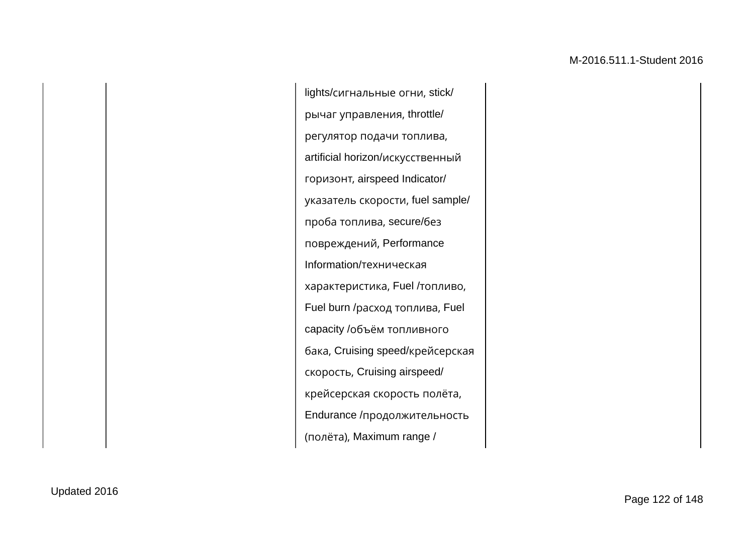lights/сигнальные огни, stick/ рычаг управления, throttle/ регулятор подачи топлива, artificial horizon/искусственный горизонт, airspeed Indicator/ указатель скорости, fuel sample/ проба топлива, secure/без повреждений, Performance Information/техническая характеристика, Fuel /топливо, Fuel burn /расход топлива, Fuel capacity /объём топливного бака, Cruising speed/крейсерская скорость, Cruising airspeed/ крейсерская скорость полёта, Endurance /продолжительность (полёта), Maximum range /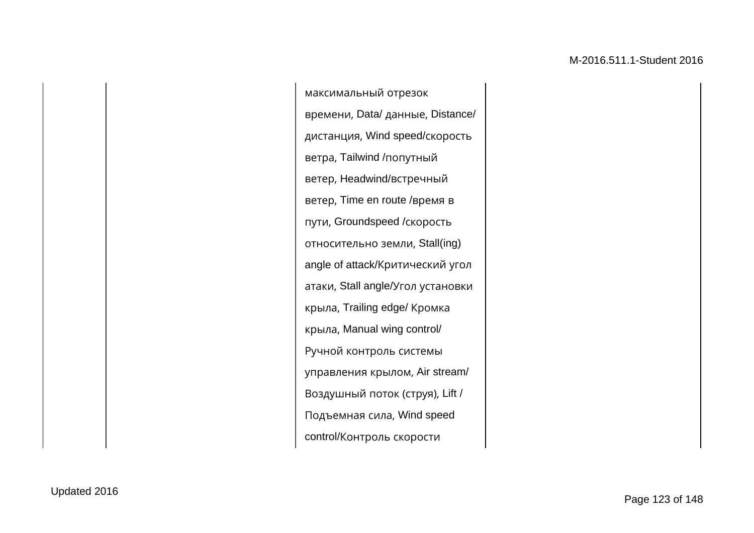максимальный отрезок времени, Data/ данные, Distance/ дистанция, Wind speed/скорость ветра, Tailwind /попутный ветер, Headwind/встречный ветер, Time en route /время в пути, Groundspeed /скорость относительно земли, Stall(ing) angle of attack/Критический угол атаки, Stall angle/Угол установки крыла, Trailing edge/ Кромка крыла, Manual wing control/ Ручной контроль системы управления крылом, Air stream/ Воздушный поток (струя), Lift / Подъемная сила, Wind speed control/Контроль скорости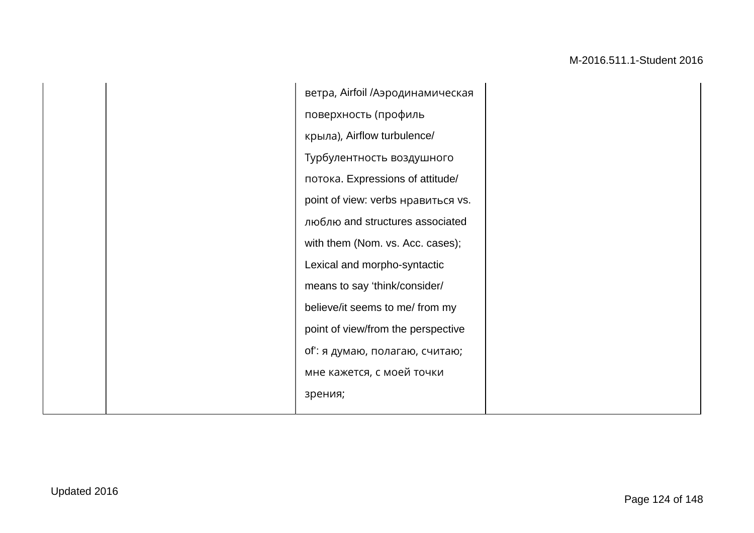| ветра, Airfoil /Аэродинамическая   |
|------------------------------------|
| поверхность (профиль               |
| крыла), Airflow turbulence/        |
| Турбулентность воздушного          |
| потока. Expressions of attitude/   |
| point of view: verbs нравиться vs. |
| люблю and structures associated    |
| with them (Nom. vs. Acc. cases);   |
| Lexical and morpho-syntactic       |
| means to say 'think/consider/      |
| believe/it seems to me/ from my    |
| point of view/from the perspective |
| of': я думаю, полагаю, считаю;     |
| мне кажется, с моей точки          |
| зрения;                            |
|                                    |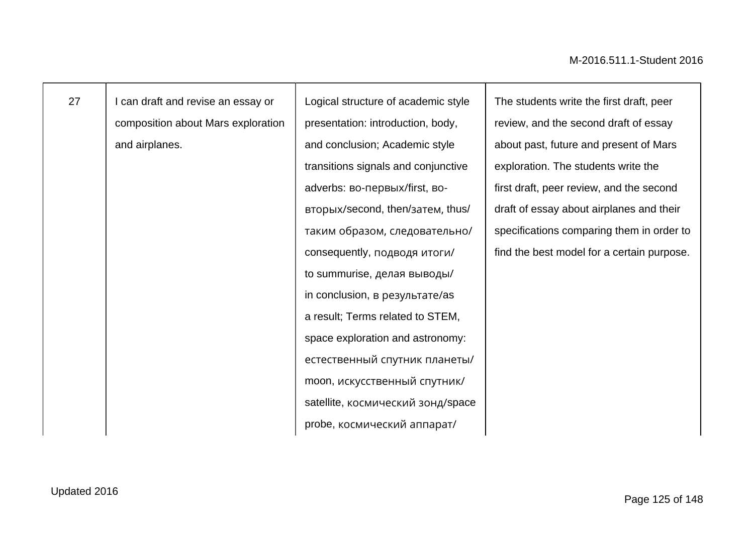| 27 | I can draft and revise an essay or | Logical structure of academic style | The students write the first draft, peer   |
|----|------------------------------------|-------------------------------------|--------------------------------------------|
|    | composition about Mars exploration | presentation: introduction, body,   | review, and the second draft of essay      |
|    | and airplanes.                     | and conclusion; Academic style      | about past, future and present of Mars     |
|    |                                    | transitions signals and conjunctive | exploration. The students write the        |
|    |                                    | adverbs: во-первых/first, во-       | first draft, peer review, and the second   |
|    |                                    | вторых/second, then/затем, thus/    | draft of essay about airplanes and their   |
|    |                                    | таким образом, следовательно/       | specifications comparing them in order to  |
|    |                                    | consequently, подводя итоги/        | find the best model for a certain purpose. |
|    |                                    | to summurise, делая выводы/         |                                            |
|    |                                    | in conclusion, в результате/as      |                                            |
|    |                                    | a result; Terms related to STEM,    |                                            |
|    |                                    | space exploration and astronomy:    |                                            |
|    |                                    | естественный спутник планеты/       |                                            |
|    |                                    | moon, искусственный спутник/        |                                            |
|    |                                    | satellite, космический зонд/space   |                                            |
|    |                                    | probe, космический аппарат/         |                                            |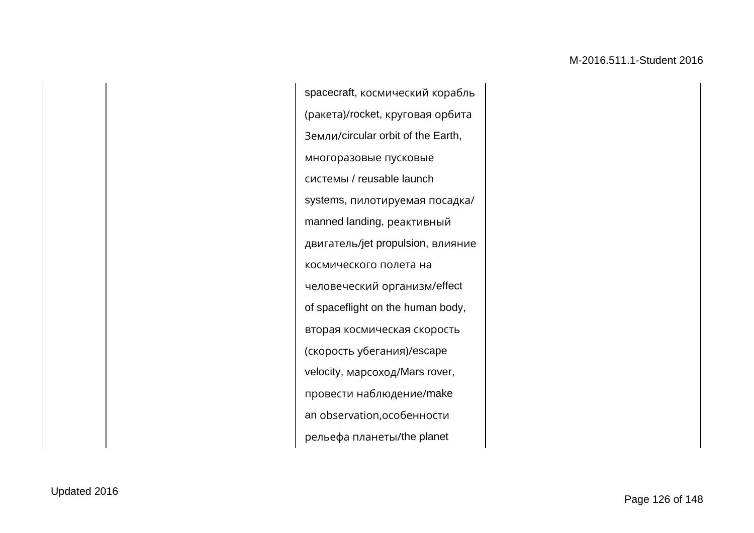spacecraft, космический корабль (ракета)/rocket, круговая орбита Земли/circular orbit of the Earth, многоразовые пусковые системы / reusable launch systems, пилотируемая посадка/ manned landing, реактивный двигатель/jet propulsion, влияние космического полета на человеческий организм/effect of spaceflight on the human body, вторая космическая скорость (скорость убегания)/escape velocity, марсоход/Mars rover, провести наблюдение/make an observation,особенности рельефа планеты/the planet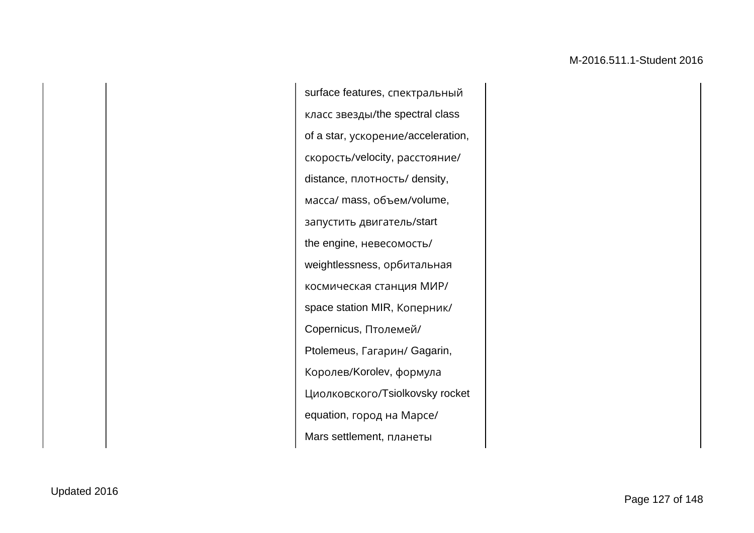surface features, спектральный класс звезды/the spectral class of a star, ускорение/acceleration, скорость/velocity, расстояние/ distance, плотность/ density, масса/ mass, объем/volume, запустить двигатель/start the engine, невесомость/ weightlessness, орбитальная космическая станция МИР/ space station MIR, Коперник/ Copernicus, Птолемей/ Ptolemeus, Гагарин/ Gagarin, Королев/Korolev, формула Циолковского/Tsiolkovsky rocket equation, город на Марсе/ Mars settlement, планеты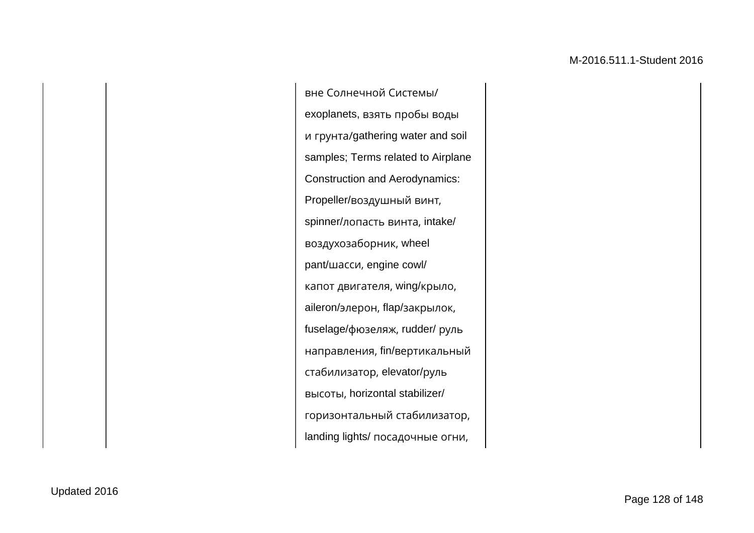вне Солнечной Системы/ exoplanets, взять пробы воды и грунта/gathering water and soil samples; Terms related to Airplane Construction and Aerodynamics: Propeller/воздушный винт, spinner/лопасть винта, intake/ воздухозаборник, wheel pant/шасси, engine cowl/ капот двигателя, wing/крыло, aileron/элерон, flap/закрылок, fuselage/фюзеляж, rudder/ руль направления, fin/вертикальный стабилизатор, elevator/руль высоты, horizontal stabilizer/ горизонтальный стабилизатор, landing lights/ посадочные огни,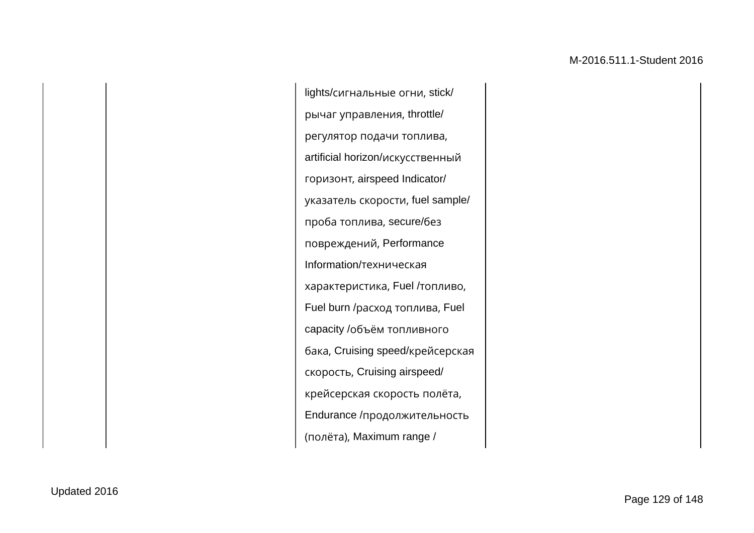lights/сигнальные огни, stick/ рычаг управления, throttle/ регулятор подачи топлива, artificial horizon/искусственный горизонт, airspeed Indicator/ указатель скорости, fuel sample/ проба топлива, secure/без повреждений, Performance Information/техническая характеристика, Fuel /топливо, Fuel burn /расход топлива, Fuel capacity /объём топливного бака, Cruising speed/крейсерская скорость, Cruising airspeed/ крейсерская скорость полёта, Endurance /продолжительность (полёта), Maximum range /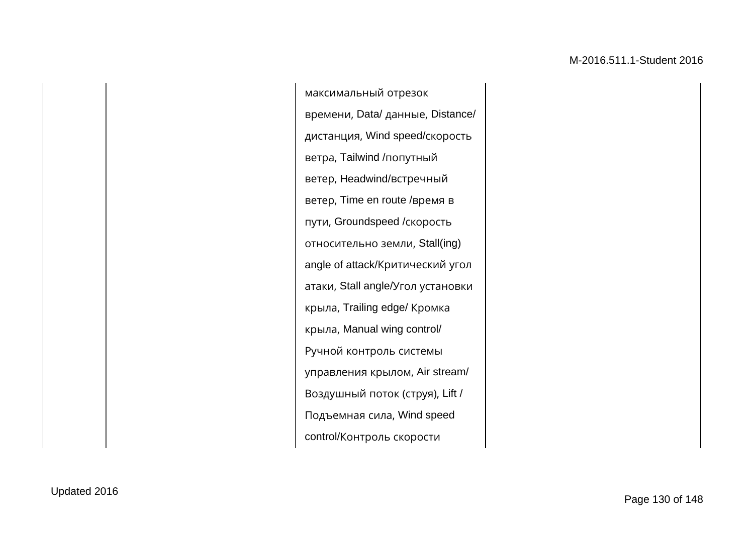максимальный отрезок времени, Data/ данные, Distance/ дистанция, Wind speed/скорость ветра, Tailwind /попутный ветер, Headwind/встречный ветер, Time en route /время в пути, Groundspeed /скорость относительно земли, Stall(ing) angle of attack/Критический угол атаки, Stall angle/Угол установки крыла, Trailing edge/ Кромка крыла, Manual wing control/ Ручной контроль системы управления крылом, Air stream/ Воздушный поток (струя), Lift / Подъемная сила, Wind speed control/Контроль скорости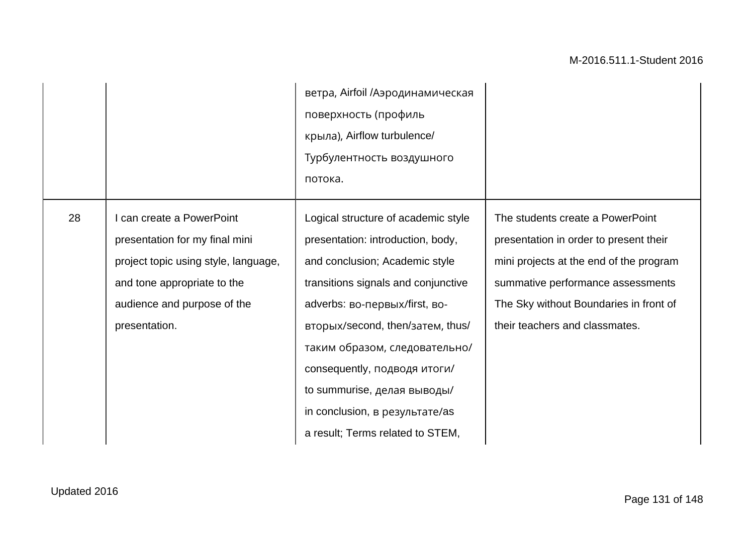|    |                                                                                                                                                                                    | ветра, Airfoil /Аэродинамическая<br>поверхность (профиль<br>крыла), Airflow turbulence/<br>Турбулентность воздушного<br>потока.                                                                                                                                                                                                                                                              |                                                                                                                                                                                                                                        |
|----|------------------------------------------------------------------------------------------------------------------------------------------------------------------------------------|----------------------------------------------------------------------------------------------------------------------------------------------------------------------------------------------------------------------------------------------------------------------------------------------------------------------------------------------------------------------------------------------|----------------------------------------------------------------------------------------------------------------------------------------------------------------------------------------------------------------------------------------|
| 28 | I can create a PowerPoint<br>presentation for my final mini<br>project topic using style, language,<br>and tone appropriate to the<br>audience and purpose of the<br>presentation. | Logical structure of academic style<br>presentation: introduction, body,<br>and conclusion; Academic style<br>transitions signals and conjunctive<br>adverbs: во-первых/first, во-<br>вторых/second, then/затем, thus/<br>таким образом, следовательно/<br>consequently, подводя итоги/<br>to summurise, делая выводы/<br>in conclusion, в результате/as<br>a result; Terms related to STEM, | The students create a PowerPoint<br>presentation in order to present their<br>mini projects at the end of the program<br>summative performance assessments<br>The Sky without Boundaries in front of<br>their teachers and classmates. |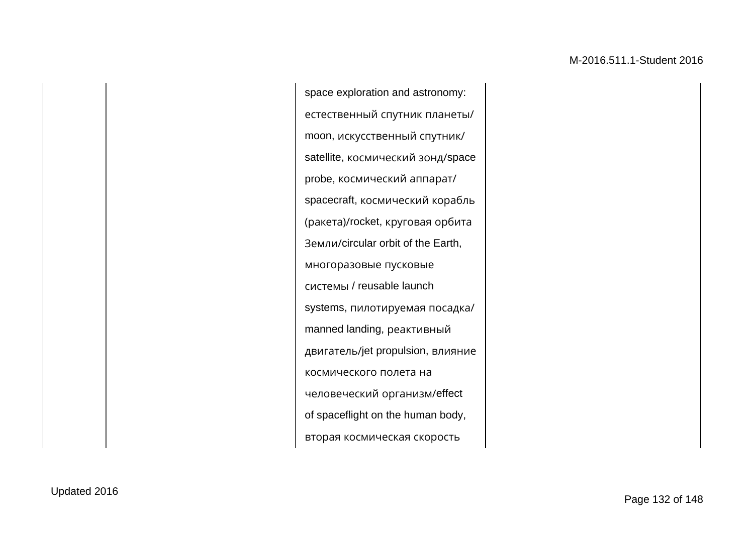space exploration and astronomy: естественный спутник планеты/ moon, искусственный спутник/ satellite, космический зонд/space probe, космический аппарат/ spacecraft, космический корабль (ракета)/rocket, круговая орбита Земли/circular orbit of the Earth, многоразовые пусковые системы / reusable launch systems, пилотируемая посадка/ manned landing, реактивный двигатель/jet propulsion, влияние космического полета на человеческий организм/effect of spaceflight on the human body, вторая космическая скорость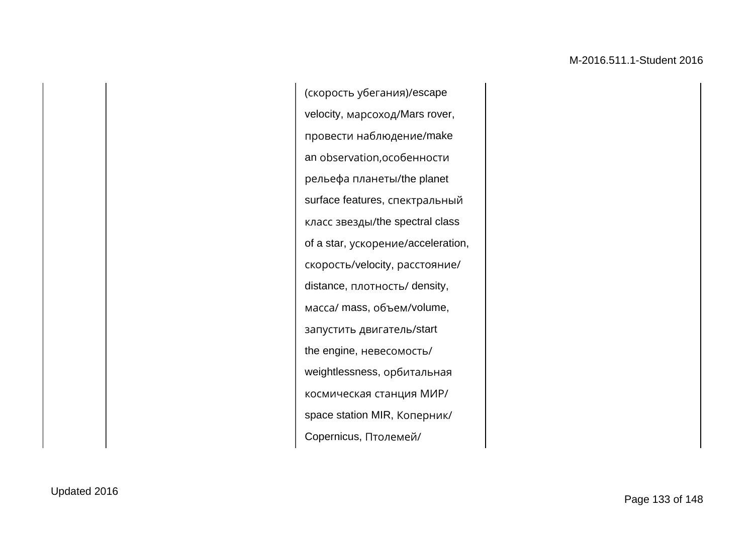(скорость убегания)/escape velocity, марсоход/Mars rover, провести наблюдение/make an observation,особенности рельефа планеты/the planet surface features, спектральный класс звезды/the spectral class of a star, ускорение/acceleration, скорость/velocity, расстояние/ distance, плотность/ density, масса/ mass, объем/volume, запустить двигатель/start the engine, невесомость/ weightlessness, орбитальная космическая станция МИР/ space station MIR, Коперник/ Copernicus, Птолемей/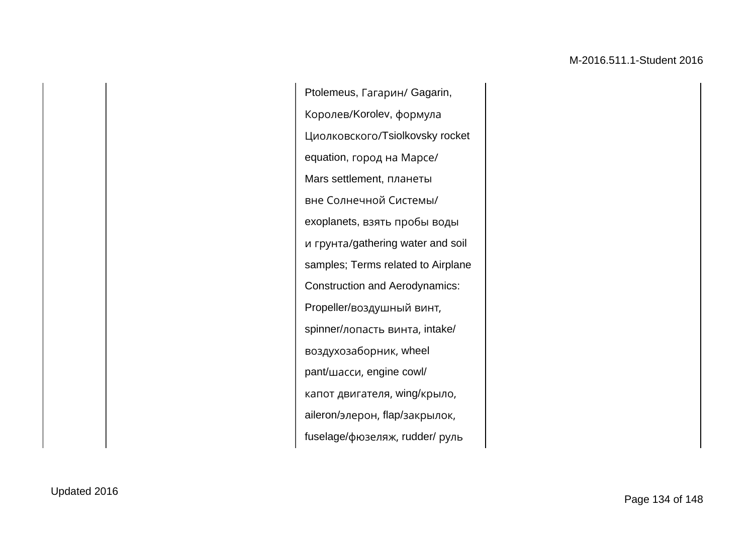Ptolemeus, Гагарин/ Gagarin, Королев/Korolev, формула Циолковского/Tsiolkovsky rocket equation, город на Марсе/ Mars settlement, планеты вне Солнечной Системы/ exoplanets, взять пробы воды и грунта/gathering water and soil samples; Terms related to Airplane Construction and Aerodynamics: Propeller/воздушный винт, spinner/лопасть винта, intake/ воздухозаборник, wheel pant/шасси, engine cowl/ капот двигателя, wing/крыло, aileron/элерон, flap/закрылок, fuselage/фюзеляж, rudder/ руль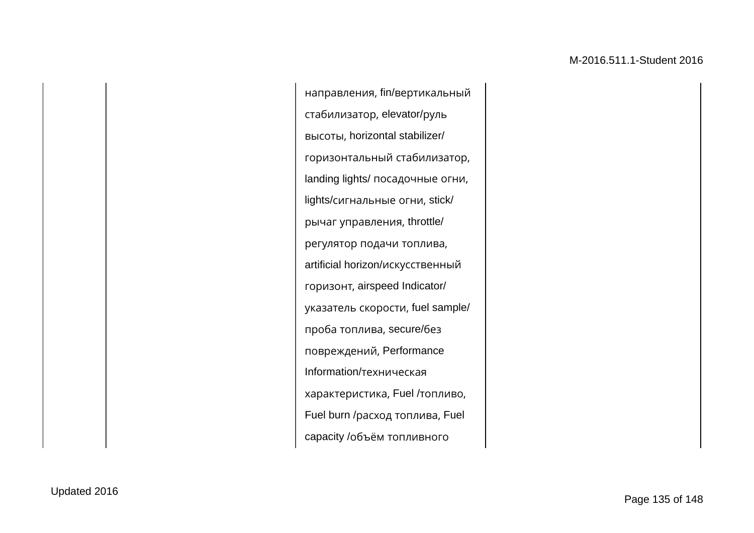направления, fin/вертикальный стабилизатор, elevator/руль высоты, horizontal stabilizer/ горизонтальный стабилизатор, landing lights/ посадочные огни, lights/сигнальные огни, stick/ рычаг управления, throttle/ регулятор подачи топлива, artificial horizon/искусственный горизонт, airspeed Indicator/ указатель скорости, fuel sample/ проба топлива, secure/без повреждений, Performance Information/техническая характеристика, Fuel /топливо, Fuel burn /расход топлива, Fuel capacity /объём топливного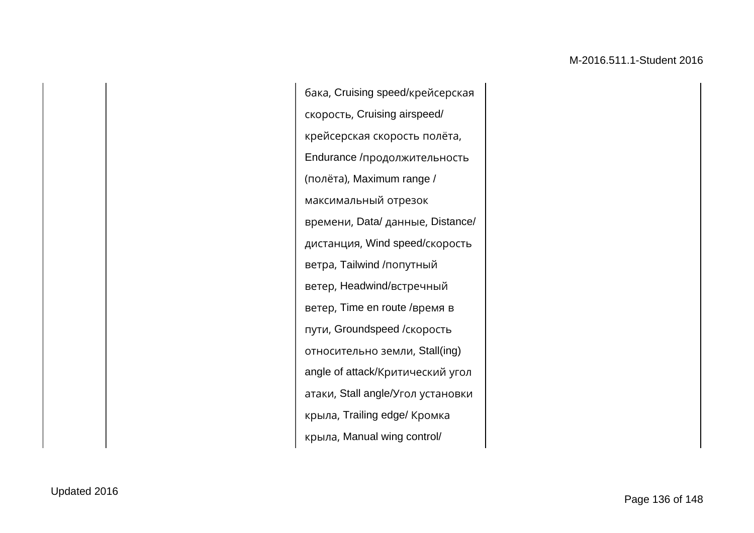бака, Cruising speed/крейсерская скорость, Cruising airspeed/ крейсерская скорость полёта, Endurance /продолжительность (полёта), Maximum range / максимальный отрезок времени, Data/ данные, Distance/ дистанция, Wind speed/скорость ветра, Tailwind /попутный ветер, Headwind/встречный ветер, Time en route /время в пути, Groundspeed /скорость относительно земли, Stall(ing) angle of attack/Критический угол атаки, Stall angle/Угол установки крыла, Trailing edge/ Кромка крыла, Manual wing control/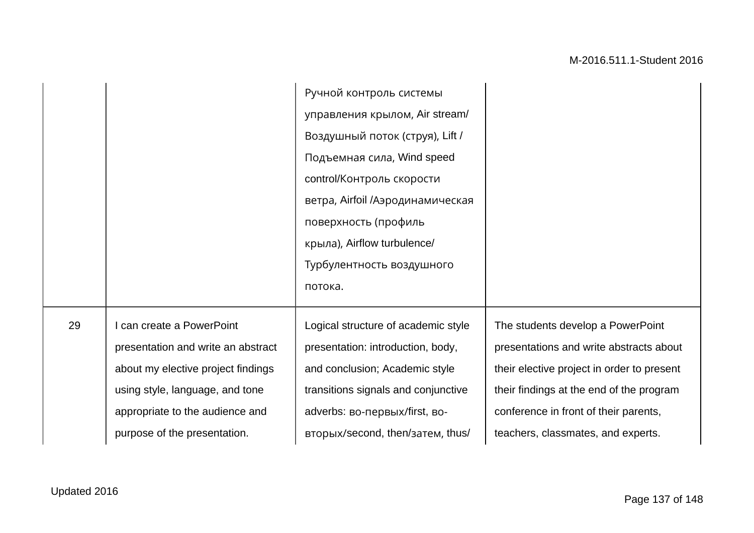|    |                                    | Ручной контроль системы             |                                            |
|----|------------------------------------|-------------------------------------|--------------------------------------------|
|    |                                    | управления крылом, Air stream/      |                                            |
|    |                                    | Воздушный поток (струя), Lift /     |                                            |
|    |                                    | Подъемная сила, Wind speed          |                                            |
|    |                                    | control/Контроль скорости           |                                            |
|    |                                    | ветра, Airfoil /Аэродинамическая    |                                            |
|    |                                    | поверхность (профиль                |                                            |
|    |                                    | крыла), Airflow turbulence/         |                                            |
|    |                                    | Турбулентность воздушного           |                                            |
|    |                                    | потока.                             |                                            |
| 29 | I can create a PowerPoint          | Logical structure of academic style | The students develop a PowerPoint          |
|    | presentation and write an abstract | presentation: introduction, body,   | presentations and write abstracts about    |
|    | about my elective project findings | and conclusion; Academic style      | their elective project in order to present |
|    | using style, language, and tone    | transitions signals and conjunctive | their findings at the end of the program   |
|    |                                    |                                     |                                            |
|    | appropriate to the audience and    | adverbs: во-первых/first, во-       | conference in front of their parents,      |
|    | purpose of the presentation.       | вторых/second, then/затем, thus/    | teachers, classmates, and experts.         |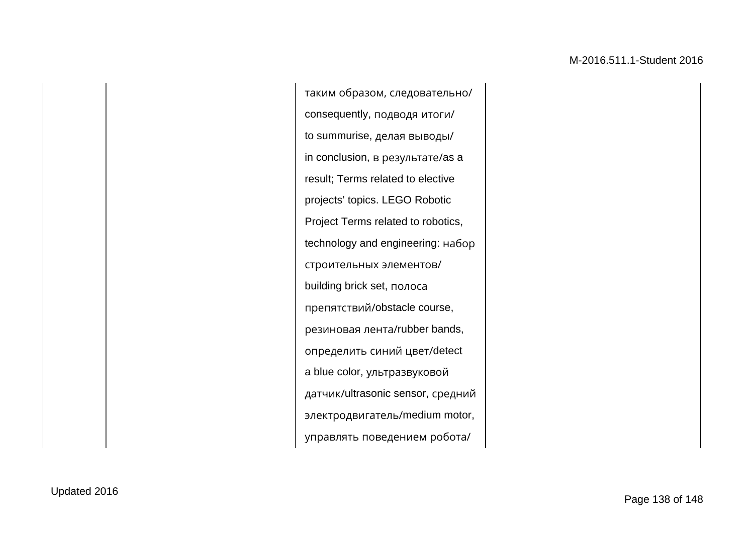таким образом, следовательно/ consequently, подводя итоги/ to summurise, делая выводы/ in conclusion, в результате/as a result; Terms related to elective projects' topics. LEGO Robotic Project Terms related to robotics, technology and engineering: набор строительных элементов/ building brick set, полоса препятствий/obstacle course, резиновая лента/rubber bands, определить синий цвет/detect a blue color, ультразвуковой датчик/ultrasonic sensor, средний электродвигатель/medium motor, управлять поведением робота/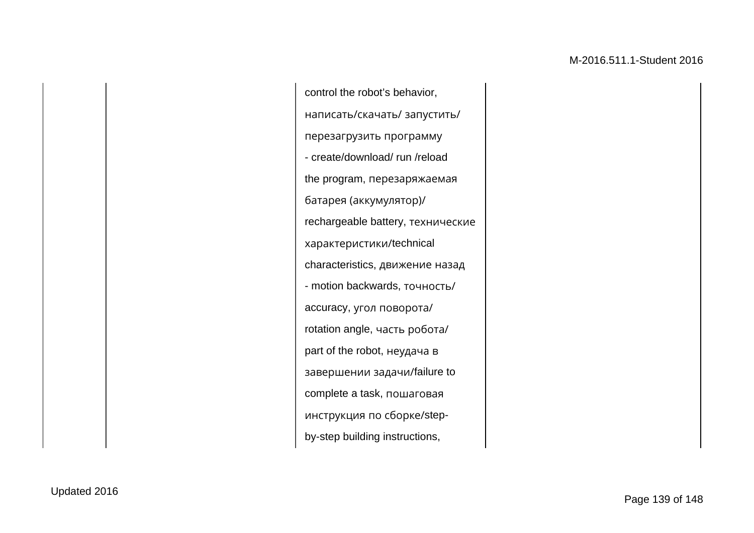control the robot's behavior, написать/скачать/ запустить/ перезагрузить программу - create/download/ run /reload the program, перезаряжаемая батарея (аккумулятор)/ rechargeable battery, технические характеристики/technical characteristics, движение назад - motion backwards, точность/ accuracy, угол поворота/ rotation angle, часть робота/ part of the robot, неудача в завершении задачи/failure to complete a task, пошаговая инструкция по сборке/stepby-step building instructions,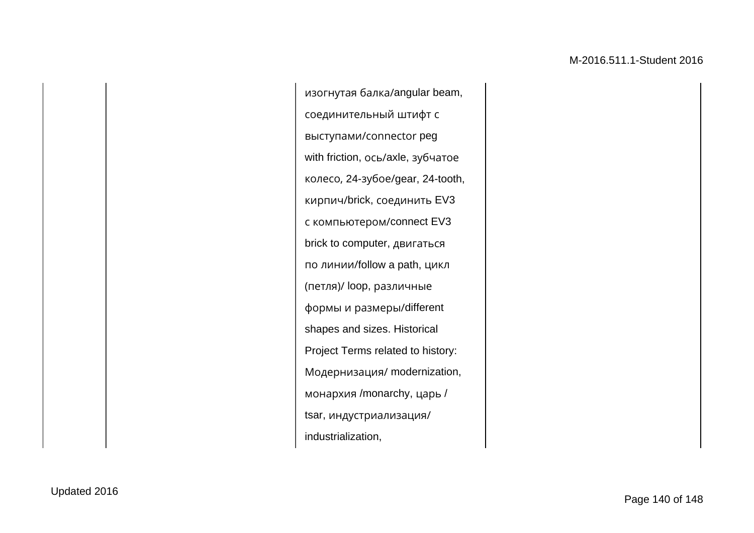изогнутая балка/angular beam, соединительный штифт с выступами/сonnector peg with friction, ось/axle, зубчатое колесо, 24-зубое/gear, 24-tooth, кирпич/brick, соединить EV3 с компьютером/connect EV3 brick to computer, двигаться по линии/follow a path, цикл (петля)/ loop, различные формы и размеры/different shapes and sizes. Historical Project Terms related to history: Модернизация/ modernization, монархия /monarchy, царь / tsar, индустриализация/ industrialization,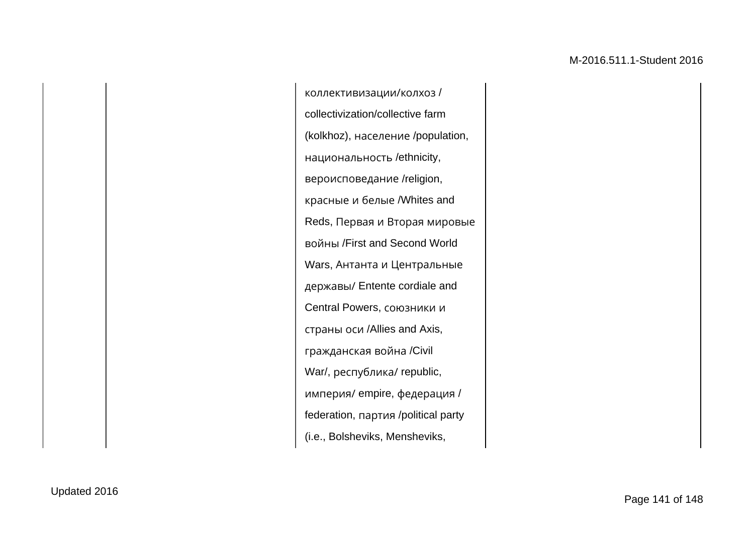коллективизации/колхоз / collectivization/collective farm (kolkhoz), население /population, национальность /ethnicity, вероисповедание /religion, красные и белые /Whites and Reds, Первая и Вторая мировые войны /First and Second World Wars, Антанта и Центральные державы/ Entente cordiale and Central Powers, союзники и страны оси /Allies and Axis, гражданская война /Civil War/, республика/ republic, империя/ empire, федерация / federation, партия /political party (i.e., Bolsheviks, Mensheviks,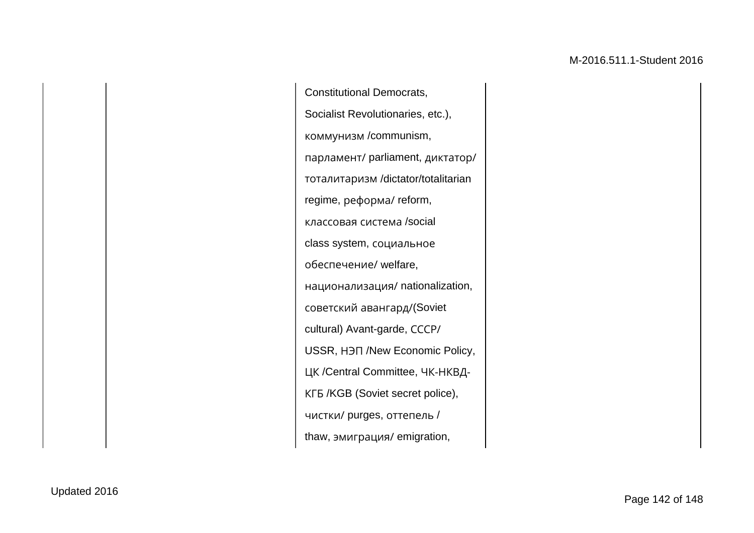Constitutional Democrats, Socialist Revolutionaries, etc.), коммунизм /communism, парламент/ parliament, диктатор/ тоталитаризм /dictator/totalitarian regime, реформа/ reform, классовая система /social class system, социальное обеспечение/ welfare, национализация/ nationalization, советский авангард/(Soviet cultural) Avant-garde, СССР/ USSR, НЭП /New Economic Policy, ЦК /Central Committee, ЧК-НКВД-КГБ /KGB (Soviet secret police), чистки/ purges, оттепель / thaw, эмиграция/ emigration,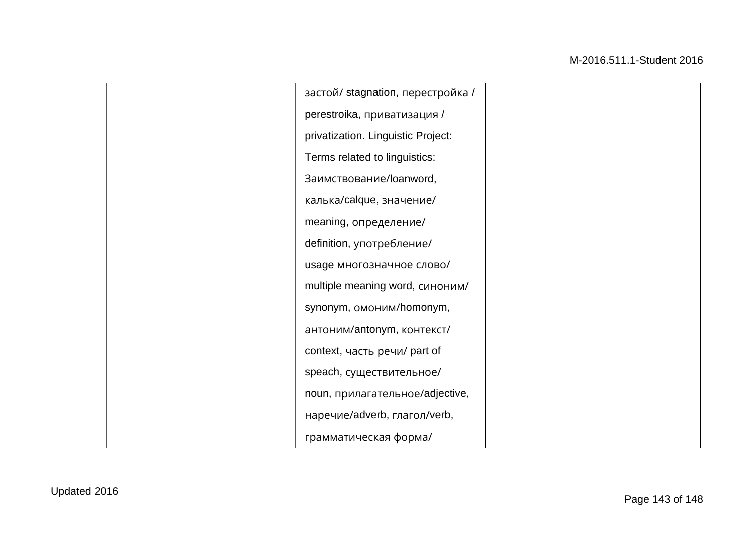застой/ stagnation, перестройка / perestroika, приватизация / privatization. Linguistic Project: Terms related to linguistics: Заимствование/loanword, калька/calque, значение/ meaning, определение/ definition, употребление/ usage многозначное слово/ multiple meaning word, синоним/ synonym, омоним/homonym, антоним/antonym, контекст/ context, часть речи/ part of speach, существительное/ noun, прилагательное/adjective, наречие/adverb, глагол/verb, грамматическая форма/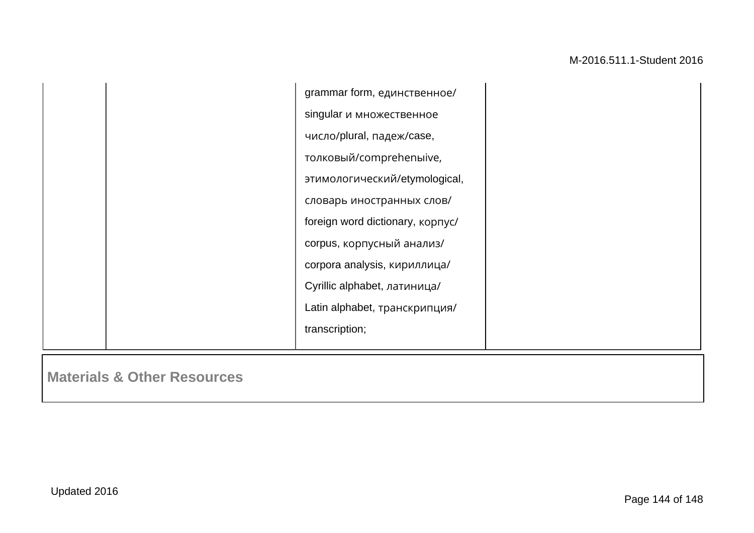|  | grammar form, единственное/             |  |
|--|-----------------------------------------|--|
|  | singular и множественное                |  |
|  | число/plural, падеж/case,               |  |
|  | толковый/comprehenыive,                 |  |
|  | этимологический/etymological,           |  |
|  | словарь иностранных слов/               |  |
|  | foreign word dictionary, <b>kopnyc/</b> |  |
|  | corpus, корпусный анализ/               |  |
|  | corpora analysis, кириллица/            |  |
|  | Cyrillic alphabet, латиница/            |  |
|  | Latin alphabet, транскрипция/           |  |
|  | transcription;                          |  |
|  |                                         |  |

**Materials & Other Resources**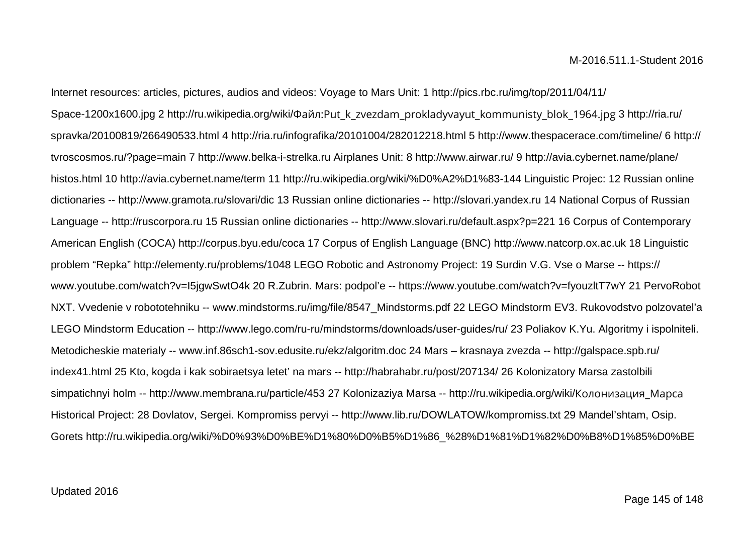Internet resources: articles, pictures, audios and videos: Voyage to Mars Unit: 1 http://pics.rbc.ru/img/top/2011/04/11/ Space-1200x1600.jpg 2 http://ru.wikipedia.org/wiki/Файл:Put\_k\_zvezdam\_prokladyvayut\_kommunisty\_blok\_1964.jpg 3 http://ria.ru/ spravka/20100819/266490533.html 4 http://ria.ru/infografika/20101004/282012218.html 5 http://www.thespacerace.com/timeline/ 6 http:// tvroscosmos.ru/?page=main 7 http://www.belka-i-strelka.ru Airplanes Unit: 8 http://www.airwar.ru/ 9 http://avia.cybernet.name/plane/ histos.html 10 http://avia.cybernet.name/term 11 http://ru.wikipedia.org/wiki/%D0%A2%D1%83-144 Linguistic Projec: 12 Russian online dictionaries -- http://www.gramota.ru/slovari/dic 13 Russian online dictionaries -- http://slovari.yandex.ru 14 National Corpus of Russian Language -- http://ruscorpora.ru 15 Russian online dictionaries -- http://www.slovari.ru/default.aspx?p=221 16 Corpus of Contemporary American English (COCA) http://corpus.byu.edu/coca 17 Corpus of English Language (BNC) http://www.natcorp.ox.ac.uk 18 Linguistic problem "Repka" http://elementy.ru/problems/1048 LEGO Robotic and Astronomy Project: 19 Surdin V.G. Vse o Marse -- https:// www.youtube.com/watch?v=I5jgwSwtO4k 20 R.Zubrin. Mars: podpol'e -- https://www.youtube.com/watch?v=fyouzltT7wY 21 PervoRobot NXT. Vvedenie v robototehniku -- www.mindstorms.ru/img/file/8547\_Mindstorms.pdf 22 LEGO Mindstorm EV3. Rukovodstvo polzovatel'a LEGO Mindstorm Education -- http://www.lego.com/ru-ru/mindstorms/downloads/user-guides/ru/ 23 Poliakov K.Yu. Algoritmy i ispolniteli. Metodicheskie materialy -- www.inf.86sch1-sov.edusite.ru/ekz/algoritm.doc 24 Mars – krasnaya zvezda -- http://galspace.spb.ru/ index41.html 25 Kto, kogda i kak sobiraetsya letet' na mars -- http://habrahabr.ru/post/207134/ 26 Kolonizatory Marsa zastolbili simpatichnyi holm -- http://www.membrana.ru/particle/453 27 Kolonizaziya Marsa -- http://ru.wikipedia.org/wiki/Колонизация\_Марса Historical Project: 28 Dovlatov, Sergei. Kompromiss pervyi -- http://www.lib.ru/DOWLATOW/kompromiss.txt 29 Mandel'shtam, Osip. Gorets http://ru.wikipedia.org/wiki/%D0%93%D0%BE%D1%80%D0%B5%D1%86\_%28%D1%81%D1%82%D0%B8%D1%85%D0%BE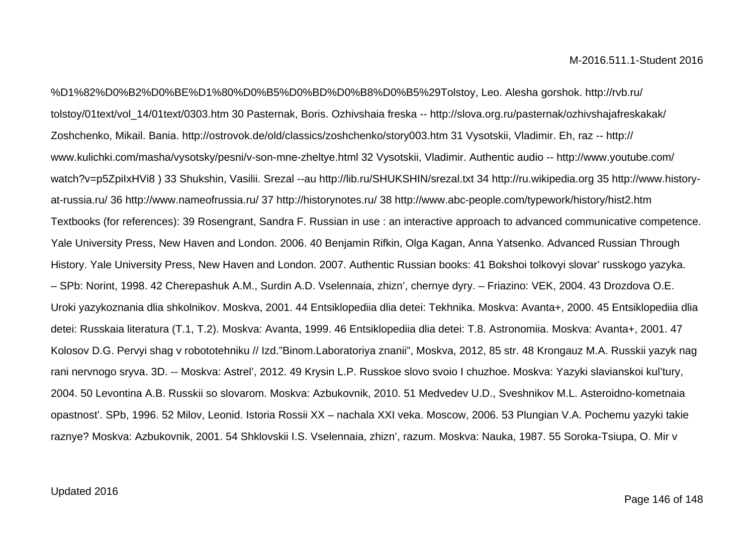%D1%82%D0%B2%D0%BE%D1%80%D0%B5%D0%BD%D0%B8%D0%B5%29Tolstoy, Leo. Alesha gorshok. http://rvb.ru/ tolstoy/01text/vol\_14/01text/0303.htm 30 Pasternak, Boris. Ozhivshaia freska -- http://slova.org.ru/pasternak/ozhivshajafreskakak/ Zoshchenko, Mikail. Bania. http://ostrovok.de/old/classics/zoshchenko/story003.htm 31 Vysotskii, Vladimir. Eh, raz -- http:// www.kulichki.com/masha/vysotsky/pesni/v-son-mne-zheltye.html 32 Vysotskii, Vladimir. Authentic audio -- http://www.youtube.com/ watch?v=p5ZpiIxHVi8 ) 33 Shukshin, Vasilii. Srezal --au http://lib.ru/SHUKSHIN/srezal.txt 34 http://ru.wikipedia.org 35 http://www.historyat-russia.ru/ 36 http://www.nameofrussia.ru/ 37 http://historynotes.ru/ 38 http://www.abc-people.com/typework/history/hist2.htm Textbooks (for references): 39 Rosengrant, Sandra F. Russian in use : an interactive approach to advanced communicative competence. Yale University Press, New Haven and London. 2006. 40 Benjamin Rifkin, Olga Kagan, Anna Yatsenko. Advanced Russian Through History. Yale University Press, New Haven and London. 2007. Authentic Russian books: 41 Bokshoi tolkovyi slovar' russkogo yazyka. – SPb: Norint, 1998. 42 Cherepashuk A.M., Surdin A.D. Vselennaia, zhizn', chernye dyry. – Friazino: VEK, 2004. 43 Drozdova O.E. Uroki yazykoznania dlia shkolnikov. Moskva, 2001. 44 Entsiklopediia dlia detei: Tekhnika. Moskva: Avanta+, 2000. 45 Entsiklopediia dlia detei: Russkaia literatura (T.1, T.2). Moskva: Avanta, 1999. 46 Entsiklopediia dlia detei: T.8. Astronomiia. Moskva: Avanta+, 2001. 47 Kolosov D.G. Pervyi shag v robototehniku // Izd."Binom.Laboratoriya znanii", Moskva, 2012, 85 str. 48 Krongauz M.A. Russkii yazyk nag rani nervnogo sryva. 3D. -- Moskva: Astrel', 2012. 49 Krysin L.P. Russkoe slovo svoio I chuzhoe. Moskva: Yazyki slavianskoi kul'tury, 2004. 50 Levontina A.B. Russkii so slovarom. Moskva: Azbukovnik, 2010. 51 Medvedev U.D., Sveshnikov M.L. Asteroidno-kometnaia opastnost'. SPb, 1996. 52 Milov, Leonid. Istoria Rossii XX – nachala XXI veka. Moscow, 2006. 53 Plungian V.A. Pochemu yazyki takie raznye? Moskva: Azbukovnik, 2001. 54 Shklovskii I.S. Vselennaia, zhizn', razum. Moskva: Nauka, 1987. 55 Soroka-Tsiupa, O. Mir v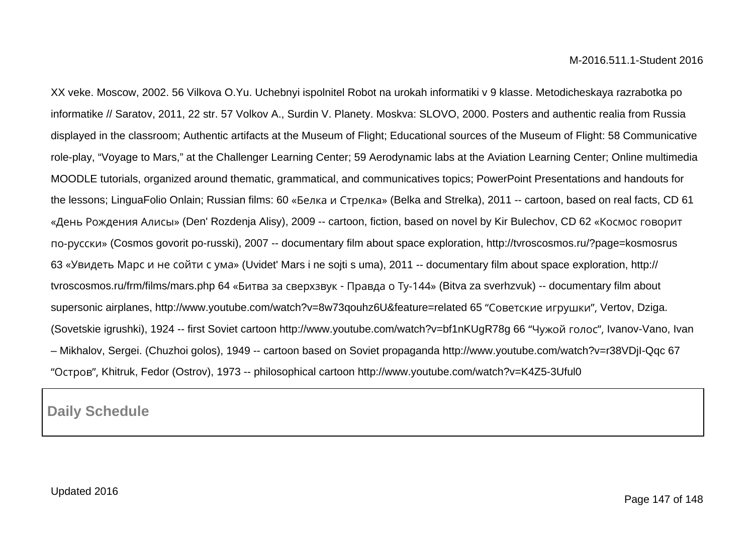XX veke. Moscow, 2002. 56 Vilkova O.Yu. Uchebnyi ispolnitel Robot na urokah informatiki v 9 klasse. Metodicheskaya razrabotka po informatike // Saratov, 2011, 22 str. 57 Volkov A., Surdin V. Planety. Moskva: SLOVO, 2000. Posters and authentic realia from Russia displayed in the classroom; Authentic artifacts at the Museum of Flight; Educational sources of the Museum of Flight: 58 Communicative role-play, "Voyage to Mars," at the Challenger Learning Center; 59 Aerodynamic labs at the Aviation Learning Center; Online multimedia MOODLE tutorials, organized around thematic, grammatical, and communicatives topics; PowerPoint Presentations and handouts for the lessons; LinguaFolio Onlain; Russian films: 60 «Белка и Стрелка» (Belka and Strelka), 2011 -- cartoon, based on real facts, CD 61 «День Рождения Алисы» (Den' Rozdenja Alisy), 2009 -- cartoon, fiction, based on novel by Kir Bulechov, CD 62 «Космос говорит по-русски» (Cosmos govorit po-russki), 2007 -- documentary film about space exploration, http://tvroscosmos.ru/?page=kosmosrus 63 «Увидеть Марс и не сойти с ума» (Uvidet' Mars i ne sojti s uma), 2011 -- documentary film about space exploration, http:// tvroscosmos.ru/frm/films/mars.php 64 «Битва за сверхзвук - Правда о Ту-144» (Bitva za sverhzvuk) -- documentary film about supersonic airplanes, http://www.youtube.com/watch?v=8w73qouhz6U&feature=related 65 "Советские игрушки", Vertov, Dziga. (Sovetskie igrushki), 1924 -- first Soviet cartoon http://www.youtube.com/watch?v=bf1nKUgR78g 66 "Чужой голос", Ivanov-Vano, Ivan – Mikhalov, Sergei. (Chuzhoi golos), 1949 -- cartoon based on Soviet propaganda http://www.youtube.com/watch?v=r38VDjI-Qqc 67 "Остров", Khitruk, Fedor (Ostrov), 1973 -- philosophical cartoon http://www.youtube.com/watch?v=K4Z5-3Uful0

**Daily Schedule**